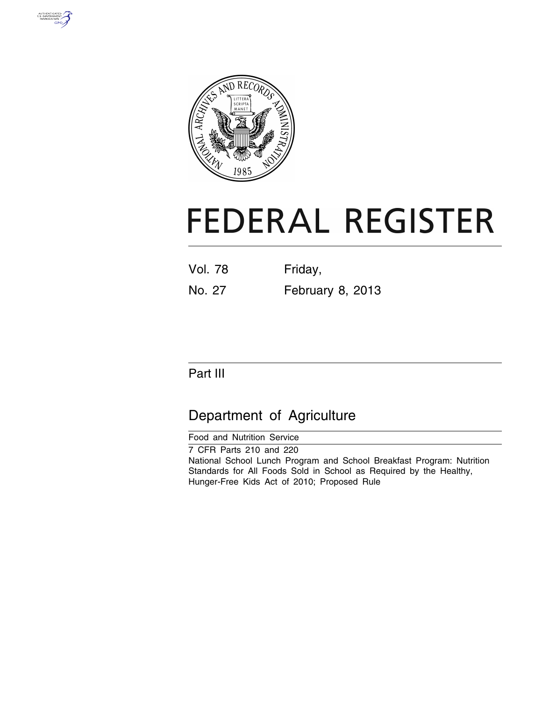



# **FEDERAL REGISTER**

| <b>Vol. 78</b> | Friday,          |
|----------------|------------------|
| No. 27         | February 8, 2013 |

# Part III

# Department of Agriculture

Food and Nutrition Service 7 CFR Parts 210 and 220 National School Lunch Program and School Breakfast Program: Nutrition Standards for All Foods Sold in School as Required by the Healthy, Hunger-Free Kids Act of 2010; Proposed Rule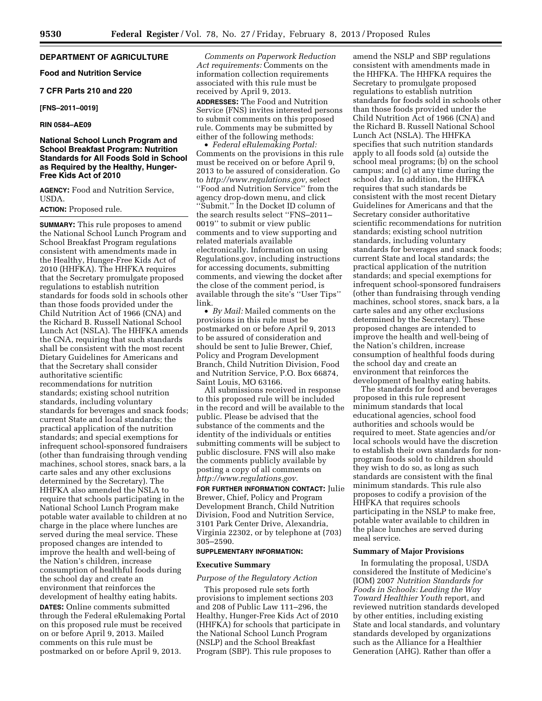# **DEPARTMENT OF AGRICULTURE**

# **Food and Nutrition Service**

# **7 CFR Parts 210 and 220**

#### **[FNS–2011–0019]**

# **RIN 0584–AE09**

# **National School Lunch Program and School Breakfast Program: Nutrition Standards for All Foods Sold in School as Required by the Healthy, Hunger-Free Kids Act of 2010**

**AGENCY:** Food and Nutrition Service, USDA.

#### **ACTION:** Proposed rule.

**SUMMARY:** This rule proposes to amend the National School Lunch Program and School Breakfast Program regulations consistent with amendments made in the Healthy, Hunger-Free Kids Act of 2010 (HHFKA). The HHFKA requires that the Secretary promulgate proposed regulations to establish nutrition standards for foods sold in schools other than those foods provided under the Child Nutrition Act of 1966 (CNA) and the Richard B. Russell National School Lunch Act (NSLA). The HHFKA amends the CNA, requiring that such standards shall be consistent with the most recent Dietary Guidelines for Americans and that the Secretary shall consider authoritative scientific recommendations for nutrition standards; existing school nutrition standards, including voluntary standards for beverages and snack foods; current State and local standards; the practical application of the nutrition standards; and special exemptions for infrequent school-sponsored fundraisers (other than fundraising through vending machines, school stores, snack bars, a la carte sales and any other exclusions determined by the Secretary). The HHFKA also amended the NSLA to require that schools participating in the National School Lunch Program make potable water available to children at no charge in the place where lunches are served during the meal service. These proposed changes are intended to improve the health and well-being of the Nation's children, increase consumption of healthful foods during the school day and create an environment that reinforces the development of healthy eating habits. **DATES:** Online comments submitted through the Federal eRulemaking Portal on this proposed rule must be received on or before April 9, 2013. Mailed comments on this rule must be postmarked on or before April 9, 2013.

*Comments on Paperwork Reduction Act requirements:* Comments on the information collection requirements associated with this rule must be received by April 9, 2013. **ADDRESSES:** The Food and Nutrition Service (FNS) invites interested persons

to submit comments on this proposed rule. Comments may be submitted by either of the following methods:

• *Federal eRulemaking Portal:*  Comments on the provisions in this rule must be received on or before April 9, 2013 to be assured of consideration. Go to *[http://www.regulations.gov,](http://www.regulations.gov)* select ''Food and Nutrition Service'' from the agency drop-down menu, and click ''Submit.'' In the Docket ID column of the search results select ''FNS–2011– 0019'' to submit or view public comments and to view supporting and related materials available electronically. Information on using Regulations.gov, including instructions for accessing documents, submitting comments, and viewing the docket after the close of the comment period, is available through the site's ''User Tips'' link.

• *By Mail:* Mailed comments on the provisions in this rule must be postmarked on or before April 9, 2013 to be assured of consideration and should be sent to Julie Brewer, Chief, Policy and Program Development Branch, Child Nutrition Division, Food and Nutrition Service, P.O. Box 66874, Saint Louis, MO 63166.

All submissions received in response to this proposed rule will be included in the record and will be available to the public. Please be advised that the substance of the comments and the identity of the individuals or entities submitting comments will be subject to public disclosure. FNS will also make the comments publicly available by posting a copy of all comments on *[http://www.regulations.gov.](http://www.regulations.gov)* 

**FOR FURTHER INFORMATION CONTACT:** Julie Brewer, Chief, Policy and Program Development Branch, Child Nutrition Division, Food and Nutrition Service, 3101 Park Center Drive, Alexandria, Virginia 22302, or by telephone at (703) 305–2590.

#### **SUPPLEMENTARY INFORMATION:**

#### **Executive Summary**

#### *Purpose of the Regulatory Action*

This proposed rule sets forth provisions to implement sections 203 and 208 of Public Law 111–296, the Healthy, Hunger-Free Kids Act of 2010 (HHFKA) for schools that participate in the National School Lunch Program (NSLP) and the School Breakfast Program (SBP). This rule proposes to

amend the NSLP and SBP regulations consistent with amendments made in the HHFKA. The HHFKA requires the Secretary to promulgate proposed regulations to establish nutrition standards for foods sold in schools other than those foods provided under the Child Nutrition Act of 1966 (CNA) and the Richard B. Russell National School Lunch Act (NSLA). The HHFKA specifies that such nutrition standards apply to all foods sold (a) outside the school meal programs; (b) on the school campus; and (c) at any time during the school day. In addition, the HHFKA requires that such standards be consistent with the most recent Dietary Guidelines for Americans and that the Secretary consider authoritative scientific recommendations for nutrition standards; existing school nutrition standards, including voluntary standards for beverages and snack foods; current State and local standards; the practical application of the nutrition standards; and special exemptions for infrequent school-sponsored fundraisers (other than fundraising through vending machines, school stores, snack bars, a la carte sales and any other exclusions determined by the Secretary). These proposed changes are intended to improve the health and well-being of the Nation's children, increase consumption of healthful foods during the school day and create an environment that reinforces the development of healthy eating habits.

The standards for food and beverages proposed in this rule represent minimum standards that local educational agencies, school food authorities and schools would be required to meet. State agencies and/or local schools would have the discretion to establish their own standards for nonprogram foods sold to children should they wish to do so, as long as such standards are consistent with the final minimum standards. This rule also proposes to codify a provision of the HHFKA that requires schools participating in the NSLP to make free, potable water available to children in the place lunches are served during meal service.

#### **Summary of Major Provisions**

In formulating the proposal, USDA considered the Institute of Medicine's (IOM) 2007 *Nutrition Standards for Foods in Schools: Leading the Way Toward Healthier Youth* report, and reviewed nutrition standards developed by other entities, including existing State and local standards, and voluntary standards developed by organizations such as the Alliance for a Healthier Generation (AHG). Rather than offer a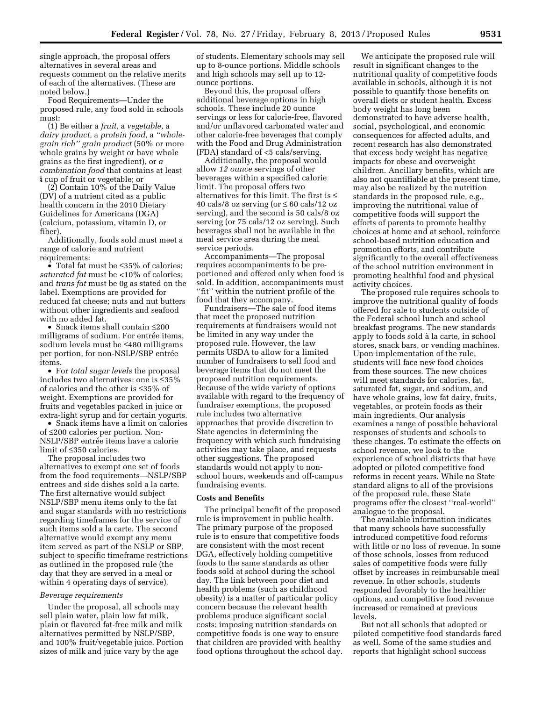single approach, the proposal offers alternatives in several areas and requests comment on the relative merits of each of the alternatives. (These are noted below.)

Food Requirements—Under the proposed rule, any food sold in schools must:

(1) Be either a *fruit,* a *vegetable,* a *dairy product,* a *protein food,* a *''wholegrain rich'' grain product* (50% or more whole grains by weight or have whole grains as the first ingredient), or *a combination food* that contains at least  $\frac{1}{4}$  cup of fruit or vegetable; or

(2) Contain 10% of the Daily Value (DV) of a nutrient cited as a public health concern in the 2010 Dietary Guidelines for Americans (DGA) (calcium, potassium, vitamin D, or fiber).

Additionally, foods sold must meet a range of calorie and nutrient requirements:

• Total fat must be ≤35% of calories; *saturated fat* must be <10% of calories; and *trans fat* must be 0g as stated on the label. Exemptions are provided for reduced fat cheese; nuts and nut butters without other ingredients and seafood with no added fat.

• Snack items shall contain ≤200 milligrams of sodium. For entrée items, sodium levels must be ≤480 milligrams per portion, for non-NSLP/SBP entrée items.

• For *total sugar levels* the proposal includes two alternatives: one is ≤35% of calories and the other is ≤35% of weight. Exemptions are provided for fruits and vegetables packed in juice or extra-light syrup and for certain yogurts.

• Snack items have a limit on calories of ≤200 calories per portion. Non-NSLP/SBP entrée items have a calorie limit of ≤350 calories.

The proposal includes two alternatives to exempt one set of foods from the food requirements—NSLP/SBP entrees and side dishes sold a la carte. The first alternative would subject NSLP/SBP menu items only to the fat and sugar standards with no restrictions regarding timeframes for the service of such items sold a la carte. The second alternative would exempt any menu item served as part of the NSLP or SBP, subject to specific timeframe restrictions as outlined in the proposed rule (the day that they are served in a meal or within 4 operating days of service).

#### *Beverage requirements*

Under the proposal, all schools may sell plain water, plain low fat milk, plain or flavored fat-free milk and milk alternatives permitted by NSLP/SBP, and 100% fruit/vegetable juice. Portion sizes of milk and juice vary by the age

of students. Elementary schools may sell up to 8-ounce portions. Middle schools and high schools may sell up to 12 ounce portions.

Beyond this, the proposal offers additional beverage options in high schools. These include 20 ounce servings or less for calorie-free, flavored and/or unflavored carbonated water and other calorie-free beverages that comply with the Food and Drug Administration (FDA) standard of <5 cals/serving.

Additionally, the proposal would allow *12 ounce* servings of other beverages within a specified calorie limit. The proposal offers two alternatives for this limit. The first is  $\leq$ 40 cals/8 oz serving (or  $\leq 60$  cals/12 oz serving), and the second is 50 cals/8 oz serving (or 75 cals/12 oz serving). Such beverages shall not be available in the meal service area during the meal service periods.

Accompaniments—The proposal requires accompaniments to be preportioned and offered only when food is sold. In addition, accompaniments must ''fit'' within the nutrient profile of the food that they accompany.

Fundraisers—The sale of food items that meet the proposed nutrition requirements at fundraisers would not be limited in any way under the proposed rule. However, the law permits USDA to allow for a limited number of fundraisers to sell food and beverage items that do not meet the proposed nutrition requirements. Because of the wide variety of options available with regard to the frequency of fundraiser exemptions, the proposed rule includes two alternative approaches that provide discretion to State agencies in determining the frequency with which such fundraising activities may take place, and requests other suggestions. The proposed standards would not apply to nonschool hours, weekends and off-campus fundraising events.

# **Costs and Benefits**

The principal benefit of the proposed rule is improvement in public health. The primary purpose of the proposed rule is to ensure that competitive foods are consistent with the most recent DGA, effectively holding competitive foods to the same standards as other foods sold at school during the school day. The link between poor diet and health problems (such as childhood obesity) is a matter of particular policy concern because the relevant health problems produce significant social costs; imposing nutrition standards on competitive foods is one way to ensure that children are provided with healthy food options throughout the school day.

We anticipate the proposed rule will result in significant changes to the nutritional quality of competitive foods available in schools, although it is not possible to quantify those benefits on overall diets or student health. Excess body weight has long been demonstrated to have adverse health, social, psychological, and economic consequences for affected adults, and recent research has also demonstrated that excess body weight has negative impacts for obese and overweight children. Ancillary benefits, which are also not quantifiable at the present time, may also be realized by the nutrition standards in the proposed rule, e.g., improving the nutritional value of competitive foods will support the efforts of parents to promote healthy choices at home and at school, reinforce school-based nutrition education and promotion efforts, and contribute significantly to the overall effectiveness of the school nutrition environment in promoting healthful food and physical activity choices.

The proposed rule requires schools to improve the nutritional quality of foods offered for sale to students outside of the Federal school lunch and school breakfast programs. The new standards apply to foods sold a` la carte, in school stores, snack bars, or vending machines. Upon implementation of the rule, students will face new food choices from these sources. The new choices will meet standards for calories, fat, saturated fat, sugar, and sodium, and have whole grains, low fat dairy, fruits, vegetables, or protein foods as their main ingredients. Our analysis examines a range of possible behavioral responses of students and schools to these changes. To estimate the effects on school revenue, we look to the experience of school districts that have adopted or piloted competitive food reforms in recent years. While no State standard aligns to all of the provisions of the proposed rule, these State programs offer the closest ''real-world'' analogue to the proposal.

The available information indicates that many schools have successfully introduced competitive food reforms with little or no loss of revenue. In some of those schools, losses from reduced sales of competitive foods were fully offset by increases in reimbursable meal revenue. In other schools, students responded favorably to the healthier options, and competitive food revenue increased or remained at previous levels.

But not all schools that adopted or piloted competitive food standards fared as well. Some of the same studies and reports that highlight school success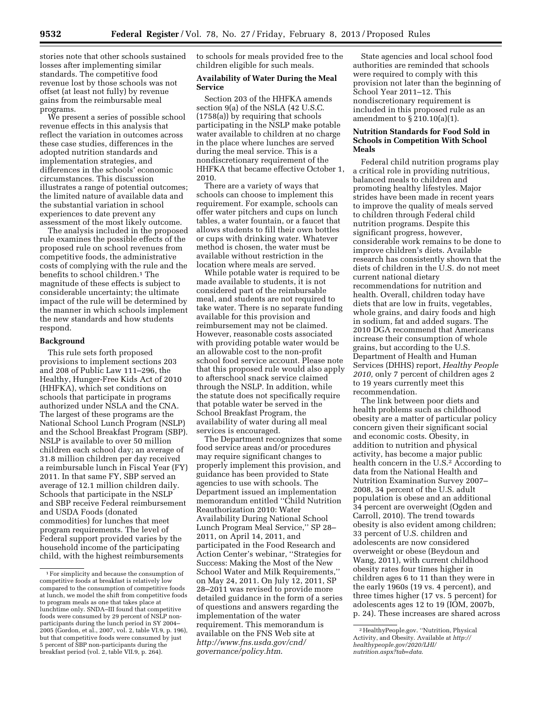stories note that other schools sustained losses after implementing similar standards. The competitive food revenue lost by those schools was not offset (at least not fully) by revenue gains from the reimbursable meal programs.

We present a series of possible school revenue effects in this analysis that reflect the variation in outcomes across these case studies, differences in the adopted nutrition standards and implementation strategies, and differences in the schools' economic circumstances. This discussion illustrates a range of potential outcomes; the limited nature of available data and the substantial variation in school experiences to date prevent any assessment of the most likely outcome.

The analysis included in the proposed rule examines the possible effects of the proposed rule on school revenues from competitive foods, the administrative costs of complying with the rule and the benefits to school children.1 The magnitude of these effects is subject to considerable uncertainty; the ultimate impact of the rule will be determined by the manner in which schools implement the new standards and how students respond.

#### **Background**

This rule sets forth proposed provisions to implement sections 203 and 208 of Public Law 111–296, the Healthy, Hunger-Free Kids Act of 2010 (HHFKA), which set conditions on schools that participate in programs authorized under NSLA and the CNA. The largest of these programs are the National School Lunch Program (NSLP) and the School Breakfast Program (SBP). NSLP is available to over 50 million children each school day; an average of 31.8 million children per day received a reimbursable lunch in Fiscal Year (FY) 2011. In that same FY, SBP served an average of 12.1 million children daily. Schools that participate in the NSLP and SBP receive Federal reimbursement and USDA Foods (donated commodities) for lunches that meet program requirements. The level of Federal support provided varies by the household income of the participating child, with the highest reimbursements

to schools for meals provided free to the children eligible for such meals.

# **Availability of Water During the Meal Service**

Section 203 of the HHFKA amends section 9(a) of the NSLA (42 U.S.C. (1758(a)) by requiring that schools participating in the NSLP make potable water available to children at no charge in the place where lunches are served during the meal service. This is a nondiscretionary requirement of the HHFKA that became effective October 1, 2010.

There are a variety of ways that schools can choose to implement this requirement. For example, schools can offer water pitchers and cups on lunch tables, a water fountain, or a faucet that allows students to fill their own bottles or cups with drinking water. Whatever method is chosen, the water must be available without restriction in the location where meals are served.

While potable water is required to be made available to students, it is not considered part of the reimbursable meal, and students are not required to take water. There is no separate funding available for this provision and reimbursement may not be claimed. However, reasonable costs associated with providing potable water would be an allowable cost to the non-profit school food service account. Please note that this proposed rule would also apply to afterschool snack service claimed through the NSLP. In addition, while the statute does not specifically require that potable water be served in the School Breakfast Program, the availability of water during all meal services is encouraged.

The Department recognizes that some food service areas and/or procedures may require significant changes to properly implement this provision, and guidance has been provided to State agencies to use with schools. The Department issued an implementation memorandum entitled ''Child Nutrition Reauthorization 2010: Water Availability During National School Lunch Program Meal Service,'' SP 28– 2011, on April 14, 2011, and participated in the Food Research and Action Center's webinar, ''Strategies for Success: Making the Most of the New School Water and Milk Requirements,'' on May 24, 2011. On July 12, 2011, SP 28–2011 was revised to provide more detailed guidance in the form of a series of questions and answers regarding the implementation of the water requirement. This memorandum is available on the FNS Web site at *[http://www.fns.usda.gov/cnd/](http://www.fns.usda.gov/cnd/governance/policy.htm)  [governance/policy.htm](http://www.fns.usda.gov/cnd/governance/policy.htm)*.

State agencies and local school food authorities are reminded that schools were required to comply with this provision not later than the beginning of School Year 2011–12. This nondiscretionary requirement is included in this proposed rule as an amendment to § 210.10(a)(1).

# **Nutrition Standards for Food Sold in Schools in Competition With School Meals**

Federal child nutrition programs play a critical role in providing nutritious, balanced meals to children and promoting healthy lifestyles. Major strides have been made in recent years to improve the quality of meals served to children through Federal child nutrition programs. Despite this significant progress, however, considerable work remains to be done to improve children's diets. Available research has consistently shown that the diets of children in the U.S. do not meet current national dietary recommendations for nutrition and health. Overall, children today have diets that are low in fruits, vegetables, whole grains, and dairy foods and high in sodium, fat and added sugars. The 2010 DGA recommend that Americans increase their consumption of whole grains, but according to the U.S. Department of Health and Human Services (DHHS) report, *Healthy People 2010,* only 7 percent of children ages 2 to 19 years currently meet this recommendation.

The link between poor diets and health problems such as childhood obesity are a matter of particular policy concern given their significant social and economic costs. Obesity, in addition to nutrition and physical activity, has become a major public health concern in the U.S.<sup>2</sup> According to data from the National Health and Nutrition Examination Survey 2007– 2008, 34 percent of the U.S. adult population is obese and an additional 34 percent are overweight (Ogden and Carroll, 2010). The trend towards obesity is also evident among children; 33 percent of U.S. children and adolescents are now considered overweight or obese (Beydoun and Wang, 2011), with current childhood obesity rates four times higher in children ages 6 to 11 than they were in the early 1960s (19 vs. 4 percent), and three times higher (17 vs. 5 percent) for adolescents ages 12 to 19 (IOM, 2007b, p. 24). These increases are shared across

<sup>1</sup>For simplicity and because the consumption of competitive foods at breakfast is relatively low compared to the consumption of competitive foods at lunch, we model the shift from competitive foods to program meals as one that takes place at lunchtime only. SNDA–III found that competitive foods were consumed by 29 percent of NSLP nonparticipants during the lunch period in SY 2004– 2005 (Gordon, et al., 2007, vol. 2, table VI.9, p. 196), but that competitive foods were consumed by just 5 percent of SBP non-participants during the breakfast period (vol. 2, table VII.9, p. 264).

<sup>2</sup>HealthyPeople.gov. ''Nutrition, Physical Activity, and Obesity. Available at *[http://](http://healthypeople.gov/2020/LHI/nutrition.aspx?tab=data) [healthypeople.gov/2020/LHI/](http://healthypeople.gov/2020/LHI/nutrition.aspx?tab=data) [nutrition.aspx?tab=data](http://healthypeople.gov/2020/LHI/nutrition.aspx?tab=data)*.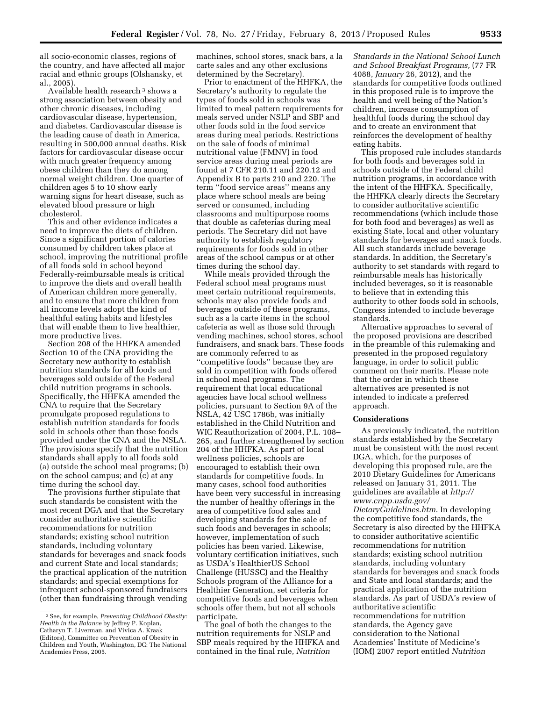all socio-economic classes, regions of the country, and have affected all major racial and ethnic groups (Olshansky, et al., 2005)

Available health research 3 shows a strong association between obesity and other chronic diseases, including cardiovascular disease, hypertension, and diabetes. Cardiovascular disease is the leading cause of death in America, resulting in 500,000 annual deaths. Risk factors for cardiovascular disease occur with much greater frequency among obese children than they do among normal weight children. One quarter of children ages 5 to 10 show early warning signs for heart disease, such as elevated blood pressure or high cholesterol.

This and other evidence indicates a need to improve the diets of children. Since a significant portion of calories consumed by children takes place at school, improving the nutritional profile of all foods sold in school beyond Federally-reimbursable meals is critical to improve the diets and overall health of American children more generally, and to ensure that more children from all income levels adopt the kind of healthful eating habits and lifestyles that will enable them to live healthier, more productive lives.

Section 208 of the HHFKA amended Section 10 of the CNA providing the Secretary new authority to establish nutrition standards for all foods and beverages sold outside of the Federal child nutrition programs in schools. Specifically, the HHFKA amended the CNA to require that the Secretary promulgate proposed regulations to establish nutrition standards for foods sold in schools other than those foods provided under the CNA and the NSLA. The provisions specify that the nutrition standards shall apply to all foods sold (a) outside the school meal programs; (b) on the school campus; and (c) at any time during the school day.

The provisions further stipulate that such standards be consistent with the most recent DGA and that the Secretary consider authoritative scientific recommendations for nutrition standards; existing school nutrition standards, including voluntary standards for beverages and snack foods and current State and local standards; the practical application of the nutrition standards; and special exemptions for infrequent school-sponsored fundraisers (other than fundraising through vending

machines, school stores, snack bars, a la carte sales and any other exclusions determined by the Secretary).

Prior to enactment of the HHFKA, the Secretary's authority to regulate the types of foods sold in schools was limited to meal pattern requirements for meals served under NSLP and SBP and other foods sold in the food service areas during meal periods. Restrictions on the sale of foods of minimal nutritional value (FMNV) in food service areas during meal periods are found at 7 CFR 210.11 and 220.12 and Appendix B to parts 210 and 220. The term ''food service areas'' means any place where school meals are being served or consumed, including classrooms and multipurpose rooms that double as cafeterias during meal periods. The Secretary did not have authority to establish regulatory requirements for foods sold in other areas of the school campus or at other times during the school day.

While meals provided through the Federal school meal programs must meet certain nutritional requirements, schools may also provide foods and beverages outside of these programs, such as a la carte items in the school cafeteria as well as those sold through vending machines, school stores, school fundraisers, and snack bars. These foods are commonly referred to as ''competitive foods'' because they are sold in competition with foods offered in school meal programs. The requirement that local educational agencies have local school wellness policies, pursuant to Section 9A of the NSLA, 42 USC 1786b, was initially established in the Child Nutrition and WIC Reauthorization of 2004, P.L. 108– 265, and further strengthened by section 204 of the HHFKA. As part of local wellness policies, schools are encouraged to establish their own standards for competitive foods. In many cases, school food authorities have been very successful in increasing the number of healthy offerings in the area of competitive food sales and developing standards for the sale of such foods and beverages in schools; however, implementation of such policies has been varied. Likewise, voluntary certification initiatives, such as USDA's HealthierUS School Challenge (HUSSC) and the Healthy Schools program of the Alliance for a Healthier Generation, set criteria for competitive foods and beverages when schools offer them, but not all schools participate.

The goal of both the changes to the nutrition requirements for NSLP and SBP meals required by the HHFKA and contained in the final rule, *Nutrition* 

*Standards in the National School Lunch and School Breakfast Programs,* (77 FR 4088, *January* 26, 2012), and the standards for competitive foods outlined in this proposed rule is to improve the health and well being of the Nation's children, increase consumption of healthful foods during the school day and to create an environment that reinforces the development of healthy eating habits.

This proposed rule includes standards for both foods and beverages sold in schools outside of the Federal child nutrition programs, in accordance with the intent of the HHFKA. Specifically, the HHFKA clearly directs the Secretary to consider authoritative scientific recommendations (which include those for both food and beverages) as well as existing State, local and other voluntary standards for beverages and snack foods. All such standards include beverage standards. In addition, the Secretary's authority to set standards with regard to reimbursable meals has historically included beverages, so it is reasonable to believe that in extending this authority to other foods sold in schools, Congress intended to include beverage standards.

Alternative approaches to several of the proposed provisions are described in the preamble of this rulemaking and presented in the proposed regulatory language, in order to solicit public comment on their merits. Please note that the order in which these alternatives are presented is not intended to indicate a preferred approach.

# **Considerations**

As previously indicated, the nutrition standards established by the Secretary must be consistent with the most recent DGA, which, for the purposes of developing this proposed rule, are the 2010 Dietary Guidelines for Americans released on January 31, 2011. The guidelines are available at *[http://](http://www.cnpp.usda.gov/DietaryGuidelines.htm) [www.cnpp.usda.gov/](http://www.cnpp.usda.gov/DietaryGuidelines.htm)  [DietaryGuidelines.htm](http://www.cnpp.usda.gov/DietaryGuidelines.htm)*. In developing the competitive food standards, the Secretary is also directed by the HHFKA to consider authoritative scientific recommendations for nutrition standards; existing school nutrition standards, including voluntary standards for beverages and snack foods and State and local standards; and the practical application of the nutrition standards. As part of USDA's review of authoritative scientific recommendations for nutrition standards, the Agency gave consideration to the National Academies' Institute of Medicine's (IOM) 2007 report entitled *Nutrition* 

<sup>3</sup>See, for example, *Preventing Childhood Obesity: Health in the Balance* by Jeffrey P. Koplan, Catharyn T. Liverman, and Vivica A. Kraak (Editors), Committee on Prevention of Obesity in Children and Youth, Washington, DC: The National Academies Press, 2005.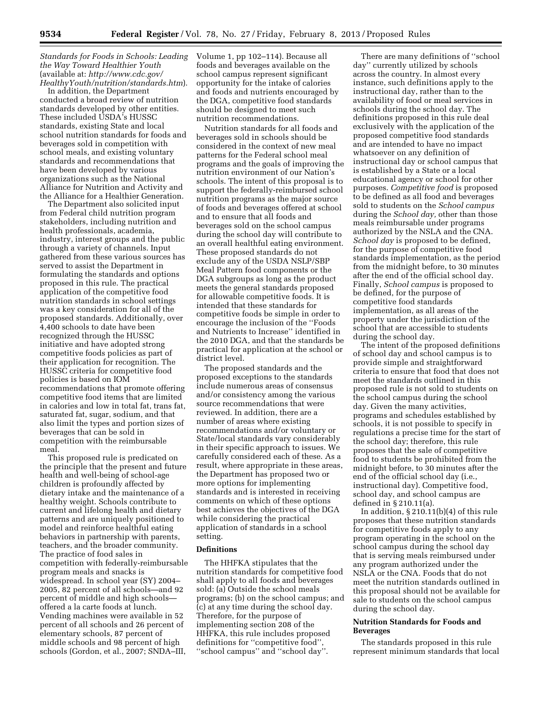# *Standards for Foods in Schools: Leading the Way Toward Healthier Youth*  (available at: *[http://www.cdc.gov/](http://www.cdc.gov/HealthyYouth/nutrition/standards.htm) [HealthyYouth/nutrition/standards.htm](http://www.cdc.gov/HealthyYouth/nutrition/standards.htm)*).

In addition, the Department conducted a broad review of nutrition standards developed by other entities. These included USDA's HUSSC standards, existing State and local school nutrition standards for foods and beverages sold in competition with school meals, and existing voluntary standards and recommendations that have been developed by various organizations such as the National Alliance for Nutrition and Activity and the Alliance for a Healthier Generation.

The Department also solicited input from Federal child nutrition program stakeholders, including nutrition and health professionals, academia, industry, interest groups and the public through a variety of channels. Input gathered from these various sources has served to assist the Department in formulating the standards and options proposed in this rule. The practical application of the competitive food nutrition standards in school settings was a key consideration for all of the proposed standards. Additionally, over 4,400 schools to date have been recognized through the HUSSC initiative and have adopted strong competitive foods policies as part of their application for recognition. The HUSSC criteria for competitive food policies is based on IOM recommendations that promote offering competitive food items that are limited in calories and low in total fat, trans fat, saturated fat, sugar, sodium, and that also limit the types and portion sizes of beverages that can be sold in competition with the reimbursable meal.

This proposed rule is predicated on the principle that the present and future health and well-being of school-age children is profoundly affected by dietary intake and the maintenance of a healthy weight. Schools contribute to current and lifelong health and dietary patterns and are uniquely positioned to model and reinforce healthful eating behaviors in partnership with parents, teachers, and the broader community. The practice of food sales in competition with federally-reimbursable program meals and snacks is widespread. In school year (SY) 2004– 2005, 82 percent of all schools—and 92 percent of middle and high schools offered a la carte foods at lunch. Vending machines were available in 52 percent of all schools and 26 percent of elementary schools, 87 percent of middle schools and 98 percent of high schools (Gordon, et al., 2007; SNDA–III,

Volume 1, pp 102–114). Because all foods and beverages available on the school campus represent significant opportunity for the intake of calories and foods and nutrients encouraged by the DGA, competitive food standards should be designed to meet such nutrition recommendations.

Nutrition standards for all foods and beverages sold in schools should be considered in the context of new meal patterns for the Federal school meal programs and the goals of improving the nutrition environment of our Nation's schools. The intent of this proposal is to support the federally-reimbursed school nutrition programs as the major source of foods and beverages offered at school and to ensure that all foods and beverages sold on the school campus during the school day will contribute to an overall healthful eating environment. These proposed standards do not exclude any of the USDA NSLP/SBP Meal Pattern food components or the DGA subgroups as long as the product meets the general standards proposed for allowable competitive foods. It is intended that these standards for competitive foods be simple in order to encourage the inclusion of the ''Foods and Nutrients to Increase'' identified in the 2010 DGA, and that the standards be practical for application at the school or district level.

The proposed standards and the proposed exceptions to the standards include numerous areas of consensus and/or consistency among the various source recommendations that were reviewed. In addition, there are a number of areas where existing recommendations and/or voluntary or State/local standards vary considerably in their specific approach to issues. We carefully considered each of these. As a result, where appropriate in these areas, the Department has proposed two or more options for implementing standards and is interested in receiving comments on which of these options best achieves the objectives of the DGA while considering the practical application of standards in a school setting.

# **Definitions**

The HHFKA stipulates that the nutrition standards for competitive food shall apply to all foods and beverages sold: (a) Outside the school meals programs; (b) on the school campus; and (c) at any time during the school day. Therefore, for the purpose of implementing section 208 of the HHFKA, this rule includes proposed definitions for ''competitive food'', ''school campus'' and ''school day''.

There are many definitions of ''school day'' currently utilized by schools across the country. In almost every instance, such definitions apply to the instructional day, rather than to the availability of food or meal services in schools during the school day. The definitions proposed in this rule deal exclusively with the application of the proposed competitive food standards and are intended to have no impact whatsoever on any definition of instructional day or school campus that is established by a State or a local educational agency or school for other purposes. *Competitive food* is proposed to be defined as all food and beverages sold to students on the *School campus*  during the *School day,* other than those meals reimbursable under programs authorized by the NSLA and the CNA. *School day* is proposed to be defined, for the purpose of competitive food standards implementation, as the period from the midnight before, to 30 minutes after the end of the official school day. Finally, *School campus* is proposed to be defined, for the purpose of competitive food standards implementation, as all areas of the property under the jurisdiction of the school that are accessible to students during the school day.

The intent of the proposed definitions of school day and school campus is to provide simple and straightforward criteria to ensure that food that does not meet the standards outlined in this proposed rule is not sold to students on the school campus during the school day. Given the many activities, programs and schedules established by schools, it is not possible to specify in regulations a precise time for the start of the school day; therefore, this rule proposes that the sale of competitive food to students be prohibited from the midnight before, to 30 minutes after the end of the official school day (i.e., instructional day). Competitive food, school day, and school campus are defined in § 210.11(a).

In addition, § 210.11(b)(4) of this rule proposes that these nutrition standards for competitive foods apply to any program operating in the school on the school campus during the school day that is serving meals reimbursed under any program authorized under the NSLA or the CNA. Foods that do not meet the nutrition standards outlined in this proposal should not be available for sale to students on the school campus during the school day.

# **Nutrition Standards for Foods and Beverages**

The standards proposed in this rule represent minimum standards that local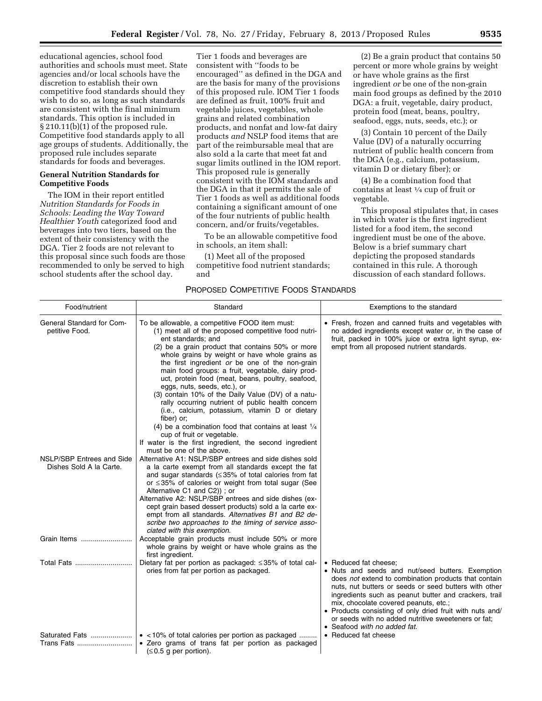educational agencies, school food authorities and schools must meet. State agencies and/or local schools have the discretion to establish their own competitive food standards should they wish to do so, as long as such standards are consistent with the final minimum standards. This option is included in § 210.11(b)(1) of the proposed rule. Competitive food standards apply to all age groups of students. Additionally, the proposed rule includes separate standards for foods and beverages.

# **General Nutrition Standards for Competitive Foods**

The IOM in their report entitled *Nutrition Standards for Foods in Schools: Leading the Way Toward Healthier Youth* categorized food and beverages into two tiers, based on the extent of their consistency with the DGA. Tier 2 foods are not relevant to this proposal since such foods are those recommended to only be served to high school students after the school day.

Tier 1 foods and beverages are consistent with ''foods to be encouraged'' as defined in the DGA and are the basis for many of the provisions of this proposed rule. IOM Tier 1 foods are defined as fruit, 100% fruit and vegetable juices, vegetables, whole grains and related combination products, and nonfat and low-fat dairy products *and* NSLP food items that are part of the reimbursable meal that are also sold a la carte that meet fat and sugar limits outlined in the IOM report. This proposed rule is generally consistent with the IOM standards and the DGA in that it permits the sale of Tier 1 foods as well as additional foods containing a significant amount of one of the four nutrients of public health concern, and/or fruits/vegetables.

To be an allowable competitive food in schools, an item shall:

(1) Meet all of the proposed competitive food nutrient standards; and

PROPOSED COMPETITIVE FOODS STANDARDS

(2) Be a grain product that contains 50 percent or more whole grains by weight or have whole grains as the first ingredient *or* be one of the non-grain main food groups as defined by the 2010 DGA: a fruit, vegetable, dairy product, protein food (meat, beans, poultry, seafood, eggs, nuts, seeds, etc.); or

(3) Contain 10 percent of the Daily Value (DV) of a naturally occurring nutrient of public health concern from the DGA (e.g., calcium, potassium, vitamin D or dietary fiber); or

(4) Be a combination food that contains at least 1⁄4 cup of fruit or vegetable.

This proposal stipulates that, in cases in which water is the first ingredient listed for a food item, the second ingredient must be one of the above. Below is a brief summary chart depicting the proposed standards contained in this rule. A thorough discussion of each standard follows.

| Food/nutrient                                        | Standard                                                                                                                                                                                                                                                                                                                                                                                                                                                                                                                                                                                                                                                              | Exemptions to the standard                                                                                                                                                                                                                                                                                                                                                                                                                      |
|------------------------------------------------------|-----------------------------------------------------------------------------------------------------------------------------------------------------------------------------------------------------------------------------------------------------------------------------------------------------------------------------------------------------------------------------------------------------------------------------------------------------------------------------------------------------------------------------------------------------------------------------------------------------------------------------------------------------------------------|-------------------------------------------------------------------------------------------------------------------------------------------------------------------------------------------------------------------------------------------------------------------------------------------------------------------------------------------------------------------------------------------------------------------------------------------------|
| General Standard for Com-<br>petitive Food.          | To be allowable, a competitive FOOD item must:<br>(1) meet all of the proposed competitive food nutri-<br>ent standards; and<br>(2) be a grain product that contains 50% or more<br>whole grains by weight or have whole grains as<br>the first ingredient or be one of the non-grain<br>main food groups: a fruit, vegetable, dairy prod-<br>uct, protein food (meat, beans, poultry, seafood,<br>eggs, nuts, seeds, etc.), or<br>(3) contain 10% of the Daily Value (DV) of a natu-<br>rally occurring nutrient of public health concern<br>(i.e., calcium, potassium, vitamin D or dietary<br>fiber) or:<br>(4) be a combination food that contains at least $1/4$ | • Fresh, frozen and canned fruits and vegetables with<br>no added ingredients except water or, in the case of<br>fruit, packed in 100% juice or extra light syrup, ex-<br>empt from all proposed nutrient standards.                                                                                                                                                                                                                            |
| NSLP/SBP Entrees and Side<br>Dishes Sold A la Carte. | cup of fruit or vegetable.<br>If water is the first ingredient, the second ingredient<br>must be one of the above.<br>Alternative A1: NSLP/SBP entrees and side dishes sold<br>a la carte exempt from all standards except the fat<br>and sugar standards $( \leq 35\% )$ of total calories from fat                                                                                                                                                                                                                                                                                                                                                                  |                                                                                                                                                                                                                                                                                                                                                                                                                                                 |
|                                                      | or $\leq$ 35% of calories or weight from total sugar (See<br>Alternative C1 and C2)); or<br>Alternative A2: NSLP/SBP entrees and side dishes (ex-<br>cept grain based dessert products) sold a la carte ex-<br>empt from all standards. Alternatives B1 and B2 de-<br>scribe two approaches to the timing of service asso-<br>ciated with this exemption.                                                                                                                                                                                                                                                                                                             |                                                                                                                                                                                                                                                                                                                                                                                                                                                 |
| Grain Items                                          | Acceptable grain products must include 50% or more<br>whole grains by weight or have whole grains as the<br>first ingredient.                                                                                                                                                                                                                                                                                                                                                                                                                                                                                                                                         |                                                                                                                                                                                                                                                                                                                                                                                                                                                 |
| Total Fats                                           | Dietary fat per portion as packaged: $\leq$ 35% of total cal-<br>ories from fat per portion as packaged.                                                                                                                                                                                                                                                                                                                                                                                                                                                                                                                                                              | • Reduced fat cheese;<br>• Nuts and seeds and nut/seed butters. Exemption<br>does not extend to combination products that contain<br>nuts, nut butters or seeds or seed butters with other<br>ingredients such as peanut butter and crackers, trail<br>mix, chocolate covered peanuts, etc.;<br>• Products consisting of only dried fruit with nuts and/<br>or seeds with no added nutritive sweeteners or fat:<br>• Seafood with no added fat. |
| Saturated Fats<br>Trans Fats                         | $\bullet$ < 10% of total calories per portion as packaged<br>• Zero grams of trans fat per portion as packaged<br>$(\leq 0.5$ g per portion).                                                                                                                                                                                                                                                                                                                                                                                                                                                                                                                         | • Reduced fat cheese                                                                                                                                                                                                                                                                                                                                                                                                                            |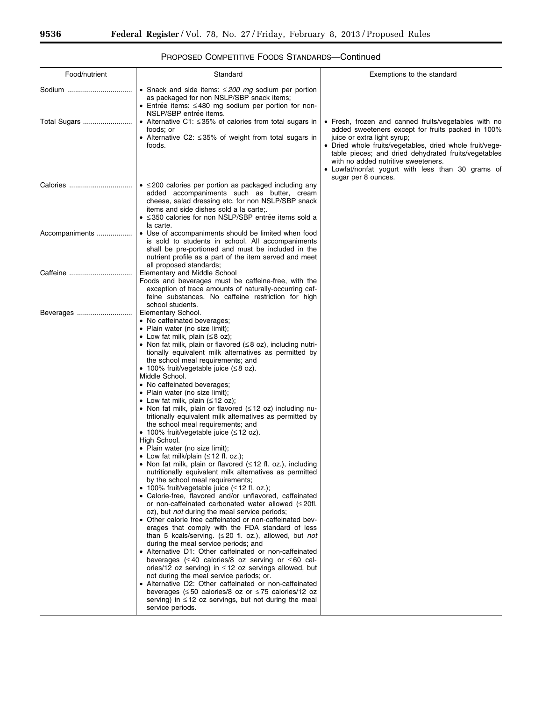۰

| Food/nutrient  | Standard                                                                                                                                                                                                                                                                                                                                                                                                                                                                                                                                                                                                                                                                                                                                                                                                                                                                                                                                                                                                                                                                                                                                                                                                                                                                                                                                                                                                                                                                                                                                                                                                                                                                                                                                                                                                                                                                                                                | Exemptions to the standard                                                                                                                                                                                                                                                                                                                                                      |
|----------------|-------------------------------------------------------------------------------------------------------------------------------------------------------------------------------------------------------------------------------------------------------------------------------------------------------------------------------------------------------------------------------------------------------------------------------------------------------------------------------------------------------------------------------------------------------------------------------------------------------------------------------------------------------------------------------------------------------------------------------------------------------------------------------------------------------------------------------------------------------------------------------------------------------------------------------------------------------------------------------------------------------------------------------------------------------------------------------------------------------------------------------------------------------------------------------------------------------------------------------------------------------------------------------------------------------------------------------------------------------------------------------------------------------------------------------------------------------------------------------------------------------------------------------------------------------------------------------------------------------------------------------------------------------------------------------------------------------------------------------------------------------------------------------------------------------------------------------------------------------------------------------------------------------------------------|---------------------------------------------------------------------------------------------------------------------------------------------------------------------------------------------------------------------------------------------------------------------------------------------------------------------------------------------------------------------------------|
| Sodium         | • Snack and side items: $\leq$ 200 mg sodium per portion<br>as packaged for non NSLP/SBP snack items;<br>• Entrée items: ≤480 mg sodium per portion for non-<br>NSLP/SBP entrée items.                                                                                                                                                                                                                                                                                                                                                                                                                                                                                                                                                                                                                                                                                                                                                                                                                                                                                                                                                                                                                                                                                                                                                                                                                                                                                                                                                                                                                                                                                                                                                                                                                                                                                                                                  |                                                                                                                                                                                                                                                                                                                                                                                 |
| Total Sugars   | • Alternative C1: $\leq$ 35% of calories from total sugars in<br>foods; or<br>• Alternative C2: $\leq$ 35% of weight from total sugars in<br>foods.                                                                                                                                                                                                                                                                                                                                                                                                                                                                                                                                                                                                                                                                                                                                                                                                                                                                                                                                                                                                                                                                                                                                                                                                                                                                                                                                                                                                                                                                                                                                                                                                                                                                                                                                                                     | • Fresh, frozen and canned fruits/vegetables with no<br>added sweeteners except for fruits packed in 100%<br>juice or extra light syrup;<br>• Dried whole fruits/vegetables, dried whole fruit/vege-<br>table pieces; and dried dehydrated fruits/vegetables<br>with no added nutritive sweeteners.<br>• Lowfat/nonfat yogurt with less than 30 grams of<br>sugar per 8 ounces. |
| Calories       | $\bullet$ $\leq$ 200 calories per portion as packaged including any<br>added accompaniments such as butter, cream<br>cheese, salad dressing etc. for non NSLP/SBP snack<br>items and side dishes sold a la carte;.<br>$\bullet$ $\leq$ 350 calories for non NSLP/SBP entrée items sold a<br>la carte.                                                                                                                                                                                                                                                                                                                                                                                                                                                                                                                                                                                                                                                                                                                                                                                                                                                                                                                                                                                                                                                                                                                                                                                                                                                                                                                                                                                                                                                                                                                                                                                                                   |                                                                                                                                                                                                                                                                                                                                                                                 |
| Accompaniments | • Use of accompaniments should be limited when food<br>is sold to students in school. All accompaniments<br>shall be pre-portioned and must be included in the<br>nutrient profile as a part of the item served and meet<br>all proposed standards;                                                                                                                                                                                                                                                                                                                                                                                                                                                                                                                                                                                                                                                                                                                                                                                                                                                                                                                                                                                                                                                                                                                                                                                                                                                                                                                                                                                                                                                                                                                                                                                                                                                                     |                                                                                                                                                                                                                                                                                                                                                                                 |
| Caffeine       | Elementary and Middle School<br>Foods and beverages must be caffeine-free, with the<br>exception of trace amounts of naturally-occurring caf-<br>feine substances. No caffeine restriction for high<br>school students.                                                                                                                                                                                                                                                                                                                                                                                                                                                                                                                                                                                                                                                                                                                                                                                                                                                                                                                                                                                                                                                                                                                                                                                                                                                                                                                                                                                                                                                                                                                                                                                                                                                                                                 |                                                                                                                                                                                                                                                                                                                                                                                 |
| Beverages      | Elementary School.<br>• No caffeinated beverages;<br>• Plain water (no size limit);<br>• Low fat milk, plain $( \leq 8 \text{ oz})$ ;<br>• Non fat milk, plain or flavored $( \leq 8 \text{ oz})$ , including nutri-<br>tionally equivalent milk alternatives as permitted by<br>the school meal requirements; and<br>• 100% fruit/vegetable juice $( \leq 8 \text{ oz})$ .<br>Middle School.<br>• No caffeinated beverages;<br>• Plain water (no size limit);<br>• Low fat milk, plain $(\leq 12 \text{ oz});$<br>• Non fat milk, plain or flavored $( \leq 12 \text{ oz})$ including nu-<br>tritionally equivalent milk alternatives as permitted by<br>the school meal requirements; and<br>• 100% fruit/vegetable juice $( \leq 12 \text{ oz})$ .<br>High School.<br>• Plain water (no size limit);<br>• Low fat milk/plain $(\leq 12$ fl. oz.);<br>• Non fat milk, plain or flavored $( \leq 12$ fl. oz.), including<br>nutritionally equivalent milk alternatives as permitted<br>by the school meal requirements;<br>• 100% fruit/vegetable juice $(\leq 12 \text{ fl. oz.})$ ;<br>• Calorie-free, flavored and/or unflavored, caffeinated<br>or non-caffeinated carbonated water allowed (≤20fl.<br>oz), but not during the meal service periods;<br>• Other calorie free caffeinated or non-caffeinated bev-<br>erages that comply with the FDA standard of less<br>than 5 kcals/serving. $(\leq 20$ fl. oz.), allowed, but not<br>during the meal service periods; and<br>• Alternative D1: Other caffeinated or non-caffeinated<br>beverages (≤40 calories/8 oz serving or ≤60 cal-<br>ories/12 oz serving) in $\leq$ 12 oz servings allowed, but<br>not during the meal service periods; or.<br>• Alternative D2: Other caffeinated or non-caffeinated<br>beverages ( $\leq$ 50 calories/8 oz or $\leq$ 75 calories/12 oz<br>serving) in $\leq$ 12 oz servings, but not during the meal<br>service periods. |                                                                                                                                                                                                                                                                                                                                                                                 |

# PROPOSED COMPETITIVE FOODS STANDARDS—Continued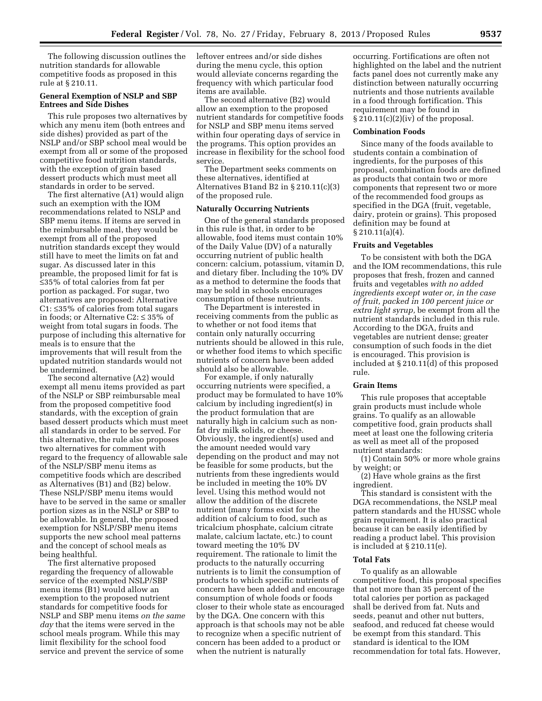The following discussion outlines the nutrition standards for allowable competitive foods as proposed in this rule at § 210.11.

# **General Exemption of NSLP and SBP Entrees and Side Dishes**

This rule proposes two alternatives by which any menu item (both entrees and side dishes) provided as part of the NSLP and/or SBP school meal would be exempt from all or some of the proposed competitive food nutrition standards, with the exception of grain based dessert products which must meet all standards in order to be served.

The first alternative (A1) would align such an exemption with the IOM recommendations related to NSLP and SBP menu items. If items are served in the reimbursable meal, they would be exempt from all of the proposed nutrition standards except they would still have to meet the limits on fat and sugar. As discussed later in this preamble, the proposed limit for fat is ≤35% of total calories from fat per portion as packaged. For sugar, two alternatives are proposed: Alternative C1: ≤35% of calories from total sugars in foods; or Alternative C2: ≤ 35% of weight from total sugars in foods. The purpose of including this alternative for meals is to ensure that the improvements that will result from the updated nutrition standards would not be undermined.

The second alternative (A2) would exempt all menu items provided as part of the NSLP or SBP reimbursable meal from the proposed competitive food standards, with the exception of grain based dessert products which must meet all standards in order to be served. For this alternative, the rule also proposes two alternatives for comment with regard to the frequency of allowable sale of the NSLP/SBP menu items as competitive foods which are described as Alternatives (B1) and (B2) below. These NSLP/SBP menu items would have to be served in the same or smaller portion sizes as in the NSLP or SBP to be allowable. In general, the proposed exemption for NSLP/SBP menu items supports the new school meal patterns and the concept of school meals as being healthful.

The first alternative proposed regarding the frequency of allowable service of the exempted NSLP/SBP menu items (B1) would allow an exemption to the proposed nutrient standards for competitive foods for NSLP and SBP menu items *on the same day* that the items were served in the school meals program. While this may limit flexibility for the school food service and prevent the service of some

leftover entrees and/or side dishes during the menu cycle, this option would alleviate concerns regarding the frequency with which particular food items are available.

The second alternative (B2) would allow an exemption to the proposed nutrient standards for competitive foods for NSLP and SBP menu items served within four operating days of service in the programs. This option provides an increase in flexibility for the school food service.

The Department seeks comments on these alternatives, identified at Alternatives B1and B2 in § 210.11(c)(3) of the proposed rule.

#### **Naturally Occurring Nutrients**

One of the general standards proposed in this rule is that, in order to be allowable, food items must contain 10% of the Daily Value (DV) of a naturally occurring nutrient of public health concern: calcium, potassium, vitamin D, and dietary fiber. Including the 10% DV as a method to determine the foods that may be sold in schools encourages consumption of these nutrients.

The Department is interested in receiving comments from the public as to whether or not food items that contain only naturally occurring nutrients should be allowed in this rule, or whether food items to which specific nutrients of concern have been added should also be allowable.

For example, if only naturally occurring nutrients were specified, a product may be formulated to have 10% calcium by including ingredient(s) in the product formulation that are naturally high in calcium such as nonfat dry milk solids, or cheese. Obviously, the ingredient(s) used and the amount needed would vary depending on the product and may not be feasible for some products, but the nutrients from these ingredients would be included in meeting the 10% DV level. Using this method would not allow the addition of the discrete nutrient (many forms exist for the addition of calcium to food, such as tricalcium phosphate, calcium citrate malate, calcium lactate, etc.) to count toward meeting the 10% DV requirement. The rationale to limit the products to the naturally occurring nutrients is to limit the consumption of products to which specific nutrients of concern have been added and encourage consumption of whole foods or foods closer to their whole state as encouraged by the DGA. One concern with this approach is that schools may not be able to recognize when a specific nutrient of concern has been added to a product or when the nutrient is naturally

occurring. Fortifications are often not highlighted on the label and the nutrient facts panel does not currently make any distinction between naturally occurring nutrients and those nutrients available in a food through fortification. This requirement may be found in  $\S 210.11(c)(2)(iv)$  of the proposal.

#### **Combination Foods**

Since many of the foods available to students contain a combination of ingredients, for the purposes of this proposal, combination foods are defined as products that contain two or more components that represent two or more of the recommended food groups as specified in the DGA (fruit, vegetable, dairy, protein or grains). This proposed definition may be found at § 210.11(a)(4).

#### **Fruits and Vegetables**

To be consistent with both the DGA and the IOM recommendations, this rule proposes that fresh, frozen and canned fruits and vegetables *with no added ingredients except water or, in the case of fruit, packed in 100 percent juice or extra light syrup,* be exempt from all the nutrient standards included in this rule. According to the DGA, fruits and vegetables are nutrient dense; greater consumption of such foods in the diet is encouraged. This provision is included at § 210.11(d) of this proposed rule.

# **Grain Items**

This rule proposes that acceptable grain products must include whole grains. To qualify as an allowable competitive food, grain products shall meet at least one the following criteria as well as meet all of the proposed nutrient standards:

(1) Contain 50% or more whole grains by weight; or

(2) Have whole grains as the first ingredient.

This standard is consistent with the DGA recommendations, the NSLP meal pattern standards and the HUSSC whole grain requirement. It is also practical because it can be easily identified by reading a product label. This provision is included at § 210.11(e).

#### **Total Fats**

To qualify as an allowable competitive food, this proposal specifies that not more than 35 percent of the total calories per portion as packaged shall be derived from fat. Nuts and seeds, peanut and other nut butters, seafood, and reduced fat cheese would be exempt from this standard. This standard is identical to the IOM recommendation for total fats. However,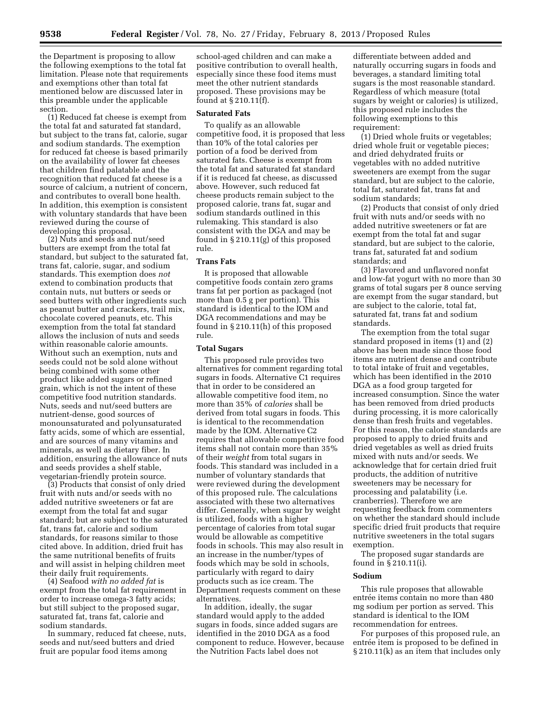the Department is proposing to allow the following exemptions to the total fat limitation. Please note that requirements and exemptions other than total fat mentioned below are discussed later in this preamble under the applicable section.

(1) Reduced fat cheese is exempt from the total fat and saturated fat standard, but subject to the trans fat, calorie, sugar and sodium standards. The exemption for reduced fat cheese is based primarily on the availability of lower fat cheeses that children find palatable and the recognition that reduced fat cheese is a source of calcium, a nutrient of concern, and contributes to overall bone health. In addition, this exemption is consistent with voluntary standards that have been reviewed during the course of developing this proposal.

(2) Nuts and seeds and nut/seed butters are exempt from the total fat standard, but subject to the saturated fat, trans fat, calorie, sugar, and sodium standards. This exemption does *not*  extend to combination products that contain nuts, nut butters or seeds or seed butters with other ingredients such as peanut butter and crackers, trail mix, chocolate covered peanuts, etc. This exemption from the total fat standard allows the inclusion of nuts and seeds within reasonable calorie amounts. Without such an exemption, nuts and seeds could not be sold alone without being combined with some other product like added sugars or refined grain, which is not the intent of these competitive food nutrition standards. Nuts, seeds and nut/seed butters are nutrient-dense, good sources of monounsaturated and polyunsaturated fatty acids, some of which are essential, and are sources of many vitamins and minerals, as well as dietary fiber. In addition, ensuring the allowance of nuts and seeds provides a shelf stable, vegetarian-friendly protein source.

(3) Products that consist of only dried fruit with nuts and/or seeds with no added nutritive sweeteners or fat are exempt from the total fat and sugar standard; but are subject to the saturated fat, trans fat, calorie and sodium standards, for reasons similar to those cited above. In addition, dried fruit has the same nutritional benefits of fruits and will assist in helping children meet their daily fruit requirements.

(4) Seafood *with no added fat* is exempt from the total fat requirement in order to increase omega-3 fatty acids; but still subject to the proposed sugar, saturated fat, trans fat, calorie and sodium standards.

In summary, reduced fat cheese, nuts, seeds and nut/seed butters and dried fruit are popular food items among

school-aged children and can make a positive contribution to overall health, especially since these food items must meet the other nutrient standards proposed. These provisions may be found at § 210.11(f).

#### **Saturated Fats**

To qualify as an allowable competitive food, it is proposed that less than 10% of the total calories per portion of a food be derived from saturated fats. Cheese is exempt from the total fat and saturated fat standard if it is reduced fat cheese, as discussed above. However, such reduced fat cheese products remain subject to the proposed calorie, trans fat, sugar and sodium standards outlined in this rulemaking. This standard is also consistent with the DGA and may be found in § 210.11(g) of this proposed rule.

# **Trans Fats**

It is proposed that allowable competitive foods contain zero grams trans fat per portion as packaged (not more than 0.5 g per portion). This standard is identical to the IOM and DGA recommendations and may be found in § 210.11(h) of this proposed rule.

## **Total Sugars**

This proposed rule provides two alternatives for comment regarding total sugars in foods. Alternative C1 requires that in order to be considered an allowable competitive food item, no more than 35% of *calories* shall be derived from total sugars in foods. This is identical to the recommendation made by the IOM. Alternative C2 requires that allowable competitive food items shall not contain more than 35% of their *weight* from total sugars in foods. This standard was included in a number of voluntary standards that were reviewed during the development of this proposed rule. The calculations associated with these two alternatives differ. Generally, when sugar by weight is utilized, foods with a higher percentage of calories from total sugar would be allowable as competitive foods in schools. This may also result in an increase in the number/types of foods which may be sold in schools, particularly with regard to dairy products such as ice cream. The Department requests comment on these alternatives.

In addition, ideally, the sugar standard would apply to the added sugars in foods, since added sugars are identified in the 2010 DGA as a food component to reduce. However, because the Nutrition Facts label does not

differentiate between added and naturally occurring sugars in foods and beverages, a standard limiting total sugars is the most reasonable standard. Regardless of which measure (total sugars by weight or calories) is utilized, this proposed rule includes the following exemptions to this requirement:

(1) Dried whole fruits or vegetables; dried whole fruit or vegetable pieces; and dried dehydrated fruits or vegetables with no added nutritive sweeteners are exempt from the sugar standard, but are subject to the calorie, total fat, saturated fat, trans fat and sodium standards;

(2) Products that consist of only dried fruit with nuts and/or seeds with no added nutritive sweeteners or fat are exempt from the total fat and sugar standard, but are subject to the calorie, trans fat, saturated fat and sodium standards; and

(3) Flavored and unflavored nonfat and low-fat yogurt with no more than 30 grams of total sugars per 8 ounce serving are exempt from the sugar standard, but are subject to the calorie, total fat, saturated fat, trans fat and sodium standards.

The exemption from the total sugar standard proposed in items (1) and (2) above has been made since those food items are nutrient dense and contribute to total intake of fruit and vegetables, which has been identified in the 2010 DGA as a food group targeted for increased consumption. Since the water has been removed from dried products during processing, it is more calorically dense than fresh fruits and vegetables. For this reason, the calorie standards are proposed to apply to dried fruits and dried vegetables as well as dried fruits mixed with nuts and/or seeds. We acknowledge that for certain dried fruit products, the addition of nutritive sweeteners may be necessary for processing and palatability (i.e. cranberries). Therefore we are requesting feedback from commenters on whether the standard should include specific dried fruit products that require nutritive sweeteners in the total sugars exemption.

The proposed sugar standards are found in § 210.11(i).

#### **Sodium**

This rule proposes that allowable entrée items contain no more than 480 mg sodium per portion as served. This standard is identical to the IOM recommendation for entrees.

For purposes of this proposed rule, an entrée item is proposed to be defined in § 210.11(k) as an item that includes only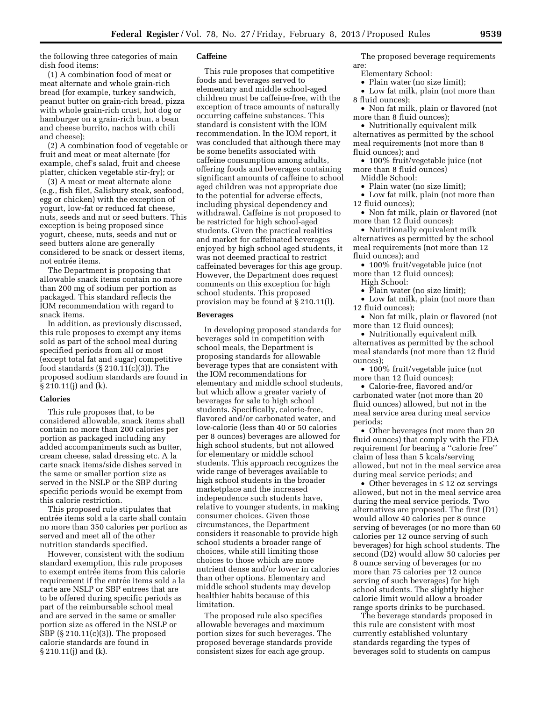the following three categories of main dish food items:

(1) A combination food of meat or meat alternate and whole grain-rich bread (for example, turkey sandwich, peanut butter on grain-rich bread, pizza with whole grain-rich crust, hot dog or hamburger on a grain-rich bun, a bean and cheese burrito, nachos with chili and cheese);

(2) A combination food of vegetable or fruit and meat or meat alternate (for example, chef's salad, fruit and cheese platter, chicken vegetable stir-fry); or

(3) A meat or meat alternate alone (e.g., fish filet, Salisbury steak, seafood, egg or chicken) with the exception of yogurt, low-fat or reduced fat cheese, nuts, seeds and nut or seed butters. This exception is being proposed since yogurt, cheese, nuts, seeds and nut or seed butters alone are generally considered to be snack or dessert items, not entrée items.

The Department is proposing that allowable snack items contain no more than 200 mg of sodium per portion as packaged. This standard reflects the IOM recommendation with regard to snack items.

In addition, as previously discussed, this rule proposes to exempt any items sold as part of the school meal during specified periods from all or most (except total fat and sugar) competitive food standards (§ 210.11(c)(3)). The proposed sodium standards are found in § 210.11(j) and (k).

#### **Calories**

This rule proposes that, to be considered allowable, snack items shall contain no more than 200 calories per portion as packaged including any added accompaniments such as butter, cream cheese, salad dressing etc. A la carte snack items/side dishes served in the same or smaller portion size as served in the NSLP or the SBP during specific periods would be exempt from this calorie restriction.

This proposed rule stipulates that entrée items sold a la carte shall contain no more than 350 calories per portion as served and meet all of the other nutrition standards specified.

However, consistent with the sodium standard exemption, this rule proposes to exempt entrée items from this calorie requirement if the entrée items sold a la carte are NSLP or SBP entrees that are to be offered during specific periods as part of the reimbursable school meal and are served in the same or smaller portion size as offered in the NSLP or SBP (§ 210.11(c)(3)). The proposed calorie standards are found in § 210.11(j) and (k).

# **Caffeine**

This rule proposes that competitive foods and beverages served to elementary and middle school-aged children must be caffeine-free, with the exception of trace amounts of naturally occurring caffeine substances. This standard is consistent with the IOM recommendation. In the IOM report, it was concluded that although there may be some benefits associated with caffeine consumption among adults, offering foods and beverages containing significant amounts of caffeine to school aged children was not appropriate due to the potential for adverse effects, including physical dependency and withdrawal. Caffeine is not proposed to be restricted for high school-aged students. Given the practical realities and market for caffeinated beverages enjoyed by high school aged students, it was not deemed practical to restrict caffeinated beverages for this age group. However, the Department does request comments on this exception for high school students. This proposed provision may be found at § 210.11(l).

# **Beverages**

In developing proposed standards for beverages sold in competition with school meals, the Department is proposing standards for allowable beverage types that are consistent with the IOM recommendations for elementary and middle school students, but which allow a greater variety of beverages for sale to high school students. Specifically, calorie-free, flavored and/or carbonated water, and low-calorie (less than 40 or 50 calories per 8 ounces) beverages are allowed for high school students, but not allowed for elementary or middle school students. This approach recognizes the wide range of beverages available to high school students in the broader marketplace and the increased independence such students have, relative to younger students, in making consumer choices. Given those circumstances, the Department considers it reasonable to provide high school students a broader range of choices, while still limiting those choices to those which are more nutrient dense and/or lower in calories than other options. Elementary and middle school students may develop healthier habits because of this limitation.

The proposed rule also specifies allowable beverages and maximum portion sizes for such beverages. The proposed beverage standards provide consistent sizes for each age group.

The proposed beverage requirements are:

Elementary School:

- Plain water (no size limit);
- Low fat milk, plain (not more than 8 fluid ounces);

• Non fat milk, plain or flavored (not more than 8 fluid ounces);

• Nutritionally equivalent milk alternatives as permitted by the school meal requirements (not more than 8 fluid ounces); and

• 100% fruit/vegetable juice (not more than 8 fluid ounces)

Middle School:

• Plain water (no size limit);

• Low fat milk, plain (not more than 12 fluid ounces);

• Non fat milk, plain or flavored (not more than 12 fluid ounces);

• Nutritionally equivalent milk alternatives as permitted by the school meal requirements (not more than 12 fluid ounces); and

• 100% fruit/vegetable juice (not more than 12 fluid ounces);

High School:

• Plain water (no size limit);

• Low fat milk, plain (not more than 12 fluid ounces);

• Non fat milk, plain or flavored (not more than 12 fluid ounces);

• Nutritionally equivalent milk alternatives as permitted by the school meal standards (not more than 12 fluid ounces);

• 100% fruit/vegetable juice (not more than 12 fluid ounces);

• Calorie-free, flavored and/or carbonated water (not more than 20 fluid ounces) allowed, but not in the meal service area during meal service periods;

• Other beverages (not more than 20 fluid ounces) that comply with the FDA requirement for bearing a ''calorie free'' claim of less than 5 kcals/serving allowed, but not in the meal service area during meal service periods; and

• Other beverages in ≤ 12 oz servings allowed, but not in the meal service area during the meal service periods. Two alternatives are proposed. The first (D1) would allow 40 calories per 8 ounce serving of beverages (or no more than 60 calories per 12 ounce serving of such beverages) for high school students. The second (D2) would allow 50 calories per 8 ounce serving of beverages (or no more than 75 calories per 12 ounce serving of such beverages) for high school students. The slightly higher calorie limit would allow a broader range sports drinks to be purchased.

The beverage standards proposed in this rule are consistent with most currently established voluntary standards regarding the types of beverages sold to students on campus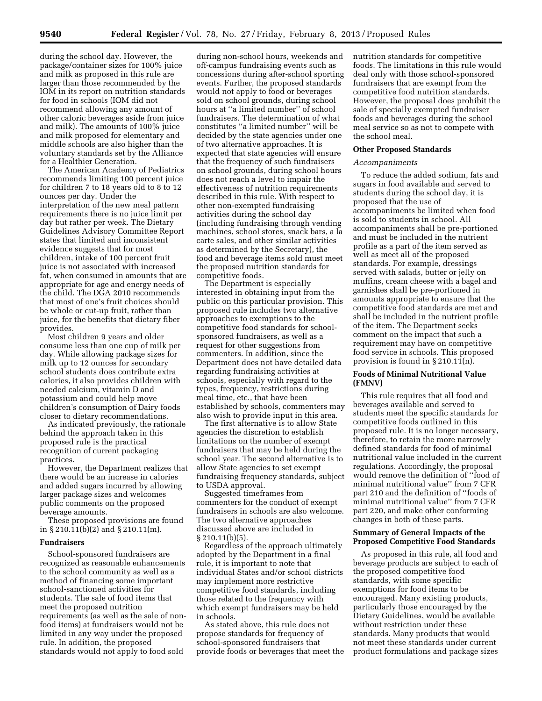during the school day. However, the package/container sizes for 100% juice and milk as proposed in this rule are larger than those recommended by the IOM in its report on nutrition standards for food in schools (IOM did not recommend allowing any amount of other caloric beverages aside from juice and milk). The amounts of 100% juice and milk proposed for elementary and middle schools are also higher than the voluntary standards set by the Alliance for a Healthier Generation.

The American Academy of Pediatrics recommends limiting 100 percent juice for children 7 to 18 years old to 8 to 12 ounces per day. Under the interpretation of the new meal pattern requirements there is no juice limit per day but rather per week. The Dietary Guidelines Advisory Committee Report states that limited and inconsistent evidence suggests that for most children, intake of 100 percent fruit juice is not associated with increased fat, when consumed in amounts that are appropriate for age and energy needs of the child. The DGA 2010 recommends that most of one's fruit choices should be whole or cut-up fruit, rather than juice, for the benefits that dietary fiber provides.

Most children 9 years and older consume less than one cup of milk per day. While allowing package sizes for milk up to 12 ounces for secondary school students does contribute extra calories, it also provides children with needed calcium, vitamin D and potassium and could help move children's consumption of Dairy foods closer to dietary recommendations.

As indicated previously, the rationale behind the approach taken in this proposed rule is the practical recognition of current packaging practices.

However, the Department realizes that there would be an increase in calories and added sugars incurred by allowing larger package sizes and welcomes public comments on the proposed beverage amounts.

These proposed provisions are found in § 210.11(b)(2) and § 210.11(m).

#### **Fundraisers**

School-sponsored fundraisers are recognized as reasonable enhancements to the school community as well as a method of financing some important school-sanctioned activities for students. The sale of food items that meet the proposed nutrition requirements (as well as the sale of nonfood items) at fundraisers would not be limited in any way under the proposed rule. In addition, the proposed standards would not apply to food sold

during non-school hours, weekends and off-campus fundraising events such as concessions during after-school sporting events. Further, the proposed standards would not apply to food or beverages sold on school grounds, during school hours at ''a limited number'' of school fundraisers. The determination of what constitutes ''a limited number'' will be decided by the state agencies under one of two alternative approaches. It is expected that state agencies will ensure that the frequency of such fundraisers on school grounds, during school hours does not reach a level to impair the effectiveness of nutrition requirements described in this rule. With respect to other non-exempted fundraising activities during the school day (including fundraising through vending machines, school stores, snack bars, a la carte sales, and other similar activities as determined by the Secretary), the food and beverage items sold must meet the proposed nutrition standards for competitive foods.

The Department is especially interested in obtaining input from the public on this particular provision. This proposed rule includes two alternative approaches to exemptions to the competitive food standards for schoolsponsored fundraisers, as well as a request for other suggestions from commenters. In addition, since the Department does not have detailed data regarding fundraising activities at schools, especially with regard to the types, frequency, restrictions during meal time, etc., that have been established by schools, commenters may also wish to provide input in this area.

The first alternative is to allow State agencies the discretion to establish limitations on the number of exempt fundraisers that may be held during the school year. The second alternative is to allow State agencies to set exempt fundraising frequency standards, subject to USDA approval.

Suggested timeframes from commenters for the conduct of exempt fundraisers in schools are also welcome. The two alternative approaches discussed above are included in § 210.11(b)(5).

Regardless of the approach ultimately adopted by the Department in a final rule, it is important to note that individual States and/or school districts may implement more restrictive competitive food standards, including those related to the frequency with which exempt fundraisers may be held in schools.

As stated above, this rule does not propose standards for frequency of school-sponsored fundraisers that provide foods or beverages that meet the nutrition standards for competitive foods. The limitations in this rule would deal only with those school-sponsored fundraisers that are exempt from the competitive food nutrition standards. However, the proposal does prohibit the sale of specially exempted fundraiser foods and beverages during the school meal service so as not to compete with the school meal.

#### **Other Proposed Standards**

#### *Accompaniments*

To reduce the added sodium, fats and sugars in food available and served to students during the school day, it is proposed that the use of accompaniments be limited when food is sold to students in school. All accompaniments shall be pre-portioned and must be included in the nutrient profile as a part of the item served as well as meet all of the proposed standards. For example, dressings served with salads, butter or jelly on muffins, cream cheese with a bagel and garnishes shall be pre-portioned in amounts appropriate to ensure that the competitive food standards are met and shall be included in the nutrient profile of the item. The Department seeks comment on the impact that such a requirement may have on competitive food service in schools. This proposed provision is found in § 210.11(n).

## **Foods of Minimal Nutritional Value (FMNV)**

This rule requires that all food and beverages available and served to students meet the specific standards for competitive foods outlined in this proposed rule. It is no longer necessary, therefore, to retain the more narrowly defined standards for food of minimal nutritional value included in the current regulations. Accordingly, the proposal would remove the definition of ''food of minimal nutritional value'' from 7 CFR part 210 and the definition of ''foods of minimal nutritional value'' from 7 CFR part 220, and make other conforming changes in both of these parts.

#### **Summary of General Impacts of the Proposed Competitive Food Standards**

As proposed in this rule, all food and beverage products are subject to each of the proposed competitive food standards, with some specific exemptions for food items to be encouraged. Many existing products, particularly those encouraged by the Dietary Guidelines, would be available without restriction under these standards. Many products that would not meet these standards under current product formulations and package sizes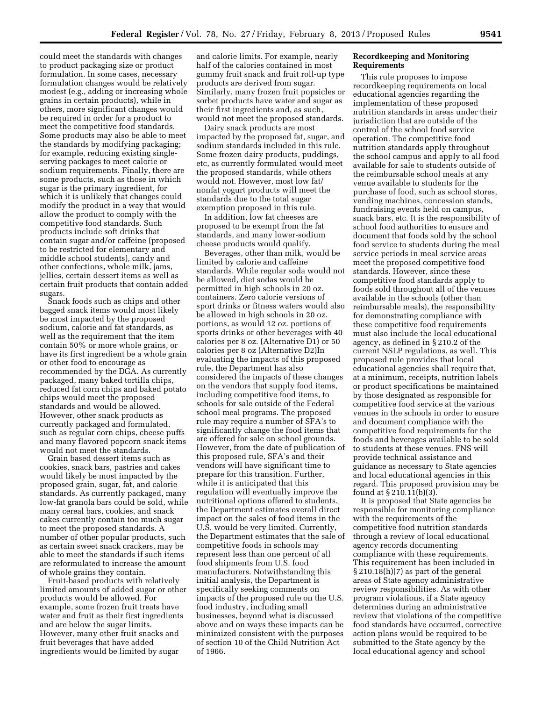could meet the standards with changes to product packaging size or product formulation. In some cases, necessary formulation changes would be relatively modest (e.g., adding or increasing whole grains in certain products), while in others, more significant changes would be required in order for a product to meet the competitive food standards. Some products may also be able to meet the standards by modifying packaging; for example, reducing existing singleserving packages to meet calorie or sodium requirements. Finally, there are some products, such as those in which sugar is the primary ingredient, for which it is unlikely that changes could modify the product in a way that would allow the product to comply with the competitive food standards. Such products include soft drinks that contain sugar and/or caffeine (proposed to be restricted for elementary and middle school students), candy and other confections, whole milk, jams, jellies, certain dessert items as well as certain fruit products that contain added sugars.

Snack foods such as chips and other bagged snack items would most likely be most impacted by the proposed sodium, calorie and fat standards, as well as the requirement that the item contain 50% or more whole grains, or have its first ingredient be a whole grain or other food to encourage as recommended by the DGA. As currently packaged, many baked tortilla chips, reduced fat corn chips and baked potato chips would meet the proposed standards and would be allowed. However, other snack products as currently packaged and formulated, such as regular corn chips, cheese puffs and many flavored popcorn snack items would not meet the standards.

Grain based dessert items such as cookies, snack bars, pastries and cakes would likely be most impacted by the proposed grain, sugar, fat, and calorie standards. As currently packaged, many low-fat granola bars could be sold, while many cereal bars, cookies, and snack cakes currently contain too much sugar to meet the proposed standards. A number of other popular products, such as certain sweet snack crackers, may be able to meet the standards if such items are reformulated to increase the amount of whole grains they contain.

Fruit-based products with relatively limited amounts of added sugar or other products would be allowed. For example, some frozen fruit treats have water and fruit as their first ingredients and are below the sugar limits. However, many other fruit snacks and fruit beverages that have added ingredients would be limited by sugar

and calorie limits. For example, nearly half of the calories contained in most gummy fruit snack and fruit roll-up type products are derived from sugar. Similarly, many frozen fruit popsicles or sorbet products have water and sugar as their first ingredients and, as such, would not meet the proposed standards.

Dairy snack products are most impacted by the proposed fat, sugar, and sodium standards included in this rule. Some frozen dairy products, puddings, etc, as currently formulated would meet the proposed standards, while others would not. However, most low fat/ nonfat yogurt products will meet the standards due to the total sugar exemption proposed in this rule.

In addition, low fat cheeses are proposed to be exempt from the fat standards, and many lower-sodium cheese products would qualify.

Beverages, other than milk, would be limited by calorie and caffeine standards. While regular soda would not be allowed, diet sodas would be permitted in high schools in 20 oz. containers. Zero calorie versions of sport drinks or fitness waters would also be allowed in high schools in 20 oz. portions, as would 12 oz. portions of sports drinks or other beverages with 40 calories per 8 oz. (Alternative D1) or 50 calories per 8 oz (Alternative D2)In evaluating the impacts of this proposed rule, the Department has also considered the impacts of these changes on the vendors that supply food items, including competitive food items, to schools for sale outside of the Federal school meal programs. The proposed rule may require a number of SFA's to significantly change the food items that are offered for sale on school grounds. However, from the date of publication of this proposed rule, SFA's and their vendors will have significant time to prepare for this transition. Further, while it is anticipated that this regulation will eventually improve the nutritional options offered to students, the Department estimates overall direct impact on the sales of food items in the U.S. would be very limited. Currently, the Department estimates that the sale of competitive foods in schools may represent less than one percent of all food shipments from U.S. food manufacturers. Notwithstanding this initial analysis, the Department is specifically seeking comments on impacts of the proposed rule on the U.S. food industry, including small businesses, beyond what is discussed above and on ways these impacts can be minimized consistent with the purposes of section 10 of the Child Nutrition Act of 1966.

#### **Recordkeeping and Monitoring Requirements**

This rule proposes to impose recordkeeping requirements on local educational agencies regarding the implementation of these proposed nutrition standards in areas under their jurisdiction that are outside of the control of the school food service operation. The competitive food nutrition standards apply throughout the school campus and apply to all food available for sale to students outside of the reimbursable school meals at any venue available to students for the purchase of food, such as school stores, vending machines, concession stands, fundraising events held on campus, snack bars, etc. It is the responsibility of school food authorities to ensure and document that foods sold by the school food service to students during the meal service periods in meal service areas meet the proposed competitive food standards. However, since these competitive food standards apply to foods sold throughout all of the venues available in the schools (other than reimbursable meals), the responsibility for demonstrating compliance with these competitive food requirements must also include the local educational agency, as defined in § 210.2 of the current NSLP regulations, as well. This proposed rule provides that local educational agencies shall require that, at a minimum, receipts, nutrition labels or product specifications be maintained by those designated as responsible for competitive food service at the various venues in the schools in order to ensure and document compliance with the competitive food requirements for the foods and beverages available to be sold to students at these venues. FNS will provide technical assistance and guidance as necessary to State agencies and local educational agencies in this regard. This proposed provision may be found at § 210.11(b)(3).

It is proposed that State agencies be responsible for monitoring compliance with the requirements of the competitive food nutrition standards through a review of local educational agency records documenting compliance with these requirements. This requirement has been included in § 210.18(h)(7) as part of the general areas of State agency administrative review responsibilities. As with other program violations, if a State agency determines during an administrative review that violations of the competitive food standards have occurred, corrective action plans would be required to be submitted to the State agency by the local educational agency and school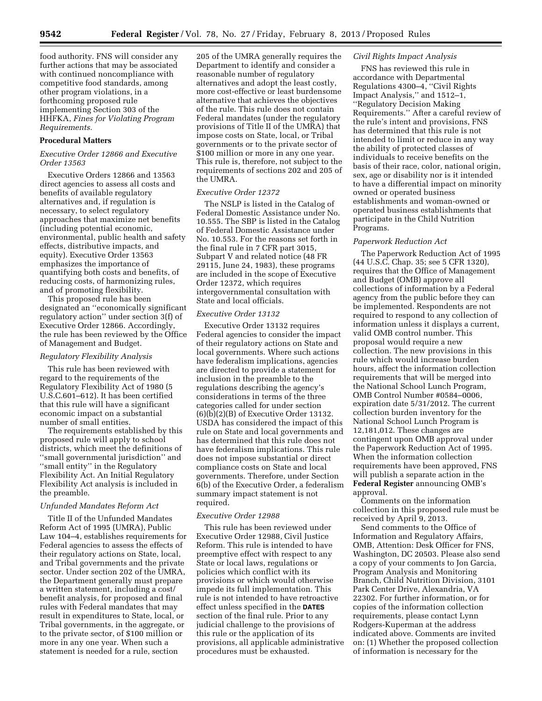food authority. FNS will consider any further actions that may be associated with continued noncompliance with competitive food standards, among other program violations, in a forthcoming proposed rule implementing Section 303 of the HHFKA, *Fines for Violating Program Requirements.* 

# **Procedural Matters**

## *Executive Order 12866 and Executive Order 13563*

Executive Orders 12866 and 13563 direct agencies to assess all costs and benefits of available regulatory alternatives and, if regulation is necessary, to select regulatory approaches that maximize net benefits (including potential economic, environmental, public health and safety effects, distributive impacts, and equity). Executive Order 13563 emphasizes the importance of quantifying both costs and benefits, of reducing costs, of harmonizing rules, and of promoting flexibility.

This proposed rule has been designated an ''economically significant regulatory action'' under section 3(f) of Executive Order 12866. Accordingly, the rule has been reviewed by the Office of Management and Budget.

#### *Regulatory Flexibility Analysis*

This rule has been reviewed with regard to the requirements of the Regulatory Flexibility Act of 1980 (5 U.S.C.601–612). It has been certified that this rule will have a significant economic impact on a substantial number of small entities.

The requirements established by this proposed rule will apply to school districts, which meet the definitions of ''small governmental jurisdiction'' and ''small entity'' in the Regulatory Flexibility Act. An Initial Regulatory Flexibility Act analysis is included in the preamble.

## *Unfunded Mandates Reform Act*

Title II of the Unfunded Mandates Reform Act of 1995 (UMRA), Public Law 104–4, establishes requirements for Federal agencies to assess the effects of their regulatory actions on State, local, and Tribal governments and the private sector. Under section 202 of the UMRA, the Department generally must prepare a written statement, including a cost/ benefit analysis, for proposed and final rules with Federal mandates that may result in expenditures to State, local, or Tribal governments, in the aggregate, or to the private sector, of \$100 million or more in any one year. When such a statement is needed for a rule, section

205 of the UMRA generally requires the Department to identify and consider a reasonable number of regulatory alternatives and adopt the least costly, more cost-effective or least burdensome alternative that achieves the objectives of the rule. This rule does not contain Federal mandates (under the regulatory provisions of Title II of the UMRA) that impose costs on State, local, or Tribal governments or to the private sector of \$100 million or more in any one year. This rule is, therefore, not subject to the requirements of sections 202 and 205 of the UMRA.

# *Executive Order 12372*

The NSLP is listed in the Catalog of Federal Domestic Assistance under No. 10.555. The SBP is listed in the Catalog of Federal Domestic Assistance under No. 10.553. For the reasons set forth in the final rule in 7 CFR part 3015, Subpart V and related notice (48 FR 29115, June 24, 1983), these programs are included in the scope of Executive Order 12372, which requires intergovernmental consultation with State and local officials.

### *Executive Order 13132*

Executive Order 13132 requires Federal agencies to consider the impact of their regulatory actions on State and local governments. Where such actions have federalism implications, agencies are directed to provide a statement for inclusion in the preamble to the regulations describing the agency's considerations in terms of the three categories called for under section (6)(b)(2)(B) of Executive Order 13132. USDA has considered the impact of this rule on State and local governments and has determined that this rule does not have federalism implications. This rule does not impose substantial or direct compliance costs on State and local governments. Therefore, under Section 6(b) of the Executive Order, a federalism summary impact statement is not required.

#### *Executive Order 12988*

This rule has been reviewed under Executive Order 12988, Civil Justice Reform. This rule is intended to have preemptive effect with respect to any State or local laws, regulations or policies which conflict with its provisions or which would otherwise impede its full implementation. This rule is not intended to have retroactive effect unless specified in the **DATES** section of the final rule. Prior to any judicial challenge to the provisions of this rule or the application of its provisions, all applicable administrative procedures must be exhausted.

# *Civil Rights Impact Analysis*

FNS has reviewed this rule in accordance with Departmental Regulations 4300–4, ''Civil Rights Impact Analysis,'' and 1512–1, ''Regulatory Decision Making Requirements.'' After a careful review of the rule's intent and provisions, FNS has determined that this rule is not intended to limit or reduce in any way the ability of protected classes of individuals to receive benefits on the basis of their race, color, national origin, sex, age or disability nor is it intended to have a differential impact on minority owned or operated business establishments and woman-owned or operated business establishments that participate in the Child Nutrition Programs.

#### *Paperwork Reduction Act*

The Paperwork Reduction Act of 1995 (44 U.S.C. Chap. 35; see 5 CFR 1320), requires that the Office of Management and Budget (OMB) approve all collections of information by a Federal agency from the public before they can be implemented. Respondents are not required to respond to any collection of information unless it displays a current, valid OMB control number. This proposal would require a new collection. The new provisions in this rule which would increase burden hours, affect the information collection requirements that will be merged into the National School Lunch Program, OMB Control Number #0584–0006, expiration date 5/31/2012. The current collection burden inventory for the National School Lunch Program is 12,181,012. These changes are contingent upon OMB approval under the Paperwork Reduction Act of 1995. When the information collection requirements have been approved, FNS will publish a separate action in the **Federal Register** announcing OMB's approval.

Comments on the information collection in this proposed rule must be received by April 9, 2013.

Send comments to the Office of Information and Regulatory Affairs, OMB, Attention: Desk Officer for FNS, Washington, DC 20503. Please also send a copy of your comments to Jon Garcia, Program Analysis and Monitoring Branch, Child Nutrition Division, 3101 Park Center Drive, Alexandria, VA 22302. For further information, or for copies of the information collection requirements, please contact Lynn Rodgers-Kuperman at the address indicated above. Comments are invited on: (1) Whether the proposed collection of information is necessary for the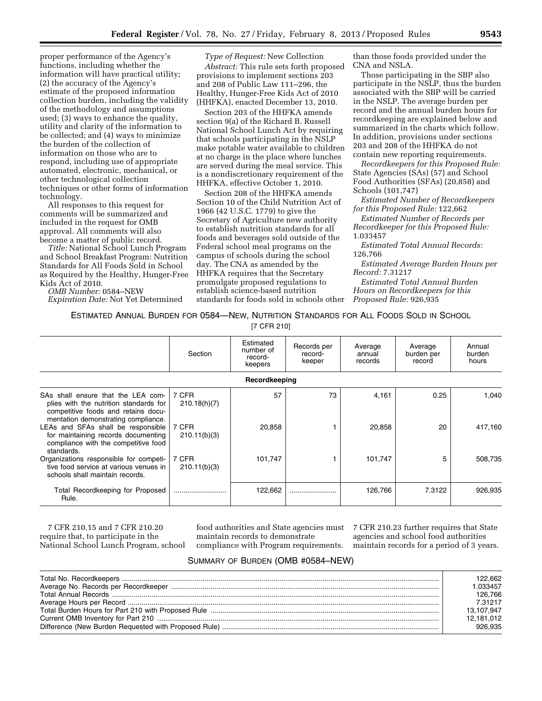proper performance of the Agency's functions, including whether the information will have practical utility; (2) the accuracy of the Agency's estimate of the proposed information collection burden, including the validity of the methodology and assumptions used; (3) ways to enhance the quality, utility and clarity of the information to be collected; and (4) ways to minimize the burden of the collection of information on those who are to respond, including use of appropriate automated, electronic, mechanical, or other technological collection techniques or other forms of information technology.

All responses to this request for comments will be summarized and included in the request for OMB approval. All comments will also become a matter of public record.

*Title:* National School Lunch Program and School Breakfast Program: Nutrition Standards for All Foods Sold in School as Required by the Healthy, Hunger-Free Kids Act of 2010.

*OMB Number:* 0584–NEW *Expiration Date:* Not Yet Determined

*Type of Request:* New Collection *Abstract:* This rule sets forth proposed provisions to implement sections 203 and 208 of Public Law 111–296, the Healthy, Hunger-Free Kids Act of 2010 (HHFKA), enacted December 13, 2010.

Section 203 of the HHFKA amends section 9(a) of the Richard B. Russell National School Lunch Act by requiring that schools participating in the NSLP make potable water available to children at no charge in the place where lunches are served during the meal service. This is a nondiscretionary requirement of the HHFKA, effective October 1, 2010.

Section 208 of the HHFKA amends Section 10 of the Child Nutrition Act of 1966 (42 U.S.C. 1779) to give the Secretary of Agriculture new authority to establish nutrition standards for all foods and beverages sold outside of the Federal school meal programs on the campus of schools during the school day. The CNA as amended by the HHFKA requires that the Secretary promulgate proposed regulations to establish science-based nutrition standards for foods sold in schools other

than those foods provided under the CNA and NSLA.

Those participating in the SBP also participate in the NSLP, thus the burden associated with the SBP will be carried in the NSLP. The average burden per record and the annual burden hours for recordkeeping are explained below and summarized in the charts which follow. In addition, provisions under sections 203 and 208 of the HHFKA do not contain new reporting requirements.

*Recordkeepers for this Proposed Rule:*  State Agencies (SAs) (57) and School Food Authorities (SFAs) (20,858) and Schools (101,747)

*Estimated Number of Recordkeepers for this Proposed Rule:* 122,662

*Estimated Number of Records per Recordkeeper for this Proposed Rule:*  1.033457

*Estimated Total Annual Records:*  126,766

*Estimated Average Burden Hours per Record:* 7.31217

*Estimated Total Annual Burden Hours on Recordkeepers for this Proposed Rule:* 926,935

ESTIMATED ANNUAL BURDEN FOR 0584—NEW, NUTRITION STANDARDS FOR ALL FOODS SOLD IN SCHOOL

[7 CFR 210]

|                                                                                                                                                            | Section               | Estimated<br>number of<br>record-<br>keepers | Records per<br>record-<br>keeper | Average<br>annual<br>records | Average<br>burden per<br>record | Annual<br>burden<br>hours |
|------------------------------------------------------------------------------------------------------------------------------------------------------------|-----------------------|----------------------------------------------|----------------------------------|------------------------------|---------------------------------|---------------------------|
|                                                                                                                                                            |                       | Recordkeeping                                |                                  |                              |                                 |                           |
| SAs shall ensure that the LEA com-<br>plies with the nutrition standards for<br>competitive foods and retains docu-<br>mentation demonstrating compliance. | 7 CFR<br>210.18(h)(7) | 57                                           | 73                               | 4,161                        | 0.25                            | 1.040                     |
| LEAs and SFAs shall be responsible<br>for maintaining records documenting<br>compliance with the competitive food<br>standards.                            | 7 CFR<br>210.11(b)(3) | 20,858                                       |                                  | 20,858                       | 20                              | 417,160                   |
| Organizations responsible for competi-<br>tive food service at various venues in<br>schools shall maintain records.                                        | 7 CFR<br>210.11(b)(3) | 101,747                                      |                                  | 101,747                      | 5                               | 508,735                   |
| Total Recordkeeping for Proposed<br>Rule.                                                                                                                  |                       | 122,662                                      |                                  | 126,766                      | 7.3122                          | 926,935                   |

7 CFR 210.15 and 7 CFR 210.20 require that, to participate in the National School Lunch Program, school food authorities and State agencies must maintain records to demonstrate compliance with Program requirements.

7 CFR 210.23 further requires that State agencies and school food authorities maintain records for a period of 3 years.

# SUMMARY OF BURDEN (OMB #0584–NEW)

| 122.662    |
|------------|
| .033457    |
| 126.766    |
| 7.31217    |
| 13.107.947 |
| 12.181.012 |
| 926.935    |
|            |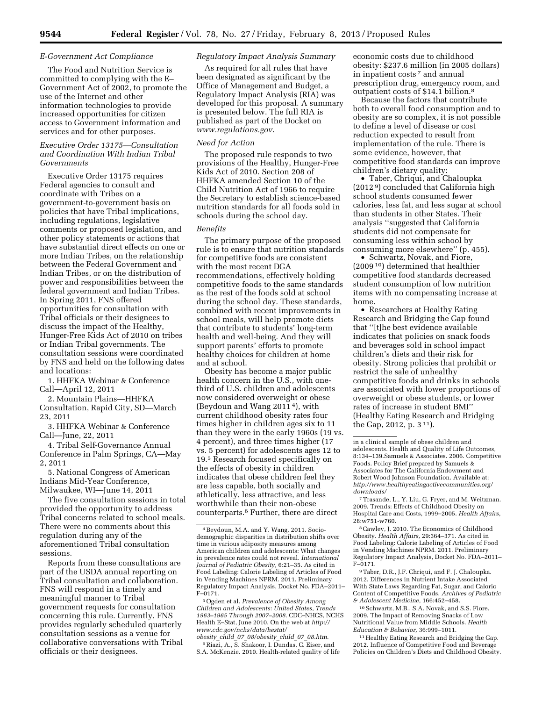#### *E-Government Act Compliance*

The Food and Nutrition Service is committed to complying with the E– Government Act of 2002, to promote the use of the Internet and other information technologies to provide increased opportunities for citizen access to Government information and services and for other purposes.

# *Executive Order 13175—Consultation and Coordination With Indian Tribal Governments*

Executive Order 13175 requires Federal agencies to consult and coordinate with Tribes on a government-to-government basis on policies that have Tribal implications, including regulations, legislative comments or proposed legislation, and other policy statements or actions that have substantial direct effects on one or more Indian Tribes, on the relationship between the Federal Government and Indian Tribes, or on the distribution of power and responsibilities between the federal government and Indian Tribes. In Spring 2011, FNS offered opportunities for consultation with Tribal officials or their designees to discuss the impact of the Healthy, Hunger-Free Kids Act of 2010 on tribes or Indian Tribal governments. The consultation sessions were coordinated by FNS and held on the following dates and locations:

1. HHFKA Webinar & Conference Call—April 12, 2011

2. Mountain Plains—HHFKA Consultation, Rapid City, SD—March 23, 2011

3. HHFKA Webinar & Conference Call—June, 22, 2011

4. Tribal Self-Governance Annual Conference in Palm Springs, CA—May 2, 2011

5. National Congress of American Indians Mid-Year Conference, Milwaukee, WI—June 14, 2011

The five consultation sessions in total provided the opportunity to address Tribal concerns related to school meals. There were no comments about this regulation during any of the aforementioned Tribal consultation sessions.

Reports from these consultations are part of the USDA annual reporting on Tribal consultation and collaboration. FNS will respond in a timely and meaningful manner to Tribal government requests for consultation concerning this rule. Currently, FNS provides regularly scheduled quarterly consultation sessions as a venue for collaborative conversations with Tribal officials or their designees.

## *Regulatory Impact Analysis Summary*

As required for all rules that have been designated as significant by the Office of Management and Budget, a Regulatory Impact Analysis (RIA) was developed for this proposal. A summary is presented below. The full RIA is published as part of the Docket on *[www.regulations.gov](http://www.regulations.gov)*.

## *Need for Action*

The proposed rule responds to two provisions of the Healthy, Hunger-Free Kids Act of 2010. Section 208 of HHFKA amended Section 10 of the Child Nutrition Act of 1966 to require the Secretary to establish science-based nutrition standards for all foods sold in schools during the school day.

#### *Benefits*

The primary purpose of the proposed rule is to ensure that nutrition standards for competitive foods are consistent with the most recent DGA recommendations, effectively holding competitive foods to the same standards as the rest of the foods sold at school during the school day. These standards, combined with recent improvements in school meals, will help promote diets that contribute to students' long-term health and well-being. And they will support parents' efforts to promote healthy choices for children at home and at school.

Obesity has become a major public health concern in the U.S., with onethird of U.S. children and adolescents now considered overweight or obese (Beydoun and Wang 2011 4), with current childhood obesity rates four times higher in children ages six to 11 than they were in the early 1960s (19 vs. 4 percent), and three times higher (17 vs. 5 percent) for adolescents ages 12 to 19.5 Research focused specifically on the effects of obesity in children indicates that obese children feel they are less capable, both socially and athletically, less attractive, and less worthwhile than their non-obese counterparts.6 Further, there are direct

5Ogden et al. *Prevalence of Obesity Among Children and Adolescents: United States, Trends 1963–1965 Through 2007–2008.* CDC–NHCS, NCHS Health E–Stat, June 2010. On the web at *[http://](http://www.cdc.gov/nchs/data/hestat/obesity_child_07_08/obesity_child_07_08.htm)  [www.cdc.gov/nchs/data/hestat/](http://www.cdc.gov/nchs/data/hestat/obesity_child_07_08/obesity_child_07_08.htm) obesity*\_*child*\_*07*\_*[08/obesity](http://www.cdc.gov/nchs/data/hestat/obesity_child_07_08/obesity_child_07_08.htm)*\_*child*\_*07*\_*08.htm*.

6Riazi, A., S. Shakoor, I. Dundas, C. Eiser, and S.A. McKenzie. 2010. Health-related quality of life

economic costs due to childhood obesity: \$237.6 million (in 2005 dollars) in inpatient costs 7 and annual prescription drug, emergency room, and outpatient costs of \$14.1 billion.<sup>8</sup>

Because the factors that contribute both to overall food consumption and to obesity are so complex, it is not possible to define a level of disease or cost reduction expected to result from implementation of the rule. There is some evidence, however, that competitive food standards can improve children's dietary quality:

• Taber, Chriqui, and Chaloupka (2012 9) concluded that California high school students consumed fewer calories, less fat, and less sugar at school than students in other States. Their analysis ''suggested that California students did not compensate for consuming less within school by consuming more elsewhere'' (p. 455).

• Schwartz, Novak, and Fiore, (2009 10) determined that healthier competitive food standards decreased student consumption of low nutrition items with no compensating increase at home.

• Researchers at Healthy Eating Research and Bridging the Gap found that ''[t]he best evidence available indicates that policies on snack foods and beverages sold in school impact children's diets and their risk for obesity. Strong policies that prohibit or restrict the sale of unhealthy competitive foods and drinks in schools are associated with lower proportions of overweight or obese students, or lower rates of increase in student BMI'' (Healthy Eating Research and Bridging the Gap, 2012, p. 3 11).

7Trasande, L., Y. Liu, G. Fryer, and M. Weitzman. 2009. Trends: Effects of Childhood Obesity on Hospital Care and Costs, 1999–2005. *Health Affairs,*  28:w751-w760.

8Cawley, J. 2010. The Economics of Childhood Obesity. *Health Affairs,* 29:364–371. As cited in Food Labeling: Calorie Labeling of Articles of Food in Vending Machines NPRM. 2011. Preliminary Regulatory Impact Analysis, Docket No. FDA–2011– F–0171.

9Taber, D.R., J.F. Chriqui, and F. J. Chaloupka. 2012. Differences in Nutrient Intake Associated With State Laws Regarding Fat, Sugar, and Caloric Content of Competitive Foods. *Archives of Pediatric & Adolescent Medicine,* 166:452–458.

10Schwartz, M.B., S.A. Novak, and S.S. Fiore. 2009. The Impact of Removing Snacks of Low Nutritional Value from Middle Schools. *Health Education & Behavior,* 36:999–1011.

<sup>11</sup> Healthy Eating Research and Bridging the Gap. 2012. Influence of Competitive Food and Beverage Policies on Children's Diets and Childhood Obesity.

<sup>4</sup>Beydoun, M.A. and Y. Wang. 2011. Sociodemographic disparities in distribution shifts over time in various adiposity measures among American children and adolescents: What changes in prevalence rates could not reveal. *International Journal of Pediatric Obesity,* 6:21–35. As cited in Food Labeling: Calorie Labeling of Articles of Food in Vending Machines NPRM. 2011. Preliminary Regulatory Impact Analysis, Docket No. FDA–2011– F–0171.

in a clinical sample of obese children and adolescents. Health and Quality of Life Outcomes, 8:134–139.Samuels & Associates. 2006. Competitive Foods. Policy Brief prepared by Samuels & Associates for The California Endowment and Robert Wood Johnson Foundation. Available at: *[http://www.healthyeatingactivecommunities.org/](http://www.healthyeatingactivecommunities.org/downloads/)  [downloads/](http://www.healthyeatingactivecommunities.org/downloads/)*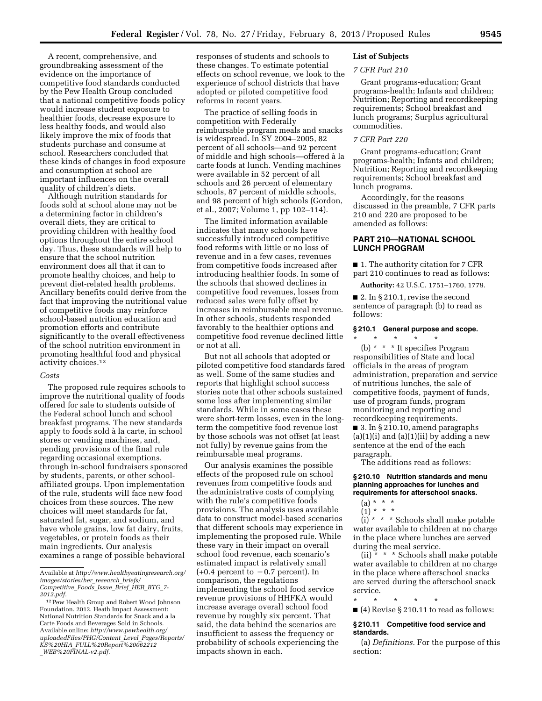A recent, comprehensive, and groundbreaking assessment of the evidence on the importance of competitive food standards conducted by the Pew Health Group concluded that a national competitive foods policy would increase student exposure to healthier foods, decrease exposure to less healthy foods, and would also likely improve the mix of foods that students purchase and consume at school. Researchers concluded that these kinds of changes in food exposure and consumption at school are important influences on the overall quality of children's diets.

Although nutrition standards for foods sold at school alone may not be a determining factor in children's overall diets, they are critical to providing children with healthy food options throughout the entire school day. Thus, these standards will help to ensure that the school nutrition environment does all that it can to promote healthy choices, and help to prevent diet-related health problems. Ancillary benefits could derive from the fact that improving the nutritional value of competitive foods may reinforce school-based nutrition education and promotion efforts and contribute significantly to the overall effectiveness of the school nutrition environment in promoting healthful food and physical activity choices.12

#### *Costs*

The proposed rule requires schools to improve the nutritional quality of foods offered for sale to students outside of the Federal school lunch and school breakfast programs. The new standards apply to foods sold à la carte, in school stores or vending machines, and, pending provisions of the final rule regarding occasional exemptions, through in-school fundraisers sponsored by students, parents, or other schoolaffiliated groups. Upon implementation of the rule, students will face new food choices from these sources. The new choices will meet standards for fat, saturated fat, sugar, and sodium, and have whole grains, low fat dairy, fruits, vegetables, or protein foods as their main ingredients. Our analysis examines a range of possible behavioral

responses of students and schools to these changes. To estimate potential effects on school revenue, we look to the experience of school districts that have adopted or piloted competitive food reforms in recent years.

The practice of selling foods in competition with Federally reimbursable program meals and snacks is widespread. In SY 2004–2005, 82 percent of all schools—and 92 percent of middle and high schools—offered a` la carte foods at lunch. Vending machines were available in 52 percent of all schools and 26 percent of elementary schools, 87 percent of middle schools, and 98 percent of high schools (Gordon, et al., 2007; Volume 1, pp 102–114).

The limited information available indicates that many schools have successfully introduced competitive food reforms with little or no loss of revenue and in a few cases, revenues from competitive foods increased after introducing healthier foods. In some of the schools that showed declines in competitive food revenues, losses from reduced sales were fully offset by increases in reimbursable meal revenue. In other schools, students responded favorably to the healthier options and competitive food revenue declined little or not at all.

But not all schools that adopted or piloted competitive food standards fared as well. Some of the same studies and reports that highlight school success stories note that other schools sustained some loss after implementing similar standards. While in some cases these were short-term losses, even in the longterm the competitive food revenue lost by those schools was not offset (at least not fully) by revenue gains from the reimbursable meal programs.

Our analysis examines the possible effects of the proposed rule on school revenues from competitive foods and the administrative costs of complying with the rule's competitive foods provisions. The analysis uses available data to construct model-based scenarios that different schools may experience in implementing the proposed rule. While these vary in their impact on overall school food revenue, each scenario's estimated impact is relatively small  $(+0.4$  percent to  $-0.7$  percent). In comparison, the regulations implementing the school food service revenue provisions of HHFKA would increase average overall school food revenue by roughly six percent. That said, the data behind the scenarios are insufficient to assess the frequency or probability of schools experiencing the impacts shown in each.

# **List of Subjects**

#### *7 CFR Part 210*

Grant programs-education; Grant programs-health; Infants and children; Nutrition; Reporting and recordkeeping requirements; School breakfast and lunch programs; Surplus agricultural commodities.

# *7 CFR Part 220*

Grant programs-education; Grant programs-health; Infants and children; Nutrition; Reporting and recordkeeping requirements; School breakfast and lunch programs.

Accordingly, for the reasons discussed in the preamble, 7 CFR parts 210 and 220 are proposed to be amended as follows:

# **PART 210—NATIONAL SCHOOL LUNCH PROGRAM**

■ 1. The authority citation for 7 CFR part 210 continues to read as follows:

**Authority:** 42 U.S.C. 1751–1760, 1779.

 $\blacksquare$  2. In § 210.1, revise the second sentence of paragraph (b) to read as follows:

#### **§ 210.1 General purpose and scope.**  \* \* \* \* \*

(b) \* \* \* It specifies Program responsibilities of State and local officials in the areas of program administration, preparation and service of nutritious lunches, the sale of competitive foods, payment of funds, use of program funds, program monitoring and reporting and recordkeeping requirements.

■ 3. In § 210.10, amend paragraphs  $(a)(1)(i)$  and  $(a)(1)(ii)$  by adding a new sentence at the end of the each paragraph.

The additions read as follows:

#### **§ 210.10 Nutrition standards and menu planning approaches for lunches and requirements for afterschool snacks.**

- (a) \* \* \*
- $(1) * * * *$

 $(i) * * *$  Schools shall make potable water available to children at no charge in the place where lunches are served during the meal service.

(ii)  $* * *$  Schools shall make potable water available to children at no charge in the place where afterschool snacks are served during the afterschool snack service.

\* \* \* \* \*  $(4)$  Revise § 210.11 to read as follows:

# **§ 210.11 Competitive food service and standards.**

(a) *Definitions.* For the purpose of this section:

Available at *[http://www.healthyeatingresearch.org/](http://www.healthyeatingresearch.org/images/stories/her_research_briefs/Competitive_Foods_Issue_Brief_HER_BTG_7-2012.pdf)  [images/stories/her](http://www.healthyeatingresearch.org/images/stories/her_research_briefs/Competitive_Foods_Issue_Brief_HER_BTG_7-2012.pdf)*\_*research*\_*briefs/ [Competitive](http://www.healthyeatingresearch.org/images/stories/her_research_briefs/Competitive_Foods_Issue_Brief_HER_BTG_7-2012.pdf)*\_*Foods*\_*Issue*\_*Brief*\_*HER*\_*BTG*\_*7- [2012.pdf.](http://www.healthyeatingresearch.org/images/stories/her_research_briefs/Competitive_Foods_Issue_Brief_HER_BTG_7-2012.pdf)* 

<sup>12</sup>Pew Health Group and Robert Wood Johnson Foundation. 2012. Heath Impact Assessment: National Nutrition Standards for Snack and a la Carte Foods and Beverages Sold in Schools. Available online: *[http://www.pewhealth.org/](http://www.pewhealth.org/uploadedFiles/PHG/Content_Level_Pages/Reports/KS%20HIA_FULL%20Report%20062212_WEB%20FINAL-v2.pdf)  [uploadedFiles/PHG/Content](http://www.pewhealth.org/uploadedFiles/PHG/Content_Level_Pages/Reports/KS%20HIA_FULL%20Report%20062212_WEB%20FINAL-v2.pdf)*\_*Level*\_*Pages/Reports/ KS%20HIA*\_*[FULL%20Report%20062212](http://www.pewhealth.org/uploadedFiles/PHG/Content_Level_Pages/Reports/KS%20HIA_FULL%20Report%20062212_WEB%20FINAL-v2.pdf)* \_*[WEB%20FINAL-v2.pdf](http://www.pewhealth.org/uploadedFiles/PHG/Content_Level_Pages/Reports/KS%20HIA_FULL%20Report%20062212_WEB%20FINAL-v2.pdf)*.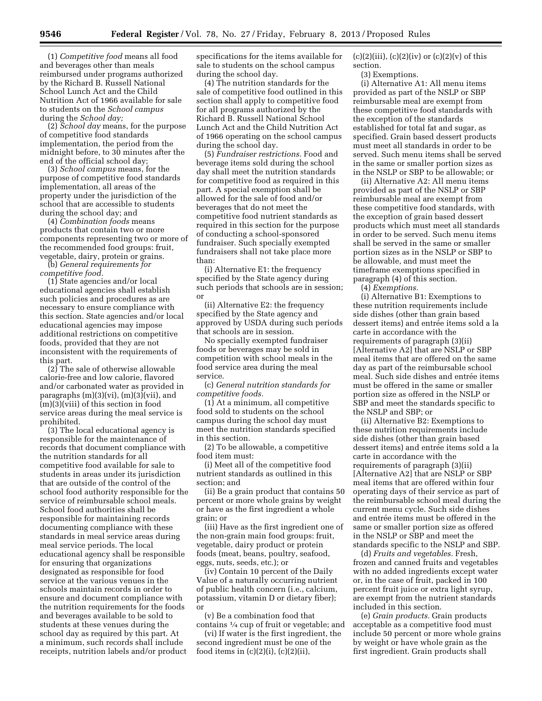(1) *Competitive food* means all food and beverages other than meals reimbursed under programs authorized by the Richard B. Russell National School Lunch Act and the Child Nutrition Act of 1966 available for sale to students on the *School campus*  during the *School day;* 

(2) *School day* means, for the purpose of competitive food standards implementation, the period from the midnight before, to 30 minutes after the end of the official school day;

(3) *School campus* means, for the purpose of competitive food standards implementation, all areas of the property under the jurisdiction of the school that are accessible to students during the school day; and

(4) *Combination foods* means products that contain two or more components representing two or more of the recommended food groups: fruit, vegetable, dairy, protein or grains.

(b) *General requirements for competitive food.* 

(1) State agencies and/or local educational agencies shall establish such policies and procedures as are necessary to ensure compliance with this section. State agencies and/or local educational agencies may impose additional restrictions on competitive foods, provided that they are not inconsistent with the requirements of this part.

(2) The sale of otherwise allowable calorie-free and low calorie, flavored and/or carbonated water as provided in paragraphs  $(m)(3)(vi)$ ,  $(m)(3)(vii)$ , and (m)(3)(viii) of this section in food service areas during the meal service is prohibited.

(3) The local educational agency is responsible for the maintenance of records that document compliance with the nutrition standards for all competitive food available for sale to students in areas under its jurisdiction that are outside of the control of the school food authority responsible for the service of reimbursable school meals. School food authorities shall be responsible for maintaining records documenting compliance with these standards in meal service areas during meal service periods. The local educational agency shall be responsible for ensuring that organizations designated as responsible for food service at the various venues in the schools maintain records in order to ensure and document compliance with the nutrition requirements for the foods and beverages available to be sold to students at these venues during the school day as required by this part. At a minimum, such records shall include receipts, nutrition labels and/or product

specifications for the items available for sale to students on the school campus during the school day.

(4) The nutrition standards for the sale of competitive food outlined in this section shall apply to competitive food for all programs authorized by the Richard B. Russell National School Lunch Act and the Child Nutrition Act of 1966 operating on the school campus during the school day.

(5) *Fundraiser restrictions.* Food and beverage items sold during the school day shall meet the nutrition standards for competitive food as required in this part. A special exemption shall be allowed for the sale of food and/or beverages that do not meet the competitive food nutrient standards as required in this section for the purpose of conducting a school-sponsored fundraiser. Such specially exempted fundraisers shall not take place more than:

(i) Alternative E1: the frequency specified by the State agency during such periods that schools are in session; or

(ii) Alternative E2: the frequency specified by the State agency and approved by USDA during such periods that schools are in session.

No specially exempted fundraiser foods or beverages may be sold in competition with school meals in the food service area during the meal service.

(c) *General nutrition standards for competitive foods.* 

(1) At a minimum, all competitive food sold to students on the school campus during the school day must meet the nutrition standards specified in this section.

(2) To be allowable, a competitive food item must:

(i) Meet all of the competitive food nutrient standards as outlined in this section; and

(ii) Be a grain product that contains 50 percent or more whole grains by weight or have as the first ingredient a whole grain; or

(iii) Have as the first ingredient one of the non-grain main food groups: fruit, vegetable, dairy product or protein foods (meat, beans, poultry, seafood, eggs, nuts, seeds, etc.); or

(iv) Contain 10 percent of the Daily Value of a naturally occurring nutrient of public health concern (i.e., calcium, potassium, vitamin D or dietary fiber); or

(v) Be a combination food that contains 1⁄4 cup of fruit or vegetable; and

(vi) If water is the first ingredient, the second ingredient must be one of the food items in  $(c)(2)(i)$ ,  $(c)(2)(ii)$ ,

 $(c)(2)(iii)$ ,  $(c)(2)(iv)$  or  $(c)(2)(v)$  of this section.

(3) Exemptions.

(i) Alternative A1: All menu items provided as part of the NSLP or SBP reimbursable meal are exempt from these competitive food standards with the exception of the standards established for total fat and sugar, as specified. Grain based dessert products must meet all standards in order to be served. Such menu items shall be served in the same or smaller portion sizes as in the NSLP or SBP to be allowable; or

(ii) Alternative A2: All menu items provided as part of the NSLP or SBP reimbursable meal are exempt from these competitive food standards, with the exception of grain based dessert products which must meet all standards in order to be served. Such menu items shall be served in the same or smaller portion sizes as in the NSLP or SBP to be allowable, and must meet the timeframe exemptions specified in paragraph (4) of this section.

(4) *Exemptions.* 

(i) Alternative B1: Exemptions to these nutrition requirements include side dishes (other than grain based dessert items) and entrée items sold a la carte in accordance with the requirements of paragraph (3)(ii) [Alternative A2] that are NSLP or SBP meal items that are offered on the same day as part of the reimbursable school meal. Such side dishes and entrée items must be offered in the same or smaller portion size as offered in the NSLP or SBP and meet the standards specific to the NSLP and SBP; or

(ii) Alternative B2: Exemptions to these nutrition requirements include side dishes (other than grain based dessert items) and entrée items sold a la carte in accordance with the requirements of paragraph (3)(ii) [Alternative A2] that are NSLP or SBP meal items that are offered within four operating days of their service as part of the reimbursable school meal during the current menu cycle. Such side dishes and entrée items must be offered in the same or smaller portion size as offered in the NSLP or SBP and meet the standards specific to the NSLP and SBP.

(d) *Fruits and vegetables.* Fresh, frozen and canned fruits and vegetables with no added ingredients except water or, in the case of fruit, packed in 100 percent fruit juice or extra light syrup, are exempt from the nutrient standards included in this section.

(e) *Grain products.* Grain products acceptable as a competitive food must include 50 percent or more whole grains by weight or have whole grain as the first ingredient. Grain products shall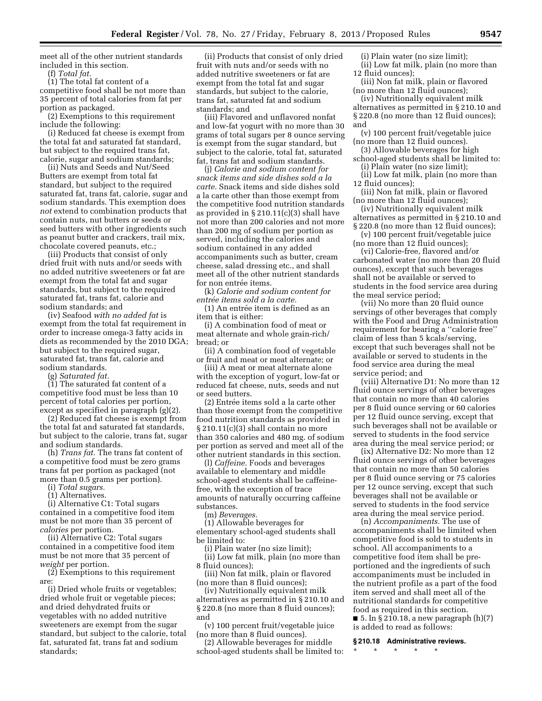meet all of the other nutrient standards included in this section.

(f) *Total fat.* 

(1) The total fat content of a competitive food shall be not more than 35 percent of total calories from fat per portion as packaged.

(2) Exemptions to this requirement include the following:

(i) Reduced fat cheese is exempt from the total fat and saturated fat standard, but subject to the required trans fat, calorie, sugar and sodium standards;

(ii) Nuts and Seeds and Nut/Seed Butters are exempt from total fat standard, but subject to the required saturated fat, trans fat, calorie, sugar and sodium standards. This exemption does *not* extend to combination products that contain nuts, nut butters or seeds or seed butters with other ingredients such as peanut butter and crackers, trail mix, chocolate covered peanuts, etc.;

(iii) Products that consist of only dried fruit with nuts and/or seeds with no added nutritive sweeteners or fat are exempt from the total fat and sugar standards, but subject to the required saturated fat, trans fat, calorie and sodium standards; and

(iv) Seafood *with no added fat* is exempt from the total fat requirement in order to increase omega-3 fatty acids in diets as recommended by the 2010 DGA; but subject to the required sugar, saturated fat, trans fat, calorie and sodium standards.

(g) *Saturated fat.* 

(1) The saturated fat content of a competitive food must be less than 10 percent of total calories per portion, except as specified in paragraph (g)(2).

(2) Reduced fat cheese is exempt from the total fat and saturated fat standards, but subject to the calorie, trans fat, sugar and sodium standards.

(h) *Trans fat.* The trans fat content of a competitive food must be zero grams trans fat per portion as packaged (not more than 0.5 grams per portion).

(i) *Total sugars.* 

(1) Alternatives.

(i) Alternative C1: Total sugars contained in a competitive food item must be not more than 35 percent of *calories* per portion.

(ii) Alternative C2: Total sugars contained in a competitive food item must be not more that 35 percent of *weight* per portion.

(2) Exemptions to this requirement are:

(i) Dried whole fruits or vegetables; dried whole fruit or vegetable pieces; and dried dehydrated fruits or vegetables with no added nutritive sweeteners are exempt from the sugar standard, but subject to the calorie, total fat, saturated fat, trans fat and sodium standards;

(ii) Products that consist of only dried fruit with nuts and/or seeds with no added nutritive sweeteners or fat are exempt from the total fat and sugar standards, but subject to the calorie, trans fat, saturated fat and sodium standards; and

(iii) Flavored and unflavored nonfat and low-fat yogurt with no more than 30 grams of total sugars per 8 ounce serving is exempt from the sugar standard, but subject to the calorie, total fat, saturated fat, trans fat and sodium standards.

(j) *Calorie and sodium content for snack items and side dishes sold a la carte.* Snack items and side dishes sold a la carte other than those exempt from the competitive food nutrition standards as provided in  $\S 210.11(c)(3)$  shall have not more than 200 calories and not more than 200 mg of sodium per portion as served, including the calories and sodium contained in any added accompaniments such as butter, cream cheese, salad dressing etc., and shall meet all of the other nutrient standards for non entrée items.

(k) *Calorie and sodium content for*   $entrée items sold a la carte.$ 

 $(1)$  An entrée item is defined as an item that is either:

(i) A combination food of meat or meat alternate and whole grain-rich/ bread; or

(ii) A combination food of vegetable or fruit and meat or meat alternate; or

(iii) A meat or meat alternate alone with the exception of yogurt, low-fat or reduced fat cheese, nuts, seeds and nut or seed butters.

(2) Entrée items sold a la carte other than those exempt from the competitive food nutrition standards as provided in § 210.11(c)(3) shall contain no more than 350 calories and 480 mg. of sodium per portion as served and meet all of the other nutrient standards in this section.

(l) *Caffeine.* Foods and beverages available to elementary and middle school-aged students shall be caffeinefree, with the exception of trace amounts of naturally occurring caffeine substances.

(m) *Beverages.* 

(1) Allowable beverages for elementary school-aged students shall be limited to:

(i) Plain water (no size limit); (ii) Low fat milk, plain (no more than 8 fluid ounces);

(iii) Non fat milk, plain or flavored (no more than 8 fluid ounces);

(iv) Nutritionally equivalent milk alternatives as permitted in § 210.10 and § 220.8 (no more than 8 fluid ounces); and

(v) 100 percent fruit/vegetable juice (no more than 8 fluid ounces).

(2) Allowable beverages for middle school-aged students shall be limited to:

(i) Plain water (no size limit); (ii) Low fat milk, plain (no more than 12 fluid ounces);

(iii) Non fat milk, plain or flavored (no more than 12 fluid ounces);

(iv) Nutritionally equivalent milk alternatives as permitted in § 210.10 and § 220.8 (no more than 12 fluid ounces); and

(v) 100 percent fruit/vegetable juice (no more than 12 fluid ounces).

(3) Allowable beverages for high school-aged students shall be limited to: (i) Plain water (no size limit);

(ii) Low fat milk, plain (no more than 12 fluid ounces);

(iii) Non fat milk, plain or flavored (no more than 12 fluid ounces);

(iv) Nutritionally equivalent milk alternatives as permitted in § 210.10 and § 220.8 (no more than 12 fluid ounces);

(v) 100 percent fruit/vegetable juice (no more than 12 fluid ounces);

(vi) Calorie-free, flavored and/or carbonated water (no more than 20 fluid ounces), except that such beverages shall not be available or served to students in the food service area during the meal service period;

(vii) No more than 20 fluid ounce servings of other beverages that comply with the Food and Drug Administration requirement for bearing a ''calorie free'' claim of less than 5 kcals/serving, except that such beverages shall not be available or served to students in the food service area during the meal service period; and

(viii) Alternative D1: No more than 12 fluid ounce servings of other beverages that contain no more than 40 calories per 8 fluid ounce serving or 60 calories per 12 fluid ounce serving, except that such beverages shall not be available or served to students in the food service area during the meal service period; or

(ix) Alternative D2: No more than 12 fluid ounce servings of other beverages that contain no more than 50 calories per 8 fluid ounce serving or 75 calories per 12 ounce serving, except that such beverages shall not be available or served to students in the food service area during the meal service period.

(n) *Accompaniments.* The use of accompaniments shall be limited when competitive food is sold to students in school. All accompaniments to a competitive food item shall be preportioned and the ingredients of such accompaniments must be included in the nutrient profile as a part of the food item served and shall meet all of the nutritional standards for competitive food as required in this section. ■ 5. In § 210.18, a new paragraph (h)(7) is added to read as follows:

**§ 210.18 Administrative reviews.**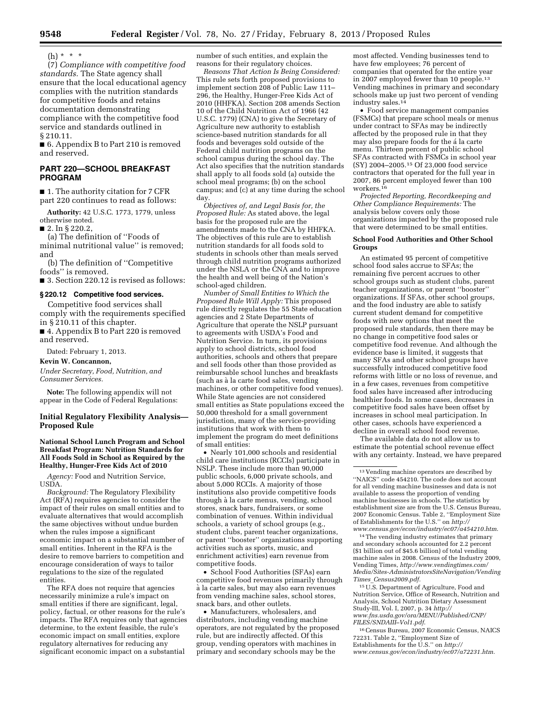(h) \* \* \*

(7) *Compliance with competitive food standards.* The State agency shall ensure that the local educational agency complies with the nutrition standards for competitive foods and retains documentation demonstrating compliance with the competitive food service and standards outlined in § 210.11.

■ 6. Appendix B to Part 210 is removed and reserved.

# **PART 220—SCHOOL BREAKFAST PROGRAM**

■ 1. The authority citation for 7 CFR part 220 continues to read as follows:

**Authority:** 42 U.S.C. 1773, 1779, unless otherwise noted.

■ 2. In § 220.2,

(a) The definition of ''Foods of minimal nutritional value'' is removed; and

(b) The definition of ''Competitive foods'' is removed.

■ 3. Section 220.12 is revised as follows:

# **§ 220.12 Competitive food services.**

Competitive food services shall comply with the requirements specified in § 210.11 of this chapter.

■ 4. Appendix B to Part 220 is removed and reserved.

Dated: February 1, 2013.

#### **Kevin W. Concannon,**

*Under Secretary, Food, Nutrition, and Consumer Services.* 

**Note:** The following appendix will not appear in the Code of Federal Regulations:

# **Initial Regulatory Flexibility Analysis— Proposed Rule**

#### **National School Lunch Program and School Breakfast Program: Nutrition Standards for All Foods Sold in School as Required by the Healthy, Hunger-Free Kids Act of 2010**

*Agency:* Food and Nutrition Service, USDA.

*Background:* The Regulatory Flexibility Act (RFA) requires agencies to consider the impact of their rules on small entities and to evaluate alternatives that would accomplish the same objectives without undue burden when the rules impose a significant economic impact on a substantial number of small entities. Inherent in the RFA is the desire to remove barriers to competition and encourage consideration of ways to tailor regulations to the size of the regulated entities.

The RFA does not require that agencies necessarily minimize a rule's impact on small entities if there are significant, legal, policy, factual, or other reasons for the rule's impacts. The RFA requires only that agencies determine, to the extent feasible, the rule's economic impact on small entities, explore regulatory alternatives for reducing any significant economic impact on a substantial

number of such entities, and explain the reasons for their regulatory choices.

*Reasons That Action Is Being Considered:*  This rule sets forth proposed provisions to implement section 208 of Public Law 111– 296, the Healthy, Hunger-Free Kids Act of 2010 (HHFKA). Section 208 amends Section 10 of the Child Nutrition Act of 1966 (42 U.S.C. 1779) (CNA) to give the Secretary of Agriculture new authority to establish science-based nutrition standards for all foods and beverages sold outside of the Federal child nutrition programs on the school campus during the school day. The Act also specifies that the nutrition standards shall apply to all foods sold (a) outside the school meal programs; (b) on the school campus; and (c) at any time during the school day.

*Objectives of, and Legal Basis for, the Proposed Rule:* As stated above, the legal basis for the proposed rule are the amendments made to the CNA by HHFKA. The objectives of this rule are to establish nutrition standards for all foods sold to students in schools other than meals served through child nutrition programs authorized under the NSLA or the CNA and to improve the health and well being of the Nation's school-aged children.

*Number of Small Entities to Which the Proposed Rule Will Apply:* This proposed rule directly regulates the 55 State education agencies and 2 State Departments of Agriculture that operate the NSLP pursuant to agreements with USDA's Food and Nutrition Service. In turn, its provisions apply to school districts, school food authorities, schools and others that prepare and sell foods other than those provided as reimbursable school lunches and breakfasts (such as a` la carte food sales, vending machines, or other competitive food venues). While State agencies are not considered small entities as State populations exceed the 50,000 threshold for a small government jurisdiction, many of the service-providing institutions that work with them to implement the program do meet definitions of small entities:

• Nearly 101,000 schools and residential child care institutions (RCCIs) participate in NSLP. These include more than 90,000 public schools, 6,000 private schools, and about 5,000 RCCIs. A majority of those institutions also provide competitive foods through a` la carte menus, vending, school stores, snack bars, fundraisers, or some combination of venues. Within individual schools, a variety of school groups (e.g., student clubs, parent teacher organizations, or parent ''booster'' organizations supporting activities such as sports, music, and enrichment activities) earn revenue from competitive foods.

• School Food Authorities (SFAs) earn competitive food revenues primarily through a` la carte sales, but may also earn revenues from vending machine sales, school stores, snack bars, and other outlets.

• Manufacturers, wholesalers, and distributors, including vending machine operators, are not regulated by the proposed rule, but are indirectly affected. Of this group, vending operators with machines in primary and secondary schools may be the

most affected. Vending businesses tend to have few employees; 76 percent of companies that operated for the entire year in 2007 employed fewer than 10 people.13 Vending machines in primary and secondary schools make up just two percent of vending industry sales.<sup>14</sup>

• Food service management companies (FSMCs) that prepare school meals or menus under contract to SFAs may be indirectly affected by the proposed rule in that they may also prepare foods for the a´ la carte menu. Thirteen percent of public school SFAs contracted with FSMCs in school year (SY) 2004–2005.15 Of 23,000 food service contractors that operated for the full year in 2007, 86 percent employed fewer than 100 workers.<sup>16</sup>

*Projected Reporting, Recordkeeping and Other Compliance Requirements:* The analysis below covers only those organizations impacted by the proposed rule that were determined to be small entities.

#### **School Food Authorities and Other School Groups**

An estimated 95 percent of competitive school food sales accrue to SFAs; the remaining five percent accrues to other school groups such as student clubs, parent teacher organizations, or parent ''booster'' organizations. If SFAs, other school groups, and the food industry are able to satisfy current student demand for competitive foods with new options that meet the proposed rule standards, then there may be no change in competitive food sales or competitive food revenue. And although the evidence base is limited, it suggests that many SFAs and other school groups have successfully introduced competitive food reforms with little or no loss of revenue, and in a few cases, revenues from competitive food sales have increased after introducing healthier foods. In some cases, decreases in competitive food sales have been offset by increases in school meal participation. In other cases, schools have experienced a decline in overall school food revenue.

The available data do not allow us to estimate the potential school revenue effect with any certainty. Instead, we have prepared

14The vending industry estimates that primary and secondary schools accounted for 2.2 percent (\$1 billion out of \$45.6 billion) of total vending machine sales in 2008. Census of the Industry 2009, Vending Times, *[http://www.vendingtimes.com/](http://www.vendingtimes.com/Media/Sites-AdministratorsSiteNavigation/VendingTimes_Census2009.pdf) [Media/Sites-AdministratorsSiteNavigation/Vending](http://www.vendingtimes.com/Media/Sites-AdministratorsSiteNavigation/VendingTimes_Census2009.pdf) Times*\_*[Census2009.pdf.](http://www.vendingtimes.com/Media/Sites-AdministratorsSiteNavigation/VendingTimes_Census2009.pdf)* 

15U.S. Department of Agriculture, Food and Nutrition Service, Office of Research, Nutrition and Analysis, School Nutrition Dietary Assessment Study-III, Vol. I, 2007, p. 34 *[http://](http://www.fns.usda.gov/ora/MENU/Published/CNP/FILES/SNDAIII-Vol1.pdf)  [www.fns.usda.gov/ora/MENU/Published/CNP/](http://www.fns.usda.gov/ora/MENU/Published/CNP/FILES/SNDAIII-Vol1.pdf) [FILES/SNDAIII–Vol1.pdf](http://www.fns.usda.gov/ora/MENU/Published/CNP/FILES/SNDAIII-Vol1.pdf)*.

16Census Bureau, 2007 Economic Census, NAICS 72231. Table 2, ''Employment Size of Establishments for the U.S.'' on *[http://](http://www.census.gov/econ/industry/ec07/a72231.htm)  [www.census.gov/econ/industry/ec07/a72231.htm.](http://www.census.gov/econ/industry/ec07/a72231.htm)* 

<sup>13</sup> Vending machine operators are described by ''NAICS'' code 454210. The code does not account for all vending machine businesses and data is not available to assess the proportion of vending machine businesses in schools. The statistics by establishment size are from the U.S. Census Bureau, 2007 Economic Census. Table 2, ''Employment Size of Establishments for the U.S.'' on *[http://](http://www.census.gov/econ/industry/ec07/a454210.htm)  [www.census.gov/econ/industry/ec07/a454210.htm](http://www.census.gov/econ/industry/ec07/a454210.htm)*.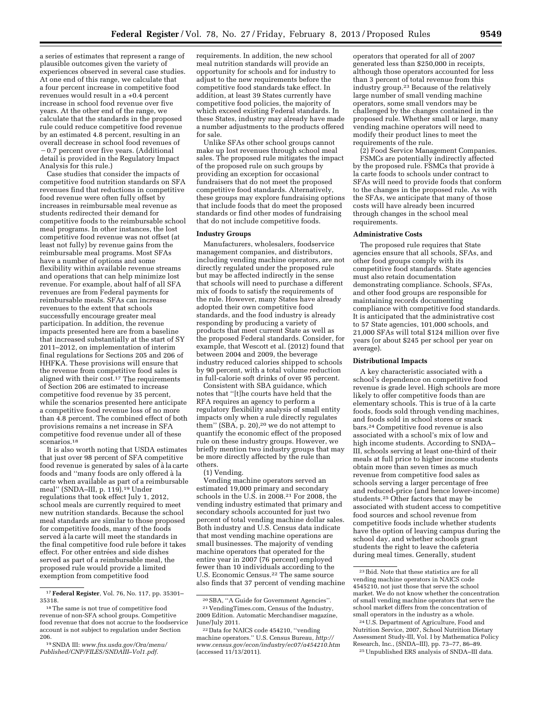a series of estimates that represent a range of plausible outcomes given the variety of experiences observed in several case studies. At one end of this range, we calculate that a four percent increase in competitive food revenues would result in a +0.4 percent increase in school food revenue over five years. At the other end of the range, we calculate that the standards in the proposed rule could reduce competitive food revenue by an estimated 4.8 percent, resulting in an overall decrease in school food revenues of  $-0.7$  percent over five years. (Additional detail is provided in the Regulatory Impact Analysis for this rule.)

Case studies that consider the impacts of competitive food nutrition standards on SFA revenues find that reductions in competitive food revenue were often fully offset by increases in reimbursable meal revenue as students redirected their demand for competitive foods to the reimbursable school meal programs. In other instances, the lost competitive food revenue was not offset (at least not fully) by revenue gains from the reimbursable meal programs. Most SFAs have a number of options and some flexibility within available revenue streams and operations that can help minimize lost revenue. For example, about half of all SFA revenues are from Federal payments for reimbursable meals. SFAs can increase revenues to the extent that schools successfully encourage greater meal participation. In addition, the revenue impacts presented here are from a baseline that increased substantially at the start of SY 2011–2012, on implementation of interim final regulations for Sections 205 and 206 of HHFKA. These provisions will ensure that the revenue from competitive food sales is aligned with their cost.<sup>17</sup> The requirements of Section 206 are estimated to increase competitive food revenue by 35 percent, while the scenarios presented here anticipate a competitive food revenue loss of no more than 4.8 percent. The combined effect of both provisions remains a net increase in SFA competitive food revenue under all of these scenarios.18

It is also worth noting that USDA estimates that just over 98 percent of SFA competitive food revenue is generated by sales of à la carte foods and "many foods are only offered à la carte when available as part of a reimbursable meal'' (SNDA–III, p. 119).19 Under regulations that took effect July 1, 2012, school meals are currently required to meet new nutrition standards. Because the school meal standards are similar to those proposed for competitive foods, many of the foods served à la carte will meet the standards in the final competitive food rule before it takes effect. For other entrées and side dishes served as part of a reimbursable meal, the proposed rule would provide a limited exemption from competitive food

requirements. In addition, the new school meal nutrition standards will provide an opportunity for schools and for industry to adjust to the new requirements before the competitive food standards take effect. In addition, at least 39 States currently have competitive food policies, the majority of which exceed existing Federal standards. In these States, industry may already have made a number adjustments to the products offered for sale.

Unlike SFAs other school groups cannot make up lost revenues through school meal sales. The proposed rule mitigates the impact of the proposed rule on such groups by providing an exception for occasional fundraisers that do not meet the proposed competitive food standards. Alternatively, these groups may explore fundraising options that include foods that do meet the proposed standards or find other modes of fundraising that do not include competitive foods.

#### **Industry Groups**

Manufacturers, wholesalers, foodservice management companies, and distributors, including vending machine operators, are not directly regulated under the proposed rule but may be affected indirectly in the sense that schools will need to purchase a different mix of foods to satisfy the requirements of the rule. However, many States have already adopted their own competitive food standards, and the food industry is already responding by producing a variety of products that meet current State as well as the proposed Federal standards. Consider, for example, that Wescott et al. (2012) found that between 2004 and 2009, the beverage industry reduced calories shipped to schools by 90 percent, with a total volume reduction in full-calorie soft drinks of over 95 percent.

Consistent with SBA guidance, which notes that ''[t]he courts have held that the RFA requires an agency to perform a regulatory flexibility analysis of small entity impacts only when a rule directly regulates them'' (SBA, p. 20),20 we do not attempt to quantify the economic effect of the proposed rule on these industry groups. However, we briefly mention two industry groups that may be more directly affected by the rule than others.

# (1) Vending.

Vending machine operators served an estimated 19,000 primary and secondary schools in the U.S. in 2008.21 For 2008, the vending industry estimated that primary and secondary schools accounted for just two percent of total vending machine dollar sales. Both industry and U.S. Census data indicate that most vending machine operations are small businesses. The majority of vending machine operators that operated for the entire year in 2007 (76 percent) employed fewer than 10 individuals according to the U.S. Economic Census.22 The same source also finds that 37 percent of vending machine

operators that operated for all of 2007 generated less than \$250,000 in receipts, although those operators accounted for less than 3 percent of total revenue from this industry group.23 Because of the relatively large number of small vending machine operators, some small vendors may be challenged by the changes contained in the proposed rule. Whether small or large, many vending machine operators will need to modify their product lines to meet the requirements of the rule.

(2) Food Service Management Companies. FSMCs are potentially indirectly affected by the proposed rule. FSMCs that provide a` la carte foods to schools under contract to SFAs will need to provide foods that conform to the changes in the proposed rule. As with the SFAs, we anticipate that many of those costs will have already been incurred through changes in the school meal requirements.

#### **Administrative Costs**

The proposed rule requires that State agencies ensure that all schools, SFAs, and other food groups comply with its competitive food standards. State agencies must also retain documentation demonstrating compliance. Schools, SFAs, and other food groups are responsible for maintaining records documenting compliance with competitive food standards. It is anticipated that the administrative cost to 57 State agencies, 101,000 schools, and 21,000 SFAs will total \$124 million over five years (or about \$245 per school per year on average).

#### **Distributional Impacts**

A key characteristic associated with a school's dependence on competitive food revenue is grade level. High schools are more likely to offer competitive foods than are elementary schools. This is true of à la carte foods, foods sold through vending machines, and foods sold in school stores or snack bars.24 Competitive food revenue is also associated with a school's mix of low and high income students. According to SNDA– III, schools serving at least one-third of their meals at full price to higher income students obtain more than seven times as much revenue from competitive food sales as schools serving a larger percentage of free and reduced-price (and hence lower-income) students.25 Other factors that may be associated with student access to competitive food sources and school revenue from competitive foods include whether students have the option of leaving campus during the school day, and whether schools grant students the right to leave the cafeteria during meal times. Generally, student

<sup>17</sup>**Federal Register**, Vol. 76, No. 117, pp. 35301– 35318.

<sup>18</sup>The same is not true of competitive food revenue of non-SFA school groups. Competitive food revenue that does not accrue to the foodservice account is not subject to regulation under Section 206.

<sup>19</sup>SNDA III: *[www.fns.usda.gov/Ora/menu/](http://www.fns.usda.gov/Ora/menu/Published/CNP/FILES/SNDAIII-Vol1.pdf)  [Published/CNP/FILES/SNDAIII–Vol1.pdf](http://www.fns.usda.gov/Ora/menu/Published/CNP/FILES/SNDAIII-Vol1.pdf)*.

<sup>20</sup>SBA, ''A Guide for Government Agencies''.

<sup>21</sup> VendingTimes.com, Census of the Industry, 2009 Edition. Automatic Merchandiser magazine, June/July 2011.

<sup>22</sup> Data for NAICS code 454210, ''vending machine operators.'' U.S. Census Bureau, *[http://](http://www.census.gov/econ/industry/ec07/a454210.htm) [www.census.gov/econ/industry/ec07/a454210.htm](http://www.census.gov/econ/industry/ec07/a454210.htm)*  (accessed 11/13/2011).

<sup>23</sup> Ibid. Note that these statistics are for all vending machine operators in NAICS code 4545210, not just those that serve the school market. We do not know whether the concentration of small vending machine operators that serve the school market differs from the concentration of small operators in the industry as a whole.

<sup>24</sup>U.S. Department of Agriculture, Food and Nutrition Service, 2007, School Nutrition Dietary Assessment Study-III, Vol. I by Mathematica Policy Research, Inc., (SNDA–III), pp. 73–77, 86–89. 25Unpublished ERS analysis of SNDA–III data.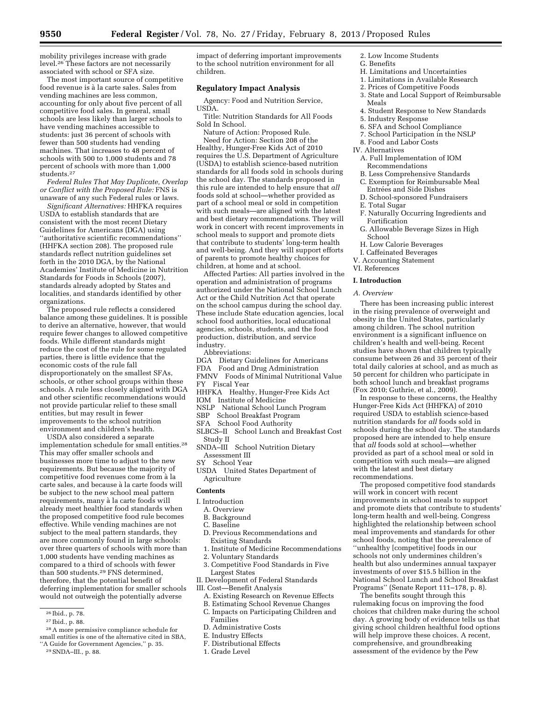mobility privileges increase with grade level.26 These factors are not necessarily associated with school or SFA size.

The most important source of competitive food revenue is à la carte sales. Sales from vending machines are less common, accounting for only about five percent of all competitive food sales. In general, small schools are less likely than larger schools to have vending machines accessible to students: just 36 percent of schools with fewer than 500 students had vending machines. That increases to 48 percent of schools with 500 to 1,000 students and 78 percent of schools with more than 1,000 students.27

*Federal Rules That May Duplicate, Overlap or Conflict with the Proposed Rule:* FNS is unaware of any such Federal rules or laws.

*Significant Alternatives:* HHFKA requires USDA to establish standards that are consistent with the most recent Dietary Guidelines for Americans (DGA) using ''authoritative scientific recommendations'' (HHFKA section 208). The proposed rule standards reflect nutrition guidelines set forth in the 2010 DGA, by the National Academies' Institute of Medicine in Nutrition Standards for Foods in Schools (2007), standards already adopted by States and localities, and standards identified by other organizations.

The proposed rule reflects a considered balance among these guidelines. It is possible to derive an alternative, however, that would require fewer changes to allowed competitive foods. While different standards might reduce the cost of the rule for some regulated parties, there is little evidence that the economic costs of the rule fall disproportionately on the smallest SFAs, schools, or other school groups within these schools. A rule less closely aligned with DGA and other scientific recommendations would not provide particular relief to these small entities, but may result in fewer improvements to the school nutrition environment and children's health.

USDA also considered a separate implementation schedule for small entities.28 This may offer smaller schools and businesses more time to adjust to the new requirements. But because the majority of competitive food revenues come from à la carte sales, and because a` la carte foods will be subject to the new school meal pattern requirements, many à la carte foods will already meet healthier food standards when the proposed competitive food rule becomes effective. While vending machines are not subject to the meal pattern standards, they are more commonly found in large schools: over three quarters of schools with more than 1,000 students have vending machines as compared to a third of schools with fewer than 500 students.29 FNS determined, therefore, that the potential benefit of deferring implementation for smaller schools would not outweigh the potentially adverse

28A more permissive compliance schedule for small entities is one of the alternative cited in SBA,

''A Guide for Government Agencies,'' p. 35. 29SNDA–III., p. 88.

impact of deferring important improvements to the school nutrition environment for all children.

#### **Regulatory Impact Analysis**

Agency: Food and Nutrition Service, USDA.

Title: Nutrition Standards for All Foods Sold In School.

Nature of Action: Proposed Rule. Need for Action: Section 208 of the Healthy, Hunger-Free Kids Act of 2010 requires the U.S. Department of Agriculture (USDA) to establish science-based nutrition standards for all foods sold in schools during the school day. The standards proposed in this rule are intended to help ensure that *all*  foods sold at school—whether provided as part of a school meal or sold in competition with such meals—are aligned with the latest and best dietary recommendations. They will work in concert with recent improvements in school meals to support and promote diets that contribute to students' long-term health and well-being. And they will support efforts of parents to promote healthy choices for children, at home and at school.

Affected Parties: All parties involved in the operation and administration of programs authorized under the National School Lunch Act or the Child Nutrition Act that operate on the school campus during the school day. These include State education agencies, local school food authorities, local educational agencies, schools, students, and the food production, distribution, and service industry.

Abbreviations:

- DGA Dietary Guidelines for Americans
- FDA Food and Drug Administration
- FMNV Foods of Minimal Nutritional Value
- FY Fiscal Year
- HHFKA Healthy, Hunger-Free Kids Act
- IOM Institute of Medicine
- NSLP National School Lunch Program
- SBP School Breakfast Program
- SFA School Food Authority
- SLBCS–II School Lunch and Breakfast Cost Study II
- SNDA–III School Nutrition Dietary Assessment III
- SY School Year
- USDA United States Department of Agriculture

#### **Contents**

- I. Introduction
	- A. Overview
	- B. Background
	- C. Baseline
	- D. Previous Recommendations and
	- Existing Standards
	- 1. Institute of Medicine Recommendations 2. Voluntary Standards
	-
	- 3. Competitive Food Standards in Five Largest States
- II. Development of Federal Standards
- III. Cost—Benefit Analysis
	- A. Existing Research on Revenue Effects
	- B. Estimating School Revenue Changes
	- C. Impacts on Participating Children and
- Families
- D. Administrative Costs
- E. Industry Effects
- F. Distributional Effects
- 1. Grade Level
- 2. Low Income Students
- G. Benefits
- H. Limitations and Uncertainties
- 1. Limitations in Available Research
- 2. Prices of Competitive Foods
- 3. State and Local Support of Reimbursable Meals
- 4. Student Response to New Standards
- 5. Industry Response
- 6. SFA and School Compliance
- 7. School Participation in the NSLP
- 8. Food and Labor Costs
- IV. Alternatives
	- A. Full Implementation of IOM Recommendations
	- B. Less Comprehensive Standards
	- C. Exemption for Reimbursable Meal Entrées and Side Dishes
	- D. School-sponsored Fundraisers
	- E. Total Sugar
	- F. Naturally Occurring Ingredients and Fortification
	- G. Allowable Beverage Sizes in High School
	- H. Low Calorie Beverages
	- I. Caffeinated Beverages
- V. Accounting Statement
- VI. References

#### **I. Introduction**

*A. Overview* 

There has been increasing public interest in the rising prevalence of overweight and obesity in the United States, particularly among children. The school nutrition environment is a significant influence on children's health and well-being. Recent studies have shown that children typically consume between 26 and 35 percent of their total daily calories at school, and as much as 50 percent for children who participate in both school lunch and breakfast programs (Fox 2010; Guthrie, et al., 2009).

In response to these concerns, the Healthy Hunger-Free Kids Act (HHFKA) of 2010 required USDA to establish science-based nutrition standards for *all* foods sold in schools during the school day. The standards proposed here are intended to help ensure that *all* foods sold at school—whether provided as part of a school meal or sold in competition with such meals—are aligned with the latest and best dietary recommendations.

The proposed competitive food standards will work in concert with recent improvements in school meals to support and promote diets that contribute to students' long-term health and well-being. Congress highlighted the relationship between school meal improvements and standards for other school foods, noting that the prevalence of ''unhealthy [competitive] foods in our schools not only undermines children's health but also undermines annual taxpayer investments of over \$15.5 billion in the National School Lunch and School Breakfast Programs'' (Senate Report 111–178, p. 8).

The benefits sought through this rulemaking focus on improving the food choices that children make during the school day. A growing body of evidence tells us that giving school children healthful food options will help improve these choices. A recent, comprehensive, and groundbreaking assessment of the evidence by the Pew

<sup>26</sup> Ibid., p. 78.

<sup>27</sup> Ibid., p. 88.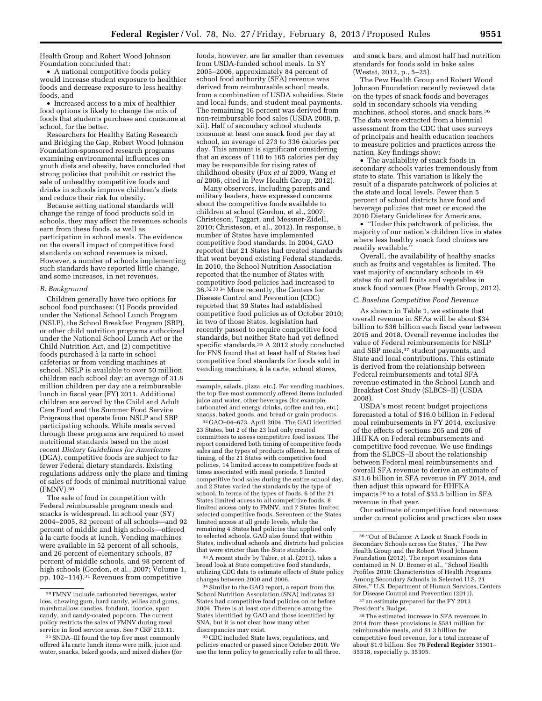Health Group and Robert Wood Johnson Foundation concluded that:

• A national competitive foods policy would increase student exposure to healthier foods and decrease exposure to less healthy foods, and

• Increased access to a mix of healthier food options is likely to change the mix of foods that students purchase and consume at school, for the better.

Researchers for Healthy Eating Research and Bridging the Gap, Robert Wood Johnson Foundation-sponsored research programs examining environmental influences on youth diets and obesity, have concluded that strong policies that prohibit or restrict the sale of unhealthy competitive foods and drinks in schools improve children's diets and reduce their risk for obesity.

Because setting national standards will change the range of food products sold in schools, they may affect the revenues schools earn from these foods, as well as participation in school meals. The evidence on the overall impact of competitive food standards on school revenues is mixed. However, a number of schools implementing such standards have reported little change, and some increases, in net revenues.

#### *B. Background*

Children generally have two options for school food purchases: (1) Foods provided under the National School Lunch Program (NSLP), the School Breakfast Program (SBP), or other child nutrition programs authorized under the National School Lunch Act or the Child Nutrition Act, and (2) competitive foods purchased à la carte in school cafeterias or from vending machines at school. NSLP is available to over 50 million children each school day; an average of 31.8 million children per day ate a reimbursable lunch in fiscal year (FY) 2011. Additional children are served by the Child and Adult Care Food and the Summer Food Service Programs that operate from NSLP and SBP participating schools. While meals served through these programs are required to meet nutritional standards based on the most recent *Dietary Guidelines for Americans*  (DGA), competitive foods are subject to far fewer Federal dietary standards. Existing regulations address only the place and timing of sales of foods of minimal nutritional value (FMNV).30

The sale of food in competition with Federal reimbursable program meals and snacks is widespread. In school year (SY) 2004–2005, 82 percent of all schools—and 92 percent of middle and high schools—offered a` la carte foods at lunch. Vending machines were available in 52 percent of all schools, and 26 percent of elementary schools, 87 percent of middle schools, and 98 percent of high schools (Gordon, et al., 2007; Volume 1, pp. 102–114).31 Revenues from competitive

foods, however, are far smaller than revenues from USDA-funded school meals. In SY 2005–2006, approximately 84 percent of school food authority (SFA) revenue was derived from reimbursable school meals, from a combination of USDA subsidies, State and local funds, and student meal payments. The remaining 16 percent was derived from non-reimbursable food sales (USDA 2008, p. xii). Half of secondary school students consume at least one snack food per day at school, an average of 273 to 336 calories per day. This amount is significant considering that an excess of 110 to 165 calories per day may be responsible for rising rates of childhood obesity (Fox *et al* 2009, Wang *et al* 2006, cited in Pew Health Group, 2012).

Many observers, including parents and military leaders, have expressed concerns about the competitive foods available to children at school (Gordon, et al., 2007; Christeson, Taggart, and Messner-Zidell, 2010; Christeson, et al., 2012). In response, a number of States have implemented competitive food standards. In 2004, GAO reported that 21 States had created standards that went beyond existing Federal standards. In 2010, the School Nutrition Association reported that the number of States with competitive food policies had increased to 36.32 33 34 More recently, the Centers for Disease Control and Prevention (CDC) reported that 39 States had established competitive food policies as of October 2010; in two of those States, legislation had recently passed to require competitive food standards, but neither State had yet defined specific standards.35 A 2012 study conducted for FNS found that at least half of States had competitive food standards for foods sold in vending machines, à la carte, school stores,

32 GAO–04–673. April 2004. The GAO identified 23 States, but 2 of the 23 had only created committees to assess competitive food issues. The report considered both timing of competitive foods sales and the types of products offered. In terms of timing, of the 21 States with competitive food policies, 14 limited access to competitive foods at times associated with meal periods, 5 limited competitive food sales during the entire school day, and 2 States varied the standards by the type of school. In terms of the types of foods, 6 of the 21 States limited access to all competitive foods, 8 limited access only to FMNV, and 7 States limited selected competitive foods. Seventeen of the States limited access at all grade levels, while the remaining 4 States had policies that applied only to selected schools. GAO also found that within States, individual schools and districts had policies that were stricter than the State standards.

33A recent study by Taber, et al. (2011), takes a broad look at State competitive food standards, utilizing CDC data to estimate effects of State policy changes between 2000 and 2006.

<sup>34</sup> Similar to the GAO report, a report from the School Nutrition Association (SNA) indicates 23 States had competitive food policies on or before 2004. There is at least one difference among the States identified by GAO and those identified by SNA, but it is not clear how many other discrepancies may exist.

35CDC included State laws, regulations, and policies enacted or passed since October 2010. We use the term policy to generically refer to all three.

and snack bars, and almost half had nutrition standards for foods sold in bake sales (Westat, 2012, p., 5–25).

The Pew Health Group and Robert Wood Johnson Foundation recently reviewed data on the types of snack foods and beverages sold in secondary schools via vending machines, school stores, and snack bars.36 The data were extracted from a biennial assessment from the CDC that uses surveys of principals and health education teachers to measure policies and practices across the nation. Key findings show:

• The availability of snack foods in secondary schools varies tremendously from state to state. This variation is likely the result of a disparate patchwork of policies at the state and local levels. Fewer than 5 percent of school districts have food and beverage policies that meet or exceed the 2010 Dietary Guidelines for Americans.

• ''Under this patchwork of policies, the majority of our nation's children live in states where less healthy snack food choices are readily available.

Overall, the availability of healthy snacks such as fruits and vegetables is limited. The vast majority of secondary schools in 49 states *do not* sell fruits and vegetables in snack food venues (Pew Health Group, 2012).

#### *C. Baseline Competitive Food Revenue*

As shown in Table 1, we estimate that overall revenue in SFAs will be about \$34 billion to \$36 billion each fiscal year between 2015 and 2018. Overall revenue includes the value of Federal reimbursements for NSLP and SBP meals,37 student payments, and State and local contributions. This estimate is derived from the relationship between Federal reimbursements and total SFA revenue estimated in the School Lunch and Breakfast Cost Study (SLBCS–II) (USDA 2008).

USDA's most recent budget projections forecasted a total of \$16.0 billion in Federal meal reimbursements in FY 2014, exclusive of the effects of sections 205 and 206 of HHFKA on Federal reimbursements and competitive food revenue. We use findings from the SLBCS–II about the relationship between Federal meal reimbursements and overall SFA revenue to derive an estimate of \$31.6 billion in SFA revenue in FY 2014, and then adjust this upward for HHFKA impacts 38 to a total of \$33.5 billion in SFA revenue in that year.

Our estimate of competitive food revenues under current policies and practices also uses

 $^{\rm 37}$  an estimate prepared for the FY 2013 President's Budget.

38The estimated increase in SFA revenues in 2014 from these provisions is \$581 million for reimbursable meals, and \$1.3 billion for competitive food revenue, for a total increase of about \$1.9 billion. See 76 **Federal Register** 35301– 35318, especially p. 35305.

<sup>30</sup>FMNV include carbonated beverages, water ices, chewing gum, hard candy, jellies and gums, marshmallow candies, fondant, licorice, spun candy, and candy-coated popcorn. The current policy restricts the sales of FMNV during meal service in food service areas. See 7 CRF 210.11.

<sup>31</sup>SNDA–III found the top five most commonly offered à la carte lunch items were milk, juice and water, snacks, baked goods, and mixed dishes (for

example, salads, pizza, etc.). For vending machines, the top five most commonly offered items included juice and water, other beverages (for example, carbonated and energy drinks, coffee and tea, etc.) snacks, baked goods, and bread or grain products.

<sup>36</sup> ''Out of Balance: A Look at Snack Foods in Secondary Schools across the States,'' The Pew Health Group and the Robert Wood Johnson Foundation (2012). The report examines data contained in N. D. Brener et al., ''School Health Profiles 2010: Characteristics of Health Programs Among Secondary Schools in Selected U.S. 21 Sites,'' U.S. Department of Human Services, Centers for Disease Control and Prevention (2011).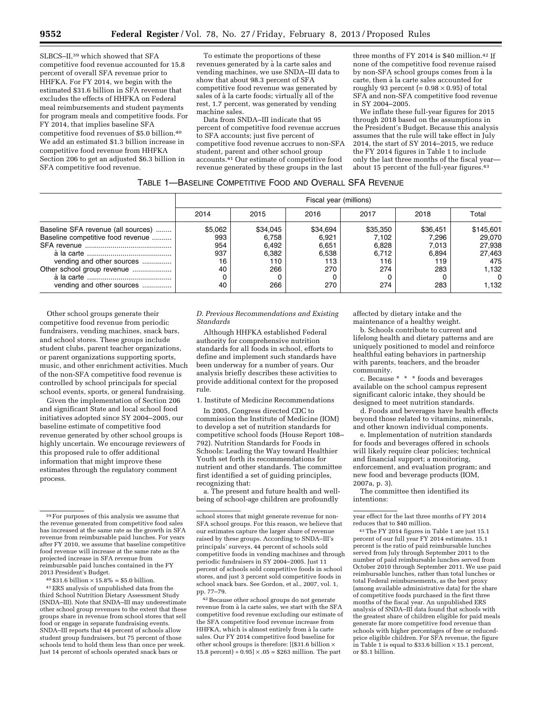SLBCS–II,39 which showed that SFA competitive food revenue accounted for 15.8 percent of overall SFA revenue prior to HHFKA. For FY 2014, we begin with the estimated \$31.6 billion in SFA revenue that excludes the effects of HHFKA on Federal meal reimbursements and student payments for program meals and competitive foods. For FY 2014, that implies baseline SFA competitive food revenues of \$5.0 billion.40 We add an estimated \$1.3 billion increase in competitive food revenue from HHFKA Section 206 to get an adjusted \$6.3 billion in SFA competitive food revenue.

To estimate the proportions of these revenues generated by à la carte sales and vending machines, we use SNDA–III data to show that about 98.3 percent of SFA competitive food revenue was generated by sales of à la carte foods; virtually all of the rest, 1.7 percent, was generated by vending machine sales.

Data from SNDA–III indicate that 95 percent of competitive food revenue accrues to SFA accounts; just five percent of competitive food revenue accrues to non-SFA student, parent and other school group accounts.41 Our estimate of competitive food revenue generated by these groups in the last

three months of FY 2014 is \$40 million.42 If none of the competitive food revenue raised by non-SFA school groups comes from à la carte, then à la carte sales accounted for roughly 93 percent (=  $0.98 \times 0.95$ ) of total SFA and non-SFA competitive food revenue in SY 2004–2005.

We inflate these full-year figures for 2015 through 2018 based on the assumptions in the President's Budget. Because this analysis assumes that the rule will take effect in July 2014, the start of SY 2014–2015, we reduce the FY 2014 figures in Table 1 to include only the last three months of the fiscal year about 15 percent of the full-year figures.<sup>43</sup>

# TABLE 1—BASELINE COMPETITIVE FOOD AND OVERALL SFA REVENUE

|                                    | Fiscal year (millions) |          |          |          |          |           |  |  |  |
|------------------------------------|------------------------|----------|----------|----------|----------|-----------|--|--|--|
|                                    | 2014                   | 2015     | 2016     | 2017     | 2018     | Total     |  |  |  |
| Baseline SFA revenue (all sources) | \$5,062                | \$34,045 | \$34.694 | \$35,350 | \$36,451 | \$145,601 |  |  |  |
| Baseline competitive food revenue  | 993                    | 6.758    | 6.921    | 7.102    | 7.296    | 29.070    |  |  |  |
|                                    | 954                    | 6,492    | 6,651    | 6,828    | 7,013    | 27,938    |  |  |  |
|                                    | 937                    | 6.382    | 6,538    | 6,712    | 6.894    | 27,463    |  |  |  |
| vending and other sources          | 16                     | 110      | 113      | 116      | 119      | 475       |  |  |  |
| Other school group revenue         | 40                     | 266      | 270      | 274      | 283      | 1,132     |  |  |  |
|                                    |                        |          |          |          |          | $\Omega$  |  |  |  |
| vending and other sources          | 40                     | 266      | 270      | 274      | 283      | 1.132     |  |  |  |

Other school groups generate their competitive food revenue from periodic fundraisers, vending machines, snack bars, and school stores. These groups include student clubs, parent teacher organizations, or parent organizations supporting sports, music, and other enrichment activities. Much of the non-SFA competitive food revenue is controlled by school principals for special school events, sports, or general fundraising.

Given the implementation of Section 206 and significant State and local school food initiatives adopted since SY 2004–2005, our baseline estimate of competitive food revenue generated by other school groups is highly uncertain. We encourage reviewers of this proposed rule to offer additional information that might improve these estimates through the regulatory comment process.

 $40\,$ \$31.6 billion  $\times$  15.8% = \$5.0 billion.

41ERS analysis of unpublished data from the third School Nutrition Dietary Assessment Study (SNDA–III). Note that SNDA–III may underestimate other school group revenues to the extent that these groups share in revenue from school stores that sell food or engage in separate fundraising events. SNDA–III reports that 44 percent of schools allow student group fundraisers, but 75 percent of those schools tend to hold them less than once per week. Just 14 percent of schools operated snack bars or

*D. Previous Recommendations and Existing Standards* 

Although HHFKA established Federal authority for comprehensive nutrition standards for all foods in school, efforts to define and implement such standards have been underway for a number of years. Our analysis briefly describes these activities to provide additional context for the proposed rule.

1. Institute of Medicine Recommendations

In 2005, Congress directed CDC to commission the Institute of Medicine (IOM) to develop a set of nutrition standards for competitive school foods (House Report 108– 792). Nutrition Standards for Foods in Schools: Leading the Way toward Healthier Youth set forth its recommendations for nutrient and other standards. The committee first identified a set of guiding principles, recognizing that:

a. The present and future health and wellbeing of school-age children are profoundly

school stores that might generate revenue for non-SFA school groups. For this reason, we believe that our estimates capture the larger share of revenue raised by these groups. According to SNDA–III's principals' surveys, 44 percent of schools sold competitive foods in vending machines and through periodic fundraisers in SY 2004–2005. Just 11 percent of schools sold competitive foods in school stores, and just 3 percent sold competitive foods in school snack bars. See Gordon, et al., 2007, vol. 1, pp. 77–79.

42Because other school groups do not generate revenue from à la carte sales, we start with the SFA competitive food revenue excluding our estimate of the SFA competitive food revenue increase from HHFKA, which is almost entirely from à la carte sales. Our FY 2014 competitive food baseline for other school groups is therefore: [(\$31.6 billion × 15.8 percent) ÷  $0.95$ ]  $\times$  .05 = \$263 million. The part

affected by dietary intake and the maintenance of a healthy weight.

b. Schools contribute to current and lifelong health and dietary patterns and are uniquely positioned to model and reinforce healthful eating behaviors in partnership with parents, teachers, and the broader community.

c. Because \* \* \* foods and beverages available on the school campus represent significant caloric intake, they should be designed to meet nutrition standards.

d. Foods and beverages have health effects beyond those related to vitamins, minerals, and other known individual components.

e. Implementation of nutrition standards for foods and beverages offered in schools will likely require clear policies; technical and financial support; a monitoring, enforcement, and evaluation program; and new food and beverage products (IOM, 2007a, p. 3).

The committee then identified its intentions:

year effect for the last three months of FY 2014 reduces that to \$40 million.

43The FY 2014 figures in Table 1 are just 15.1 percent of our full year FY 2014 estimates. 15.1 percent is the ratio of paid reimbursable lunches served from July through September 2011 to the number of paid reimbursable lunches served from October 2010 through September 2011. We use paid reimbursable lunches, rather than total lunches or total Federal reimbursements, as the best proxy (among available administrative data) for the share of competitive foods purchased in the first three months of the fiscal year. An unpublished ERS analysis of SNDA–III data found that schools with the greatest share of children eligible for paid meals generate far more competitive food revenue than schools with higher percentages of free or reducedprice eligible children. For SFA revenue, the figure in Table 1 is equal to  $$33.6$  billion  $\times$  15.1 percent, or \$5.1 billion.

<sup>39</sup>For purposes of this analysis we assume that the revenue generated from competitive food sales has increased at the same rate as the growth in SFA revenue from reimbursable paid lunches. For years after FY 2010, we assume that baseline competitive food revenue will increase at the same rate as the projected increase in SFA revenue from reimbursable paid lunches contained in the FY 2013 President's Budget.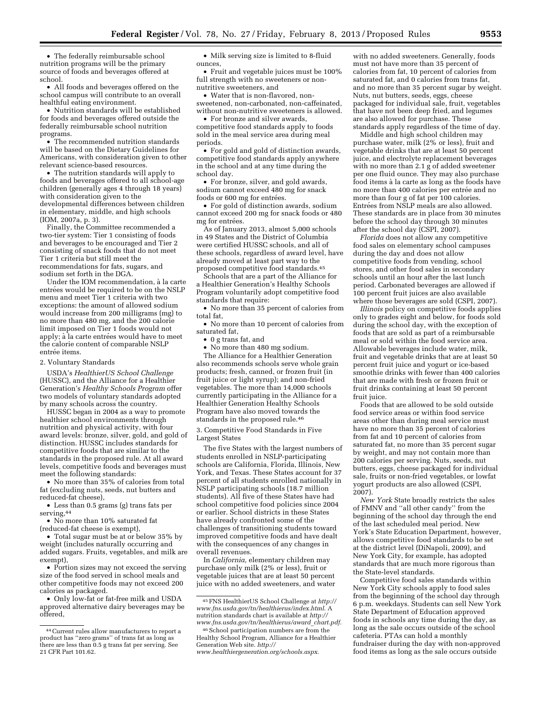• The federally reimbursable school nutrition programs will be the primary source of foods and beverages offered at school.

• All foods and beverages offered on the school campus will contribute to an overall healthful eating environment.

• Nutrition standards will be established for foods and beverages offered outside the federally reimbursable school nutrition programs.

• The recommended nutrition standards will be based on the Dietary Guidelines for Americans, with consideration given to other relevant science-based resources.

• The nutrition standards will apply to foods and beverages offered to all school-age children (generally ages 4 through 18 years) with consideration given to the developmental differences between children in elementary, middle, and high schools (IOM, 2007a, p. 3).

Finally, the Committee recommended a two-tier system: Tier 1 consisting of foods and beverages to be encouraged and Tier 2 consisting of snack foods that do not meet Tier 1 criteria but still meet the recommendations for fats, sugars, and sodium set forth in the DGA.

Under the IOM recommendation, à la carte entrées would be required to be on the NSLP menu and meet Tier 1 criteria with two exceptions: the amount of allowed sodium would increase from 200 milligrams (mg) to no more than 480 mg, and the 200 calorie limit imposed on Tier 1 foods would not apply; à la carte entrées would have to meet the calorie content of comparable NSLP entrée items.

#### 2. Voluntary Standards

USDA's *HealthierUS School Challenge*  (HUSSC), and the Alliance for a Healthier Generation's *Healthy Schools Program* offer two models of voluntary standards adopted by many schools across the country.

HUSSC began in 2004 as a way to promote healthier school environments through nutrition and physical activity, with four award levels: bronze, silver, gold, and gold of distinction. HUSSC includes standards for competitive foods that are similar to the standards in the proposed rule. At all award levels, competitive foods and beverages must meet the following standards:

• No more than 35% of calories from total fat (excluding nuts, seeds, nut butters and reduced-fat cheese),

• Less than 0.5 grams (g) trans fats per serving,  $44$ 

• No more than 10% saturated fat (reduced-fat cheese is exempt),

• Total sugar must be at or below 35% by weight (includes naturally occurring and added sugars. Fruits, vegetables, and milk are exempt),

• Portion sizes may not exceed the serving size of the food served in school meals and other competitive foods may not exceed 200 calories as packaged.

• Only low-fat or fat-free milk and USDA approved alternative dairy beverages may be offered,

• Milk serving size is limited to 8-fluid ounces,

• Fruit and vegetable juices must be 100% full strength with no sweeteners or nonnutritive sweeteners, and

• Water that is non-flavored, nonsweetened, non-carbonated, non-caffeinated, without non-nutritive sweeteners is allowed.

• For bronze and silver awards, competitive food standards apply to foods sold in the meal service area during meal periods.

• For gold and gold of distinction awards, competitive food standards apply anywhere in the school and at any time during the school day.

• For bronze, silver, and gold awards, sodium cannot exceed 480 mg for snack foods or 600 mg for entrées.

• For gold of distinction awards, sodium cannot exceed 200 mg for snack foods or 480 mg for entrées.

As of January 2013, almost 5,000 schools in 49 States and the District of Columbia were certified HUSSC schools, and all of these schools, regardless of award level, have already moved at least part way to the proposed competitive food standards.45

Schools that are a part of the Alliance for a Healthier Generation's Healthy Schools Program voluntarily adopt competitive food standards that require:

• No more than 35 percent of calories from total fat,

• No more than 10 percent of calories from saturated fat,

• 0 g trans fat, and

• No more than 480 mg sodium.

The Alliance for a Healthier Generation also recommends schools serve whole grain products; fresh, canned, or frozen fruit (in fruit juice or light syrup); and non-fried vegetables. The more than 14,000 schools currently participating in the Alliance for a Healthier Generation Healthy Schools Program have also moved towards the standards in the proposed rule.46

3. Competitive Food Standards in Five Largest States

The five States with the largest numbers of students enrolled in NSLP-participating schools are California, Florida, Illinois, New York, and Texas. These States account for 37 percent of all students enrolled nationally in NSLP participating schools (18.7 million students). All five of these States have had school competitive food policies since 2004 or earlier. School districts in these States have already confronted some of the challenges of transitioning students toward improved competitive foods and have dealt with the consequences of any changes in overall revenues.

In *California,* elementary children may purchase only milk (2% or less), fruit or vegetable juices that are at least 50 percent juice with no added sweeteners, and water

with no added sweeteners. Generally, foods must not have more than 35 percent of calories from fat, 10 percent of calories from saturated fat, and 0 calories from trans fat, and no more than 35 percent sugar by weight. Nuts, nut butters, seeds, eggs, cheese packaged for individual sale, fruit, vegetables that have not been deep fried, and legumes are also allowed for purchase. These standards apply regardless of the time of day.

Middle and high school children may purchase water, milk (2% or less), fruit and vegetable drinks that are at least 50 percent juice, and electrolyte replacement beverages with no more than 2.1 g of added sweetener per one fluid ounce. They may also purchase food items à la carte as long as the foods have no more than 400 calories per entrée and no more than four g of fat per 100 calories. Entrées from NSLP meals are also allowed. These standards are in place from 30 minutes before the school day through 30 minutes after the school day (CSPI, 2007).

*Florida* does not allow any competitive food sales on elementary school campuses during the day and does not allow competitive foods from vending, school stores, and other food sales in secondary schools until an hour after the last lunch period. Carbonated beverages are allowed if 100 percent fruit juices are also available where those beverages are sold (CSPI, 2007).

*Illinois* policy on competitive foods applies only to grades eight and below, for foods sold during the school day, with the exception of foods that are sold as part of a reimbursable meal or sold within the food service area. Allowable beverages include water, milk, fruit and vegetable drinks that are at least 50 percent fruit juice and yogurt or ice-based smoothie drinks with fewer than 400 calories that are made with fresh or frozen fruit or fruit drinks containing at least 50 percent fruit juice.

Foods that are allowed to be sold outside food service areas or within food service areas other than during meal service must have no more than 35 percent of calories from fat and 10 percent of calories from saturated fat, no more than 35 percent sugar by weight, and may not contain more than 200 calories per serving. Nuts, seeds, nut butters, eggs, cheese packaged for individual sale, fruits or non-fried vegetables, or lowfat yogurt products are also allowed (CSPI, 2007).

*New York* State broadly restricts the sales of FMNV and ''all other candy'' from the beginning of the school day through the end of the last scheduled meal period. New York's State Education Department, however, allows competitive food standards to be set at the district level (DiNapoli, 2009), and New York City, for example, has adopted standards that are much more rigorous than the State-level standards.

Competitive food sales standards within New York City schools apply to food sales from the beginning of the school day through 6 p.m. weekdays. Students can sell New York State Department of Education approved foods in schools any time during the day, as long as the sale occurs outside of the school cafeteria. PTAs can hold a monthly fundraiser during the day with non-approved food items as long as the sale occurs outside

<sup>44</sup>Current rules allow manufacturers to report a product has ''zero grams'' of trans fat as long as there are less than 0.5 g trans fat per serving. See 21 CFR Part 101.62.

<sup>45</sup>FNS HealthierUS School Challenge at *[http://](http://www.fns.usda.gov/tn/healthierus/index.html)  [www.fns.usda.gov/tn/healthierus/index.html](http://www.fns.usda.gov/tn/healthierus/index.html)*. A nutrition standards chart is available at *[http://](http://www.fns.usda.gov/tn/healthierus/award_chart.pdf) [www.fns.usda.gov/tn/healthierus/award](http://www.fns.usda.gov/tn/healthierus/award_chart.pdf)*\_*chart.pdf*.

<sup>46</sup>School participation numbers are from the Healthy School Program, Alliance for a Healthier Generation Web site. *[http://](http://www.healthiergeneration.org/schools.aspx)* 

*[www.healthiergeneration.org/schools.aspx](http://www.healthiergeneration.org/schools.aspx)*.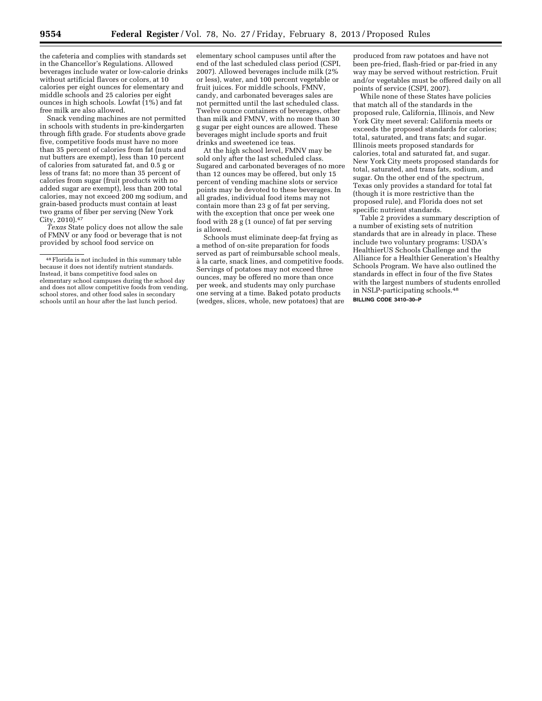the cafeteria and complies with standards set in the Chancellor's Regulations. Allowed beverages include water or low-calorie drinks without artificial flavors or colors, at 10 calories per eight ounces for elementary and middle schools and 25 calories per eight ounces in high schools. Lowfat (1%) and fat free milk are also allowed.

Snack vending machines are not permitted in schools with students in pre-kindergarten through fifth grade. For students above grade five, competitive foods must have no more than 35 percent of calories from fat (nuts and nut butters are exempt), less than 10 percent of calories from saturated fat, and 0.5 g or less of trans fat; no more than 35 percent of calories from sugar (fruit products with no added sugar are exempt), less than 200 total calories, may not exceed 200 mg sodium, and grain-based products must contain at least two grams of fiber per serving (New York City, 2010).47

*Texas* State policy does not allow the sale of FMNV or any food or beverage that is not provided by school food service on

elementary school campuses until after the end of the last scheduled class period (CSPI, 2007). Allowed beverages include milk (2% or less), water, and 100 percent vegetable or fruit juices. For middle schools, FMNV, candy, and carbonated beverages sales are not permitted until the last scheduled class. Twelve ounce containers of beverages, other than milk and FMNV, with no more than 30 g sugar per eight ounces are allowed. These beverages might include sports and fruit drinks and sweetened ice teas.

At the high school level, FMNV may be sold only after the last scheduled class. Sugared and carbonated beverages of no more than 12 ounces may be offered, but only 15 percent of vending machine slots or service points may be devoted to these beverages. In all grades, individual food items may not contain more than 23 g of fat per serving, with the exception that once per week one food with 28 g (1 ounce) of fat per serving is allowed.

Schools must eliminate deep-fat frying as a method of on-site preparation for foods served as part of reimbursable school meals, à la carte, snack lines, and competitive foods. Servings of potatoes may not exceed three ounces, may be offered no more than once per week, and students may only purchase one serving at a time. Baked potato products (wedges, slices, whole, new potatoes) that are

produced from raw potatoes and have not been pre-fried, flash-fried or par-fried in any way may be served without restriction. Fruit and/or vegetables must be offered daily on all points of service (CSPI, 2007).

While none of these States have policies that match all of the standards in the proposed rule, California, Illinois, and New York City meet several: California meets or exceeds the proposed standards for calories; total, saturated, and trans fats; and sugar. Illinois meets proposed standards for calories, total and saturated fat, and sugar. New York City meets proposed standards for total, saturated, and trans fats, sodium, and sugar. On the other end of the spectrum, Texas only provides a standard for total fat (though it is more restrictive than the proposed rule), and Florida does not set specific nutrient standards.

Table 2 provides a summary description of a number of existing sets of nutrition standards that are in already in place. These include two voluntary programs: USDA's HealthierUS Schools Challenge and the Alliance for a Healthier Generation's Healthy Schools Program. We have also outlined the standards in effect in four of the five States with the largest numbers of students enrolled in NSLP-participating schools.48

**BILLING CODE 3410–30–P** 

<sup>48</sup>Florida is not included in this summary table because it does not identify nutrient standards. Instead, it bans competitive food sales on elementary school campuses during the school day and does not allow competitive foods from vending, school stores, and other food sales in secondary schools until an hour after the last lunch period.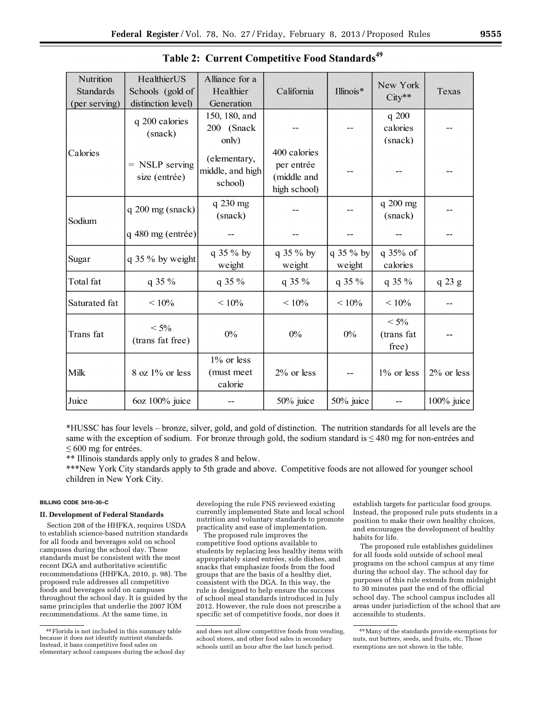| Nutrition<br><b>Standards</b><br>per serving) | HealthierUS<br>Schools (gold of<br>distinction level) | Alliance for a<br>Healthier<br>Generation   | California                                                | Illinois*           | New York<br>$City**$           | Texas         |
|-----------------------------------------------|-------------------------------------------------------|---------------------------------------------|-----------------------------------------------------------|---------------------|--------------------------------|---------------|
|                                               | q 200 calories<br>(snack)                             | 150, 180, and<br>200 (Snack<br>only)        |                                                           |                     | q 200<br>calories<br>(snack)   |               |
| alories                                       | NSLP serving<br>$=$<br>size (entrée)                  | (elementary,<br>middle, and high<br>school) | 400 calories<br>per entrée<br>(middle and<br>high school) |                     |                                |               |
| odium                                         | $q 200$ mg (snack)                                    | q 230 mg<br>(snack)                         |                                                           |                     | q 200 mg<br>(snack)            |               |
|                                               | q 480 mg (entrée)                                     |                                             |                                                           |                     |                                |               |
| ıgar                                          | q 35 % by weight                                      | q 35 % by<br>weight                         | q 35 % by<br>weight                                       | q 35 % by<br>weight | q 35% of<br>calories           |               |
| otal fat                                      | q 35 %                                                | q 35 %                                      | q 35 %                                                    | q 35 %              | q 35 %                         | q 23 g        |
| aturated fat                                  | $< 10\%$                                              | $< 10\%$                                    | $< 10\%$                                                  | $< 10\%$            | $< 10\%$                       |               |
| rans fat                                      | $< 5\%$<br>(trans fat free)                           | $0\%$                                       | $0\%$                                                     | 0%                  | $< 5\%$<br>(trans fat<br>free) |               |
| lilk                                          | $8$ oz $1\%$ or less                                  | $1\%$ or less<br>(must meet<br>calorie      | $2\%$ or less                                             |                     | $1\%$ or less                  | $2\%$ or less |

Table 2: Current Competitive Food Standards<sup>49</sup>

\*HUSSC has four levels – bronze, silver, gold, and gold of distinction. The nutrition standards for all levels are the same with the exception of sodium. For bronze through gold, the sodium standard is  $\leq 480$  mg for non-entrées and  $\leq 600$  mg for entrées.

50% juice

50% juice

\*\* Illinois standards apply only to grades 8 and below.

6oz 100% juice

\*\*\*New York City standards apply to 5th grade and above. Competitive foods are not allowed for younger school children in New York City.

## **BILLING CODE 3410–30–C**

 $\overline{C}$ 

 $S<sub>0</sub>$ 

 $S<sub>1</sub>$ 

T

 $S_i$ 

T

N

Juice

# **II. Development of Federal Standards**

Section 208 of the HHFKA, requires USDA to establish science-based nutrition standards for all foods and beverages sold on school campuses during the school day. These standards must be consistent with the most recent DGA and authoritative scientific recommendations (HHFKA, 2010, p. 98). The proposed rule addresses all competitive foods and beverages sold on campuses throughout the school day. It is guided by the same principles that underlie the 2007 IOM recommendations. At the same time, in

developing the rule FNS reviewed existing currently implemented State and local school nutrition and voluntary standards to promote practicality and ease of implementation.

The proposed rule improves the competitive food options available to students by replacing less healthy items with appropriately sized entrées, side dishes, and snacks that emphasize foods from the food groups that are the basis of a healthy diet, consistent with the DGA. In this way, the rule is designed to help ensure the success of school meal standards introduced in July 2012. However, the rule does not prescribe a specific set of competitive foods, nor does it

establish targets for particular food groups. Instead, the proposed rule puts students in a position to make their own healthy choices, and encourages the development of healthy habits for life.

100% juice

The proposed rule establishes guidelines for all foods sold outside of school meal programs on the school campus at any time during the school day. The school day for purposes of this rule extends from midnight to 30 minutes past the end of the official school day. The school campus includes all areas under jurisdiction of the school that are accessible to students.

<sup>48</sup>Florida is not included in this summary table because it does not identify nutrient standards. Instead, it bans competitive food sales on elementary school campuses during the school day

and does not allow competitive foods from vending, school stores, and other food sales in secondary schools until an hour after the last lunch period.

<sup>49</sup>Many of the standards provide exemptions for nuts, nut butters, seeds, and fruits, etc. Those exemptions are not shown in the table.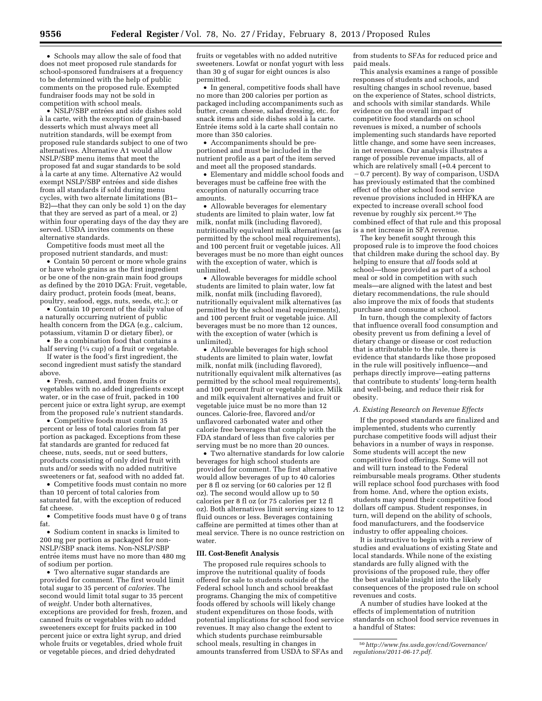• Schools may allow the sale of food that does not meet proposed rule standards for school-sponsored fundraisers at a frequency to be determined with the help of public comments on the proposed rule. Exempted fundraiser foods may not be sold in competition with school meals.

• NSLP/SBP entrées and side dishes sold a` la carte, with the exception of grain-based desserts which must always meet all nutrition standards, will be exempt from proposed rule standards subject to one of two alternatives. Alternative A1 would allow NSLP/SBP menu items that meet the proposed fat and sugar standards to be sold a` la carte at any time. Alternative A2 would exempt NSLP/SBP entrées and side dishes from all standards if sold during menu cycles, with two alternate limitations (B1– B2)—that they can only be sold 1) on the day that they are served as part of a meal, or 2) within four operating days of the day they are served. USDA invites comments on these alternative standards.

Competitive foods must meet all the proposed nutrient standards, and must:

• Contain 50 percent or more whole grains or have whole grains as the first ingredient or be one of the non-grain main food groups as defined by the 2010 DGA: Fruit, vegetable, dairy product, protein foods (meat, beans, poultry, seafood, eggs, nuts, seeds, etc.); or

• Contain 10 percent of the daily value of a naturally occurring nutrient of public health concern from the DGA (e.g., calcium, potassium, vitamin D or dietary fiber), or

• Be a combination food that contains a half serving  $(1/4 \text{ cup})$  of a fruit or vegetable.

If water is the food's first ingredient, the second ingredient must satisfy the standard above.

• Fresh, canned, and frozen fruits or vegetables with no added ingredients except water, or in the case of fruit, packed in 100 percent juice or extra light syrup, are exempt from the proposed rule's nutrient standards.

• Competitive foods must contain 35 percent or less of total calories from fat per portion as packaged. Exceptions from these fat standards are granted for reduced fat cheese, nuts, seeds, nut or seed butters, products consisting of only dried fruit with nuts and/or seeds with no added nutritive sweeteners or fat, seafood with no added fat.

• Competitive foods must contain no more than 10 percent of total calories from saturated fat, with the exception of reduced fat cheese.

• Competitive foods must have 0 g of trans fat.

• Sodium content in snacks is limited to 200 mg per portion as packaged for non-NSLP/SBP snack items. Non-NSLP/SBP entrée items must have no more than 480 mg of sodium per portion.

• Two alternative sugar standards are provided for comment. The first would limit total sugar to 35 percent of *calories.* The second would limit total sugar to 35 percent of *weight.* Under both alternatives, exceptions are provided for fresh, frozen, and canned fruits or vegetables with no added sweeteners except for fruits packed in 100 percent juice or extra light syrup, and dried whole fruits or vegetables, dried whole fruit or vegetable pieces, and dried dehydrated

fruits or vegetables with no added nutritive sweeteners. Lowfat or nonfat yogurt with less than 30 g of sugar for eight ounces is also permitted.

• In general, competitive foods shall have no more than 200 calories per portion as packaged including accompaniments such as butter, cream cheese, salad dressing, etc. for snack items and side dishes sold a` la carte. Entrée items sold à la carte shall contain no more than 350 calories.

• Accompaniments should be preportioned and must be included in the nutrient profile as a part of the item served and meet all the proposed standards.

• Elementary and middle school foods and beverages must be caffeine free with the exception of naturally occurring trace amounts.

• Allowable beverages for elementary students are limited to plain water, low fat milk, nonfat milk (including flavored), nutritionally equivalent milk alternatives (as permitted by the school meal requirements), and 100 percent fruit or vegetable juices. All beverages must be no more than eight ounces with the exception of water, which is unlimited.

• Allowable beverages for middle school students are limited to plain water, low fat milk, nonfat milk (including flavored), nutritionally equivalent milk alternatives (as permitted by the school meal requirements), and 100 percent fruit or vegetable juice. All beverages must be no more than 12 ounces, with the exception of water (which is unlimited).

• Allowable beverages for high school students are limited to plain water, lowfat milk, nonfat milk (including flavored), nutritionally equivalent milk alternatives (as permitted by the school meal requirements), and 100 percent fruit or vegetable juice. Milk and milk equivalent alternatives and fruit or vegetable juice must be no more than 12 ounces. Calorie-free, flavored and/or unflavored carbonated water and other calorie free beverages that comply with the FDA standard of less than five calories per serving must be no more than 20 ounces.

• Two alternative standards for low calorie beverages for high school students are provided for comment. The first alternative would allow beverages of up to 40 calories per 8 fl oz serving (or 60 calories per 12 fl oz). The second would allow up to 50 calories per 8 fl oz (or 75 calories per 12 fl oz). Both alternatives limit serving sizes to 12 fluid ounces or less. Beverages containing caffeine are permitted at times other than at meal service. There is no ounce restriction on water.

#### **III. Cost-Benefit Analysis**

The proposed rule requires schools to improve the nutritional quality of foods offered for sale to students outside of the Federal school lunch and school breakfast programs. Changing the mix of competitive foods offered by schools will likely change student expenditures on those foods, with potential implications for school food service revenues. It may also change the extent to which students purchase reimbursable school meals, resulting in changes in amounts transferred from USDA to SFAs and

from students to SFAs for reduced price and paid meals.

This analysis examines a range of possible responses of students and schools, and resulting changes in school revenue, based on the experience of States, school districts, and schools with similar standards. While evidence on the overall impact of competitive food standards on school revenues is mixed, a number of schools implementing such standards have reported little change, and some have seen increases, in net revenues. Our analysis illustrates a range of possible revenue impacts, all of which are relatively small  $(+0.4)$  percent to

 $-0.7$  percent). By way of comparison, USDA has previously estimated that the combined effect of the other school food service revenue provisions included in HHFKA are expected to increase overall school food revenue by roughly six percent.50 The combined effect of that rule and this proposal is a net increase in SFA revenue.

The key benefit sought through this proposed rule is to improve the food choices that children make during the school day. By helping to ensure that *all* foods sold at school—those provided as part of a school meal or sold in competition with such meals—are aligned with the latest and best dietary recommendations, the rule should also improve the mix of foods that students purchase and consume at school.

In turn, though the complexity of factors that influence overall food consumption and obesity prevent us from defining a level of dietary change or disease or cost reduction that is attributable to the rule, there is evidence that standards like those proposed in the rule will positively influence—and perhaps directly improve—eating patterns that contribute to students' long-term health and well-being, and reduce their risk for obesity.

#### *A. Existing Research on Revenue Effects*

If the proposed standards are finalized and implemented, students who currently purchase competitive foods will adjust their behaviors in a number of ways in response. Some students will accept the new competitive food offerings. Some will not and will turn instead to the Federal reimbursable meals programs. Other students will replace school food purchases with food from home. And, where the option exists, students may spend their competitive food dollars off campus. Student responses, in turn, will depend on the ability of schools, food manufacturers, and the foodservice industry to offer appealing choices.

It is instructive to begin with a review of studies and evaluations of existing State and local standards. While none of the existing standards are fully aligned with the provisions of the proposed rule, they offer the best available insight into the likely consequences of the proposed rule on school revenues and costs.

A number of studies have looked at the effects of implementation of nutrition standards on school food service revenues in a handful of States:

<sup>50</sup>*[http://www.fns.usda.gov/cnd/Governance/](http://www.fns.usda.gov/cnd/Governance/regulations/2011-06-17.pdf) [regulations/2011-06-17.pdf.](http://www.fns.usda.gov/cnd/Governance/regulations/2011-06-17.pdf)*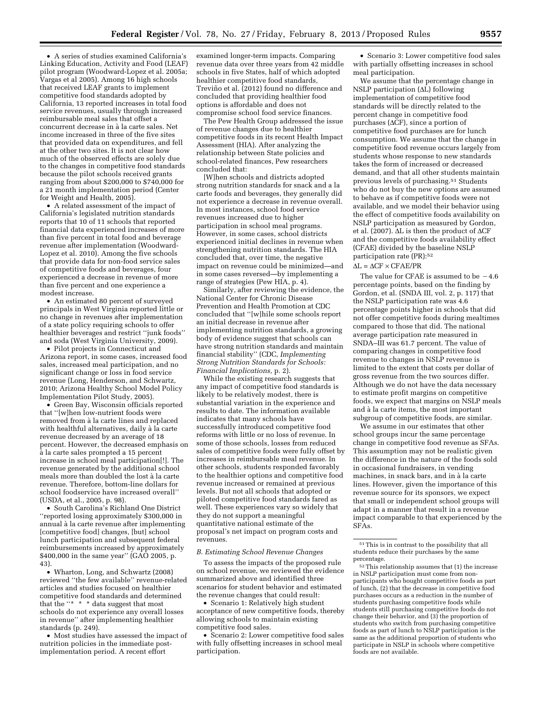• A series of studies examined California's Linking Education, Activity and Food (LEAF) pilot program (Woodward-Lopez et al. 2005a; Vargas et al 2005). Among 16 high schools that received LEAF grants to implement competitive food standards adopted by California, 13 reported increases in total food service revenues, usually through increased reimbursable meal sales that offset a concurrent decrease in à la carte sales. Net income increased in three of the five sites that provided data on expenditures, and fell at the other two sites. It is not clear how much of the observed effects are solely due to the changes in competitive food standards because the pilot schools received grants ranging from about \$200,000 to \$740,000 for a 21 month implementation period (Center for Weight and Health, 2005).

• A related assessment of the impact of California's legislated nutrition standards reports that 10 of 11 schools that reported financial data experienced increases of more than five percent in total food and beverage revenue after implementation (Woodward-Lopez et al. 2010). Among the five schools that provide data for non-food service sales of competitive foods and beverages, four experienced a decrease in revenue of more than five percent and one experience a modest increase.

• An estimated 80 percent of surveyed principals in West Virginia reported little or no change in revenues after implementation of a state policy requiring schools to offer healthier beverages and restrict ''junk foods'' and soda (West Virginia University, 2009).

• Pilot projects in Connecticut and Arizona report, in some cases, increased food sales, increased meal participation, and no significant change or loss in food service revenue (Long, Henderson, and Schwartz, 2010; Arizona Healthy School Model Policy Implementation Pilot Study, 2005).

• Green Bay, Wisconsin officials reported that ''[w]hen low-nutrient foods were removed from à la carte lines and replaced with healthful alternatives, daily à la carte revenue decreased by an average of 18 percent. However, the decreased emphasis on a` la carte sales prompted a 15 percent increase in school meal participation[!]. The revenue generated by the additional school meals more than doubled the lost à la carte revenue. Therefore, bottom-line dollars for school foodservice have increased overall'' (USDA, et al., 2005, p. 98).

• South Carolina's Richland One District ''reported losing approximately \$300,000 in annual à la carte revenue after implementing [competitive food] changes, [but] school lunch participation and subsequent federal reimbursements increased by approximately \$400,000 in the same year'' (GAO 2005, p. 43).

• Wharton, Long, and Schwartz (2008) reviewed ''the few available'' revenue-related articles and studies focused on healthier competitive food standards and determined that the "\* \* \* data suggest that most schools do not experience any overall losses in revenue'' after implementing healthier standards (p. 249).

• Most studies have assessed the impact of nutrition policies in the immediate postimplementation period. A recent effort

examined longer-term impacts. Comparing revenue data over three years from 42 middle schools in five States, half of which adopted healthier competitive food standards, Treviño et al. (2012) found no difference and concluded that providing healthier food options is affordable and does not compromise school food service finances.

The Pew Health Group addressed the issue of revenue changes due to healthier competitive foods in its recent Health Impact Assessment (HIA). After analyzing the relationship between State policies and school-related finances, Pew researchers concluded that:

[W]hen schools and districts adopted strong nutrition standards for snack and a la carte foods and beverages, they generally did not experience a decrease in revenue overall. In most instances, school food service revenues increased due to higher participation in school meal programs. However, in some cases, school districts experienced initial declines in revenue when strengthening nutrition standards. The HIA concluded that, over time, the negative impact on revenue could be minimized—and in some cases reversed—by implementing a range of strategies (Pew HIA, p. 4).

Similarly, after reviewing the evidence, the National Center for Chronic Disease Prevention and Health Promotion at CDC concluded that ''[w]hile some schools report an initial decrease in revenue after implementing nutrition standards, a growing body of evidence suggest that schools can have strong nutrition standards and maintain financial stability'' (CDC, *Implementing Strong Nutrition Standards for Schools: Financial Implications,* p. 2).

While the existing research suggests that any impact of competitive food standards is likely to be relatively modest, there is substantial variation in the experience and results to date. The information available indicates that many schools have successfully introduced competitive food reforms with little or no loss of revenue. In some of those schools, losses from reduced sales of competitive foods were fully offset by increases in reimbursable meal revenue. In other schools, students responded favorably to the healthier options and competitive food revenue increased or remained at previous levels. But not all schools that adopted or piloted competitive food standards fared as well. These experiences vary so widely that they do not support a meaningful quantitative national estimate of the proposal's net impact on program costs and revenues.

#### *B. Estimating School Revenue Changes*

To assess the impacts of the proposed rule on school revenue, we reviewed the evidence summarized above and identified three scenarios for student behavior and estimated the revenue changes that could result:

• Scenario 1: Relatively high student acceptance of new competitive foods, thereby allowing schools to maintain existing competitive food sales.

• Scenario 2: Lower competitive food sales with fully offsetting increases in school meal participation.

• Scenario 3: Lower competitive food sales with partially offsetting increases in school meal participation.

We assume that the percentage change in NSLP participation  $(\Delta L)$  following implementation of competitive food standards will be directly related to the percent change in competitive food purchases ( $\Delta CF$ ), since a portion of competitive food purchases are for lunch consumption. We assume that the change in competitive food revenue occurs largely from students whose response to new standards takes the form of increased or decreased demand, and that all other students maintain previous levels of purchasing.51 Students who do not buy the new options are assumed to behave as if competitive foods were not available, and we model their behavior using the effect of competitive foods availability on NSLP participation as measured by Gordon, et al. (2007).  $\Delta L$  is then the product of  $\Delta CF$ and the competitive foods availability effect (CFAE) divided by the baseline NSLP participation rate (PR):52

## $\Delta L = \Delta C F \times CFAE/PR$

The value for CFAE is assumed to be  $-4.6$ percentage points, based on the finding by Gordon, et al. (SNDA III, vol. 2, p. 117) that the NSLP participation rate was 4.6 percentage points higher in schools that did not offer competitive foods during mealtimes compared to those that did. The national average participation rate measured in SNDA–III was 61.7 percent. The value of comparing changes in competitive food revenue to changes in NSLP revenue is limited to the extent that costs per dollar of gross revenue from the two sources differ. Although we do not have the data necessary to estimate profit margins on competitive foods, we expect that margins on NSLP meals and  $\hat{a}$  la carte items, the most important subgroup of competitive foods, are similar.

We assume in our estimates that other school groups incur the same percentage change in competitive food revenue as SFAs. This assumption may not be realistic given the difference in the nature of the foods sold in occasional fundraisers, in vending machines, in snack bars, and in à la carte lines. However, given the importance of this revenue source for its sponsors, we expect that small or independent school groups will adapt in a manner that result in a revenue impact comparable to that experienced by the SFAs.

<sup>51</sup>This is in contrast to the possibility that all students reduce their purchases by the same percentage.

<sup>52</sup>This relationship assumes that (1) the increase in NSLP participation must come from nonparticipants who bought competitive foods as part of lunch, (2) that the decrease in competitive food purchases occurs as a reduction in the number of students purchasing competitive foods while students still purchasing competitive foods do not change their behavior, and (3) the proportion of students who switch from purchasing competitive foods as part of lunch to NSLP participation is the same as the additional proportion of students who participate in NSLP in schools where competitive foods are not available.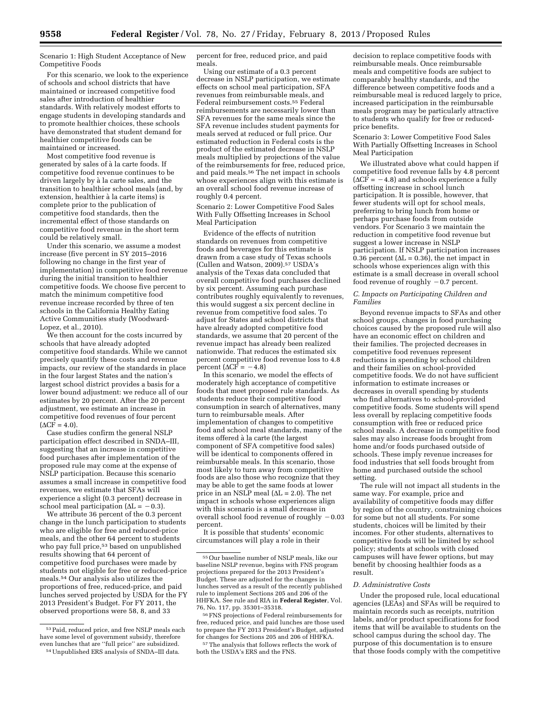Scenario 1: High Student Acceptance of New Competitive Foods

For this scenario, we look to the experience of schools and school districts that have maintained or increased competitive food sales after introduction of healthier standards. With relatively modest efforts to engage students in developing standards and to promote healthier choices, these schools have demonstrated that student demand for healthier competitive foods can be maintained or increased.

Most competitive food revenue is generated by sales of à la carte foods. If competitive food revenue continues to be driven largely by à la carte sales, and the transition to healthier school meals (and, by extension, healthier à la carte items) is complete prior to the publication of competitive food standards, then the incremental effect of those standards on competitive food revenue in the short term could be relatively small.

Under this scenario, we assume a modest increase (five percent in SY 2015–2016 following no change in the first year of implementation) in competitive food revenue during the initial transition to healthier competitive foods. We choose five percent to match the minimum competitive food revenue increase recorded by three of ten schools in the California Healthy Eating Active Communities study (Woodward-Lopez, et al., 2010).

We then account for the costs incurred by schools that have already adopted competitive food standards. While we cannot precisely quantify these costs and revenue impacts, our review of the standards in place in the four largest States and the nation's largest school district provides a basis for a lower bound adjustment: we reduce all of our estimates by 20 percent. After the 20 percent adjustment, we estimate an increase in competitive food revenues of four percent  $(\Delta CF = 4.0).$ 

Case studies confirm the general NSLP participation effect described in SNDA–III, suggesting that an increase in competitive food purchases after implementation of the proposed rule may come at the expense of NSLP participation. Because this scenario assumes a small increase in competitive food revenues, we estimate that SFAs will experience a slight (0.3 percent) decrease in school meal participation  $(\Delta L = -0.3)$ .

We attribute 36 percent of the 0.3 percent change in the lunch participation to students who are eligible for free and reduced-price meals, and the other 64 percent to students who pay full price,<sup>53</sup> based on unpublished results showing that 64 percent of competitive food purchases were made by students not eligible for free or reduced-price meals.54 Our analysis also utilizes the proportions of free, reduced-price, and paid lunches served projected by USDA for the FY 2013 President's Budget. For FY 2011, the observed proportions were 58, 8, and 33

54Unpublished ERS analysis of SNDA–III data.

percent for free, reduced price, and paid meals.

Using our estimate of a 0.3 percent decrease in NSLP participation, we estimate effects on school meal participation, SFA revenues from reimbursable meals, and Federal reimbursement costs.55 Federal reimbursements are necessarily lower than SFA revenues for the same meals since the SFA revenue includes student payments for meals served at reduced or full price. Our estimated reduction in Federal costs is the product of the estimated decrease in NSLP meals multiplied by projections of the value of the reimbursements for free, reduced price, and paid meals.56 The net impact in schools whose experiences align with this estimate is an overall school food revenue increase of roughly 0.4 percent.

Scenario 2: Lower Competitive Food Sales With Fully Offsetting Increases in School Meal Participation

Evidence of the effects of nutrition standards on revenues from competitive foods and beverages for this estimate is drawn from a case study of Texas schools (Cullen and Watson, 2009).57 USDA's analysis of the Texas data concluded that overall competitive food purchases declined by six percent. Assuming each purchase contributes roughly equivalently to revenues, this would suggest a six percent decline in revenue from competitive food sales. To adjust for States and school districts that have already adopted competitive food standards, we assume that 20 percent of the revenue impact has already been realized nationwide. That reduces the estimated six percent competitive food revenue loss to 4.8 percent  $(\Delta \tilde{\Gamma} = -4.8)$ 

In this scenario, we model the effects of moderately high acceptance of competitive foods that meet proposed rule standards. As students reduce their competitive food consumption in search of alternatives, many turn to reimbursable meals. After implementation of changes to competitive food and school meal standards, many of the items offered à la carte (the largest component of SFA competitive food sales) will be identical to components offered in reimbursable meals. In this scenario, those most likely to turn away from competitive foods are also those who recognize that they may be able to get the same foods at lower price in an NSLP meal  $(\Delta L = 2.0)$ . The net impact in schools whose experiences align with this scenario is a small decrease in overall school food revenue of roughly  $-0.03$ percent.

It is possible that students' economic circumstances will play a role in their

decision to replace competitive foods with reimbursable meals. Once reimbursable meals and competitive foods are subject to comparably healthy standards, and the difference between competitive foods and a reimbursable meal is reduced largely to price, increased participation in the reimbursable meals program may be particularly attractive to students who qualify for free or reducedprice benefits.

Scenario 3: Lower Competitive Food Sales With Partially Offsetting Increases in School Meal Participation

We illustrated above what could happen if competitive food revenue falls by 4.8 percent  $(\Delta \overline{CF} = -4.8)$  and schools experience a fully offsetting increase in school lunch participation. It is possible, however, that fewer students will opt for school meals, preferring to bring lunch from home or perhaps purchase foods from outside vendors. For Scenario 3 we maintain the reduction in competitive food revenue but suggest a lower increase in NSLP participation. If NSLP participation increases 0.36 percent ( $\Delta L = 0.36$ ), the net impact in schools whose experiences align with this estimate is a small decrease in overall school food revenue of roughly  $-0.7$  percent.

#### *C. Impacts on Participating Children and Families*

Beyond revenue impacts to SFAs and other school groups, changes in food purchasing choices caused by the proposed rule will also have an economic effect on children and their families. The projected decreases in competitive food revenues represent reductions in spending by school children and their families on school-provided competitive foods. We do not have sufficient information to estimate increases or decreases in overall spending by students who find alternatives to school-provided competitive foods. Some students will spend less overall by replacing competitive foods consumption with free or reduced price school meals. A decrease in competitive food sales may also increase foods brought from home and/or foods purchased outside of schools. These imply revenue increases for food industries that sell foods brought from home and purchased outside the school setting.

The rule will not impact all students in the same way. For example, price and availability of competitive foods may differ by region of the country, constraining choices for some but not all students. For some students, choices will be limited by their incomes. For other students, alternatives to competitive foods will be limited by school policy; students at schools with closed campuses will have fewer options, but may benefit by choosing healthier foods as a result.

#### *D. Administrative Costs*

Under the proposed rule, local educational agencies (LEAs) and SFAs will be required to maintain records such as receipts, nutrition labels, and/or product specifications for food items that will be available to students on the school campus during the school day. The purpose of this documentation is to ensure that those foods comply with the competitive

<sup>53</sup>Paid, reduced price, and free NSLP meals each have some level of government subsidy, therefore even lunches that are ''full price'' are subsidized.

<sup>55</sup>Our baseline number of NSLP meals, like our baseline NSLP revenue, begins with FNS program projections prepared for the 2013 President's Budget. These are adjusted for the changes in lunches served as a result of the recently published rule to implement Sections 205 and 206 of the HHFKA. See rule and RIA in **Federal Register**, Vol. 76, No. 117, pp. 35301–35318.

<sup>56</sup>FNS projections of Federal reimbursements for free, reduced price, and paid lunches are those used to prepare the FY 2013 President's Budget, adjusted for changes for Sections 205 and 206 of HHFKA.

<sup>57</sup>The analysis that follows reflects the work of both the USDA's ERS and the FNS.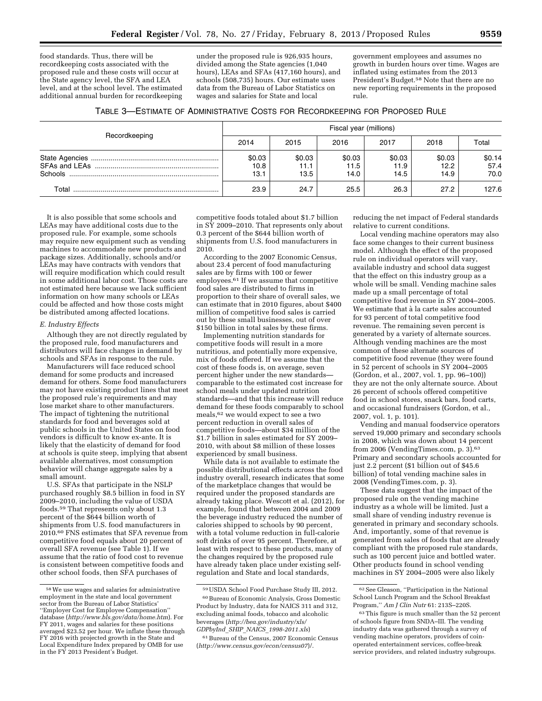food standards. Thus, there will be recordkeeping costs associated with the proposed rule and these costs will occur at the State agency level, the SFA and LEA level, and at the school level. The estimated additional annual burden for recordkeeping under the proposed rule is 926,935 hours, divided among the State agencies (1,040 hours), LEAs and SFAs (417,160 hours), and schools (508,735) hours. Our estimate uses data from the Bureau of Labor Statistics on wages and salaries for State and local

government employees and assumes no growth in burden hours over time. Wages are inflated using estimates from the 2013 President's Budget.58 Note that there are no new reporting requirements in the proposed rule.

| Recordkeeping | Fiscal year (millions) |                        |                        |                        |                        |                        |  |
|---------------|------------------------|------------------------|------------------------|------------------------|------------------------|------------------------|--|
|               | 2014                   | 2015                   | 2016                   | 2017                   | 2018                   | Total                  |  |
| Schools       | \$0.03<br>10.8<br>13.1 | \$0.03<br>11.1<br>13.5 | \$0.03<br>11.5<br>14.0 | \$0.03<br>11.9<br>14.5 | \$0.03<br>12.2<br>14.9 | \$0.14<br>57.4<br>70.0 |  |
| $\tau$ otal   | 23.9                   | 24.7                   | 25.5                   | 26.3                   | 27.2                   | 127.6                  |  |

It is also possible that some schools and LEAs may have additional costs due to the proposed rule. For example, some schools may require new equipment such as vending machines to accommodate new products and package sizes. Additionally, schools and/or LEAs may have contracts with vendors that will require modification which could result in some additional labor cost. Those costs are not estimated here because we lack sufficient information on how many schools or LEAs could be affected and how those costs might be distributed among affected locations.

#### *E. Industry Effects*

Although they are not directly regulated by the proposed rule, food manufacturers and distributors will face changes in demand by schools and SFAs in response to the rule.

Manufacturers will face reduced school demand for some products and increased demand for others. Some food manufacturers may not have existing product lines that meet the proposed rule's requirements and may lose market share to other manufacturers. The impact of tightening the nutritional standards for food and beverages sold at public schools in the United States on food vendors is difficult to know ex-ante. It is likely that the elasticity of demand for food at schools is quite steep, implying that absent available alternatives, most consumption behavior will change aggregate sales by a small amount.

U.S. SFAs that participate in the NSLP purchased roughly \$8.5 billion in food in SY 2009–2010, including the value of USDA foods.59 That represents only about 1.3 percent of the \$644 billion worth of shipments from U.S. food manufacturers in 2010.60 FNS estimates that SFA revenue from competitive food equals about 20 percent of overall SFA revenue (see Table 1). If we assume that the ratio of food cost to revenue is consistent between competitive foods and other school foods, then SFA purchases of

competitive foods totaled about \$1.7 billion in SY 2009–2010. That represents only about 0.3 percent of the \$644 billion worth of shipments from U.S. food manufacturers in 2010.

According to the 2007 Economic Census, about 23.4 percent of food manufacturing sales are by firms with 100 or fewer employees.61 If we assume that competitive food sales are distributed to firms in proportion to their share of overall sales, we can estimate that in 2010 figures, about \$400 million of competitive food sales is carried out by these small businesses, out of over \$150 billion in total sales by these firms.

Implementing nutrition standards for competitive foods will result in a more nutritious, and potentially more expensive, mix of foods offered. If we assume that the cost of these foods is, on average, seven percent higher under the new standards comparable to the estimated cost increase for school meals under updated nutrition standards—and that this increase will reduce demand for these foods comparably to school meals,62 we would expect to see a two percent reduction in overall sales of competitive foods—about \$34 million of the \$1.7 billion in sales estimated for SY 2009– 2010, with about \$8 million of these losses experienced by small business.

While data is not available to estimate the possible distributional effects across the food industry overall, research indicates that some of the marketplace changes that would be required under the proposed standards are already taking place. Wescott et al. (2012), for example, found that between 2004 and 2009 the beverage industry reduced the number of calories shipped to schools by 90 percent, with a total volume reduction in full-calorie soft drinks of over 95 percent. Therefore, at least with respect to these products, many of the changes required by the proposed rule have already taken place under existing selfregulation and State and local standards,

61Bureau of the Census, 2007 Economic Census (*<http://www.census.gov/econ/census07>*)/.

reducing the net impact of Federal standards relative to current conditions.

Local vending machine operators may also face some changes to their current business model. Although the effect of the proposed rule on individual operators will vary, available industry and school data suggest that the effect on this industry group as a whole will be small. Vending machine sales made up a small percentage of total competitive food revenue in SY 2004–2005. We estimate that à la carte sales accounted for 93 percent of total competitive food revenue. The remaining seven percent is generated by a variety of alternate sources. Although vending machines are the most common of these alternate sources of competitive food revenue (they were found in 52 percent of schools in SY 2004–2005 (Gordon, et al., 2007, vol. 1, pp. 96–100)) they are not the only alternate source. About 26 percent of schools offered competitive food in school stores, snack bars, food carts, and occasional fundraisers (Gordon, et al., 2007, vol. 1, p. 101).

Vending and manual foodservice operators served 19,000 primary and secondary schools in 2008, which was down about 14 percent from 2006 (VendingTimes.com, p. 3).63 Primary and secondary schools accounted for just 2.2 percent (\$1 billion out of \$45.6 billion) of total vending machine sales in 2008 (VendingTimes.com, p. 3).

These data suggest that the impact of the proposed rule on the vending machine industry as a whole will be limited. Just a small share of vending industry revenue is generated in primary and secondary schools. And, importantly, some of that revenue is generated from sales of foods that are already compliant with the proposed rule standards, such as 100 percent juice and bottled water. Other products found in school vending machines in SY 2004–2005 were also likely

<sup>58</sup>We use wages and salaries for administrative employment in the state and local government sector from the Bureau of Labor Statistics ''Employer Cost for Employee Compensation'' database (*<http://www.bls.gov/data/home.htm>*). For FY 2011, wages and salaries for these positions averaged \$23.52 per hour. We inflate these through FY 2016 with projected growth in the State and Local Expenditure Index prepared by OMB for use in the FY 2013 President's Budget.

<sup>59</sup>USDA School Food Purchase Study III, 2012.

<sup>60</sup>Bureau of Economic Analysis, Gross Domestic Product by Industry, data for NAICS 311 and 312, excluding animal foods, tobacco and alcoholic beverages (*[http://bea.gov/industry/xls/](http://bea.gov/industry/xls/GDPbyInd_SHIP_NAICS_1998-2011.xls) GDPbyInd*\_*SHIP*\_*NAICS*\_*[1998-2011.xls](http://bea.gov/industry/xls/GDPbyInd_SHIP_NAICS_1998-2011.xls)*)

 $^{62}\,$  See Gleason, ''Participation in the National School Lunch Program and the School Breakfast Program,'' *Am J Clin Nutr* 61: 213S–220S.

<sup>63</sup>This figure is much smaller than the 52 percent of schools figure from SNDA–III. The vending industry data was gathered through a survey of vending machine operators, providers of coinoperated entertainment services, coffee-break service providers, and related industry subgroups.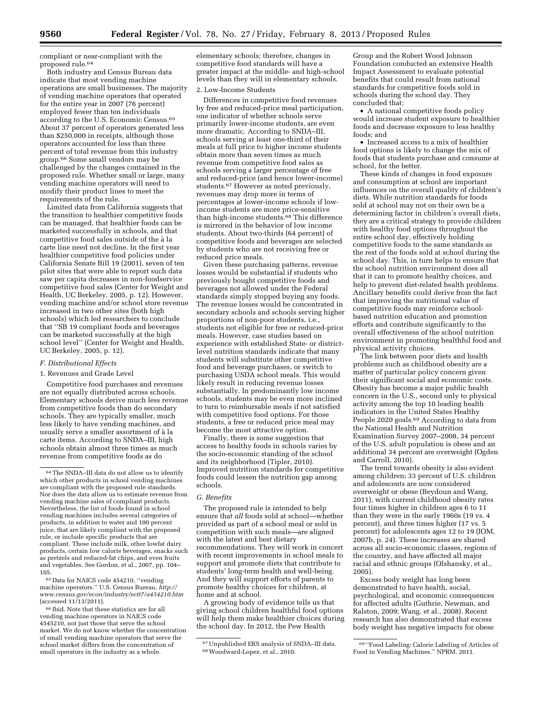compliant or near-compliant with the proposed rule.64

Both industry and Census Bureau data indicate that most vending machine operations are small businesses. The majority of vending machine operators that operated for the entire year in 2007 (76 percent) employed fewer than ten individuals according to the U.S. Economic Census.65 About 37 percent of operators generated less than \$250,000 in receipts, although those operators accounted for less than three percent of total revenue from this industry group.66 Some small vendors may be challenged by the changes contained in the proposed rule. Whether small or large, many vending machine operators will need to modify their product lines to meet the requirements of the rule.

Limited data from California suggests that the transition to healthier competitive foods can be managed, that healthier foods can be marketed successfully in schools, and that competitive food sales outside of the à la carte line need not decline. In the first year healthier competitive food policies under California Senate Bill 19 (2001), seven of ten pilot sites that were able to report such data saw per capita decreases in non-foodservice competitive food sales (Center for Weight and Health, UC Berkeley, 2005, p. 12). However, vending machine and/or school store revenue increased in two other sites (both high schools) which led researchers to conclude that ''SB 19 compliant foods and beverages can be marketed successfully at the high school level'' (Center for Weight and Health, UC Berkeley, 2005, p. 12).

#### *F. Distributional Effects*

#### 1. Revenues and Grade Level

Competitive food purchases and revenues are not equally distributed across schools. Elementary schools derive much less revenue from competitive foods than do secondary schools. They are typically smaller, much less likely to have vending machines, and usually serve a smaller assortment of à la carte items. According to SNDA–III, high schools obtain almost three times as much revenue from competitive foods as do

65 Data for NAICS code 454210, ''vending machine operators.'' U.S. Census Bureau, *[http://](http://www.census.gov/econ/industry/ec07/a454210.htm) [www.census.gov/econ/industry/ec07/a454210.htm](http://www.census.gov/econ/industry/ec07/a454210.htm)*  (accessed 11/13/2011).

66 Ibid. Note that these statistics are for all vending machine operators in NAICS code 4545210, not just those that serve the school market. We do not know whether the concentration of small vending machine operators that serve the school market differs from the concentration of small operators in the industry as a whole.

elementary schools; therefore, changes in competitive food standards will have a greater impact at the middle- and high-school levels than they will in elementary schools.

#### 2. Low-Income Students

Differences in competitive food revenues by free and reduced-price meal participation, one indicator of whether schools serve primarily lower-income students, are even more dramatic. According to SNDA–III, schools serving at least one-third of their meals at full price to higher income students obtain more than seven times as much revenue from competitive food sales as schools serving a larger percentage of free and reduced-price (and hence lower-income) students.67 However as noted previously, revenues may drop more in terms of percentages at lower-income schools if lowincome students are more price-sensitive than high-income students.68 This difference is mirrored in the behavior of low income students. About two-thirds (64 percent) of competitive foods and beverages are selected by students who are not receiving free or reduced price meals.

Given these purchasing patterns, revenue losses would be substantial if students who previously bought competitive foods and beverages not allowed under the Federal standards simply stopped buying any foods. The revenue losses would be concentrated in secondary schools and schools serving higher proportions of non-poor students, i.e., students not eligible for free or reduced-price meals. However, case studies based on experience with established State- or districtlevel nutrition standards indicate that many students will substitute other competitive food and beverage purchases, or switch to purchasing USDA school meals. This would likely result in reducing revenue losses substantially. In predominantly low income schools, students may be even more inclined to turn to reimbursable meals if not satisfied with competitive food options. For those students, a free or reduced price meal may become the most attractive option.

Finally, there is some suggestion that access to healthy foods in schools varies by the socio-economic standing of the school and its neighborhood (Tipler, 2010). Improved nutrition standards for competitive foods could lessen the nutrition gap among schools.

#### *G. Benefits*

The proposed rule is intended to help ensure that *all* foods sold at school—whether provided as part of a school meal or sold in competition with such meals—are aligned with the latest and best dietary recommendations. They will work in concert with recent improvements in school meals to support and promote diets that contribute to students' long-term health and well-being. And they will support efforts of parents to promote healthy choices for children, at home and at school.

A growing body of evidence tells us that giving school children healthful food options will help them make healthier choices during the school day. In 2012, the Pew Health

Group and the Robert Wood Johnson Foundation conducted an extensive Health Impact Assessment to evaluate potential benefits that could result from national standards for competitive foods sold in schools during the school day. They concluded that:

• A national competitive foods policy would increase student exposure to healthier foods and decrease exposure to less healthy foods; and

• Increased access to a mix of healthier food options is likely to change the mix of foods that students purchase and consume at school, for the better.

These kinds of changes in food exposure and consumption at school are important influences on the overall quality of children's diets. While nutrition standards for foods sold at school may not on their own be a determining factor in children's overall diets, they are a critical strategy to provide children with healthy food options throughout the entire school day, effectively holding competitive foods to the same standards as the rest of the foods sold at school during the school day. This, in turn helps to ensure that the school nutrition environment does all that it can to promote healthy choices, and help to prevent diet-related health problems. Ancillary benefits could derive from the fact that improving the nutritional value of competitive foods may reinforce schoolbased nutrition education and promotion efforts and contribute significantly to the overall effectiveness of the school nutrition environment in promoting healthful food and physical activity choices.

The link between poor diets and health problems such as childhood obesity are a matter of particular policy concern given their significant social and economic costs. Obesity has become a major public health concern in the U.S., second only to physical activity among the top 10 leading health indicators in the United States Healthy People 2020 goals.69 According to data from the National Health and Nutrition Examination Survey 2007–2008, 34 percent of the U.S. adult population is obese and an additional 34 percent are overweight (Ogden and Carroll, 2010).

The trend towards obesity is also evident among children; 33 percent of U.S. children and adolescents are now considered overweight or obese (Beydoun and Wang, 2011), with current childhood obesity rates four times higher in children ages 6 to 11 than they were in the early 1960s (19 vs. 4 percent), and three times higher (17 vs. 5 percent) for adolescents ages 12 to 19 (IOM, 2007b, p. 24). These increases are shared across all socio-economic classes, regions of the country, and have affected all major racial and ethnic groups (Olshansky, et al., 2005).

Excess body weight has long been demonstrated to have health, social, psychological, and economic consequences for affected adults (Guthrie, Newman, and Ralston, 2009; Wang, et al., 2008). Recent research has also demonstrated that excess body weight has negative impacts for obese

<sup>64</sup>The SNDA–III data do not allow us to identify which other products in school vending machines are compliant with the proposed rule standards. Nor does the data allow us to estimate revenue from vending machine sales of compliant products. Nevertheless, the list of foods found in school vending machines includes several categories of products, in addition to water and 100 percent juice, that are likely compliant with the proposed rule, or include specific products that are compliant. These include milk, other lowfat dairy products, certain low calorie beverages, snacks such as pretzels and reduced-fat chips, and even fruits and vegetables. See Gordon, et al., 2007, pp. 104– 105.

<sup>67</sup>Unpublished ERS analysis of SNDA–III data. 68Woodward-Lopez, et al., 2010.

<sup>69</sup> ''Food Labeling: Calorie Labeling of Articles of Food in Vending Machines.'' NPRM. 2011.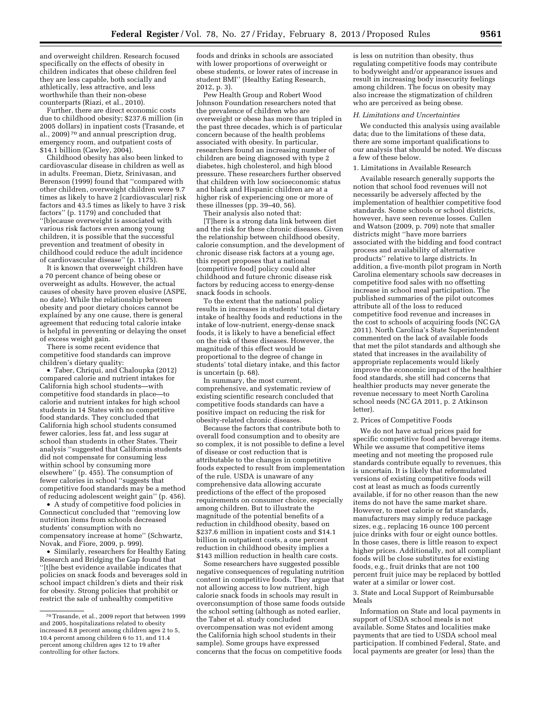and overweight children. Research focused specifically on the effects of obesity in children indicates that obese children feel they are less capable, both socially and athletically, less attractive, and less worthwhile than their non-obese counterparts (Riazi, et al., 2010).

Further, there are direct economic costs due to childhood obesity; \$237.6 million (in 2005 dollars) in inpatient costs (Trasande, et al., 2009) 70 and annual prescription drug, emergency room, and outpatient costs of \$14.1 billion (Cawley, 2004).

Childhood obesity has also been linked to cardiovascular disease in children as well as in adults. Freeman, Dietz, Srinivasan, and Berenson (1999) found that ''compared with other children, overweight children were 9.7 times as likely to have 2 [cardiovascular] risk factors and 43.5 times as likely to have 3 risk factors'' (p. 1179) and concluded that ''[b]ecause overweight is associated with various risk factors even among young children, it is possible that the successful prevention and treatment of obesity in childhood could reduce the adult incidence of cardiovascular disease'' (p. 1175).

It is known that overweight children have a 70 percent chance of being obese or overweight as adults. However, the actual causes of obesity have proven elusive (ASPE, no date). While the relationship between obesity and poor dietary choices cannot be explained by any one cause, there is general agreement that reducing total calorie intake is helpful in preventing or delaying the onset of excess weight gain.

There is some recent evidence that competitive food standards can improve children's dietary quality:

• Taber, Chriqui, and Chaloupka (2012) compared calorie and nutrient intakes for California high school students—with competitive food standards in place—to calorie and nutrient intakes for high school students in 14 States with no competitive food standards. They concluded that California high school students consumed fewer calories, less fat, and less sugar at school than students in other States. Their analysis ''suggested that California students did not compensate for consuming less within school by consuming more elsewhere'' (p. 455). The consumption of fewer calories in school ''suggests that competitive food standards may be a method of reducing adolescent weight gain'' (p. 456).

• A study of competitive food policies in Connecticut concluded that ''removing low nutrition items from schools decreased students' consumption with no compensatory increase at home'' (Schwartz, Novak, and Fiore, 2009, p. 999).

• Similarly, researchers for Healthy Eating Research and Bridging the Gap found that ''[t]he best evidence available indicates that policies on snack foods and beverages sold in school impact children's diets and their risk for obesity. Strong policies that prohibit or restrict the sale of unhealthy competitive

foods and drinks in schools are associated with lower proportions of overweight or obese students, or lower rates of increase in student BMI'' (Healthy Eating Research, 2012, p. 3).

Pew Health Group and Robert Wood Johnson Foundation researchers noted that the prevalence of children who are overweight or obese has more than tripled in the past three decades, which is of particular concern because of the health problems associated with obesity. In particular, researchers found an increasing number of children are being diagnosed with type 2 diabetes, high cholesterol, and high blood pressure. These researchers further observed that children with low socioeconomic status and black and Hispanic children are at a higher risk of experiencing one or more of these illnesses (pp. 39–40, 56).

Their analysis also noted that: [T]here is a strong data link between diet and the risk for these chronic diseases. Given the relationship between childhood obesity, calorie consumption, and the development of chronic disease risk factors at a young age, this report proposes that a national [competitive food] policy could alter childhood and future chronic disease risk factors by reducing access to energy-dense snack foods in schools.

To the extent that the national policy results in increases in students' total dietary intake of healthy foods and reductions in the intake of low-nutrient, energy-dense snack foods, it is likely to have a beneficial effect on the risk of these diseases. However, the magnitude of this effect would be proportional to the degree of change in students' total dietary intake, and this factor is uncertain (p. 68).

In summary, the most current, comprehensive, and systematic review of existing scientific research concluded that competitive foods standards can have a positive impact on reducing the risk for obesity-related chronic diseases.

Because the factors that contribute both to overall food consumption and to obesity are so complex, it is not possible to define a level of disease or cost reduction that is attributable to the changes in competitive foods expected to result from implementation of the rule. USDA is unaware of any comprehensive data allowing accurate predictions of the effect of the proposed requirements on consumer choice, especially among children. But to illustrate the magnitude of the potential benefits of a reduction in childhood obesity, based on \$237.6 million in inpatient costs and \$14.1 billion in outpatient costs, a one percent reduction in childhood obesity implies a \$143 million reduction in health care costs.

Some researchers have suggested possible negative consequences of regulating nutrition content in competitive foods. They argue that not allowing access to low nutrient, high calorie snack foods in schools may result in overconsumption of those same foods outside the school setting (although as noted earlier, the Taber et al. study concluded overcompensation was not evident among the California high school students in their sample). Some groups have expressed concerns that the focus on competitive foods

is less on nutrition than obesity, thus regulating competitive foods may contribute to bodyweight and/or appearance issues and result in increasing body insecurity feelings among children. The focus on obesity may also increase the stigmatization of children who are perceived as being obese.

#### *H. Limitations and Uncertainties*

We conducted this analysis using available data; due to the limitations of these data, there are some important qualifications to our analysis that should be noted. We discuss a few of these below.

#### 1. Limitations in Available Research

Available research generally supports the notion that school food revenues will not necessarily be adversely affected by the implementation of healthier competitive food standards. Some schools or school districts, however, have seen revenue losses. Cullen and Watson (2009, p. 709) note that smaller districts might ''have more barriers associated with the bidding and food contract process and availability of alternative products'' relative to large districts. In addition, a five-month pilot program in North Carolina elementary schools saw decreases in competitive food sales with no offsetting increase in school meal participation. The published summaries of the pilot outcomes attribute all of the loss to reduced competitive food revenue and increases in the cost to schools of acquiring foods (NC GA 2011). North Carolina's State Superintendent commented on the lack of available foods that met the pilot standards and although she stated that increases in the availability of appropriate replacements would likely improve the economic impact of the healthier food standards, she still had concerns that healthier products may never generate the revenue necessary to meet North Carolina school needs (NC GA 2011, p. 2 Atkinson letter).

#### 2. Prices of Competitive Foods

We do not have actual prices paid for specific competitive food and beverage items. While we assume that competitive items meeting and not meeting the proposed rule standards contribute equally to revenues, this is uncertain. It is likely that reformulated versions of existing competitive foods will cost at least as much as foods currently available, if for no other reason than the new items do not have the same market share. However, to meet calorie or fat standards, manufacturers may simply reduce package sizes, e.g., replacing 16 ounce 100 percent juice drinks with four or eight ounce bottles. In those cases, there is little reason to expect higher prices. Additionally, not all compliant foods will be close substitutes for existing foods, e.g., fruit drinks that are not 100 percent fruit juice may be replaced by bottled water at a similar or lower cost.

#### 3. State and Local Support of Reimbursable Meals

Information on State and local payments in support of USDA school meals is not available. Some States and localities make payments that are tied to USDA school meal participation. If combined Federal, State, and local payments are greater (or less) than the

<sup>70</sup>Trasande, et al., 2009 report that between 1999 and 2005, hospitalizations related to obesity increased 8.8 percent among children ages 2 to 5, 10.4 percent among children 6 to 11, and 11.4 percent among children ages 12 to 19 after controlling for other factors.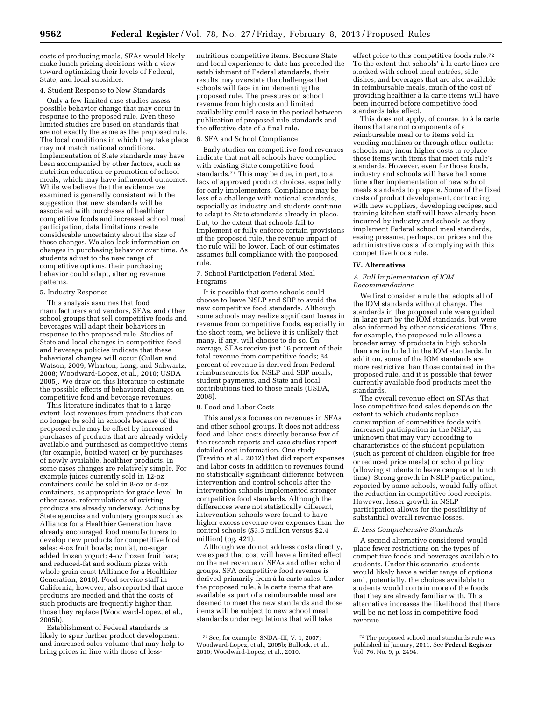costs of producing meals, SFAs would likely make lunch pricing decisions with a view toward optimizing their levels of Federal, State, and local subsidies.

#### 4. Student Response to New Standards

Only a few limited case studies assess possible behavior change that may occur in response to the proposed rule. Even these limited studies are based on standards that are not exactly the same as the proposed rule. The local conditions in which they take place may not match national conditions. Implementation of State standards may have been accompanied by other factors, such as nutrition education or promotion of school meals, which may have influenced outcomes. While we believe that the evidence we examined is generally consistent with the suggestion that new standards will be associated with purchases of healthier competitive foods and increased school meal participation, data limitations create considerable uncertainty about the size of these changes. We also lack information on changes in purchasing behavior over time. As students adjust to the new range of competitive options, their purchasing behavior could adapt, altering revenue patterns.

#### 5. Industry Response

This analysis assumes that food manufacturers and vendors, SFAs, and other school groups that sell competitive foods and beverages will adapt their behaviors in response to the proposed rule. Studies of State and local changes in competitive food and beverage policies indicate that these behavioral changes will occur (Cullen and Watson, 2009; Wharton, Long, and Schwartz, 2008; Woodward-Lopez, et al., 2010; USDA 2005). We draw on this literature to estimate the possible effects of behavioral changes on competitive food and beverage revenues.

This literature indicates that to a large extent, lost revenues from products that can no longer be sold in schools because of the proposed rule may be offset by increased purchases of products that are already widely available and purchased as competitive items (for example, bottled water) or by purchases of newly available, healthier products. In some cases changes are relatively simple. For example juices currently sold in 12-oz containers could be sold in 8-oz or 4-oz containers, as appropriate for grade level. In other cases, reformulations of existing products are already underway. Actions by State agencies and voluntary groups such as Alliance for a Healthier Generation have already encouraged food manufacturers to develop new products for competitive food sales: 4-oz fruit bowls; nonfat, no-sugar added frozen yogurt; 4-oz frozen fruit bars; and reduced-fat and sodium pizza with whole grain crust (Alliance for a Healthier Generation, 2010). Food service staff in California, however, also reported that more products are needed and that the costs of such products are frequently higher than those they replace (Woodward-Lopez, et al., 2005b).

Establishment of Federal standards is likely to spur further product development and increased sales volume that may help to bring prices in line with those of less-

nutritious competitive items. Because State and local experience to date has preceded the establishment of Federal standards, their results may overstate the challenges that schools will face in implementing the proposed rule. The pressures on school revenue from high costs and limited availability could ease in the period between publication of proposed rule standards and the effective date of a final rule.

#### 6. SFA and School Compliance

Early studies on competitive food revenues indicate that not all schools have complied with existing State competitive food standards.71 This may be due, in part, to a lack of approved product choices, especially for early implementers. Compliance may be less of a challenge with national standards, especially as industry and students continue to adapt to State standards already in place. But, to the extent that schools fail to implement or fully enforce certain provisions of the proposed rule, the revenue impact of the rule will be lower. Each of our estimates assumes full compliance with the proposed rule.

#### 7. School Participation Federal Meal Programs

It is possible that some schools could choose to leave NSLP and SBP to avoid the new competitive food standards. Although some schools may realize significant losses in revenue from competitive foods, especially in the short term, we believe it is unlikely that many, if any, will choose to do so. On average, SFAs receive just 16 percent of their total revenue from competitive foods; 84 percent of revenue is derived from Federal reimbursements for NSLP and SBP meals, student payments, and State and local contributions tied to those meals (USDA, 2008).

# 8. Food and Labor Costs

This analysis focuses on revenues in SFAs and other school groups. It does not address food and labor costs directly because few of the research reports and case studies report detailed cost information. One study (Treviño et al., 2012) that did report expenses and labor costs in addition to revenues found no statistically significant difference between intervention and control schools after the intervention schools implemented stronger competitive food standards. Although the differences were not statistically different, intervention schools were found to have higher excess revenue over expenses than the control schools (\$3.5 million versus \$2.4 million) (pg. 421).

Although we do not address costs directly, we expect that cost will have a limited effect on the net revenue of SFAs and other school groups. SFA competitive food revenue is derived primarily from à la carte sales. Under the proposed rule, à la carte items that are available as part of a reimbursable meal are deemed to meet the new standards and those items will be subject to new school meal standards under regulations that will take

effect prior to this competitive foods rule.72 To the extent that schools' à la carte lines are stocked with school meal entrées, side dishes, and beverages that are also available in reimbursable meals, much of the cost of providing healthier à la carte items will have been incurred before competitive food standards take effect.

This does not apply, of course, to à la carte items that are not components of a reimbursable meal or to items sold in vending machines or through other outlets; schools may incur higher costs to replace those items with items that meet this rule's standards. However, even for those foods, industry and schools will have had some time after implementation of new school meals standards to prepare. Some of the fixed costs of product development, contracting with new suppliers, developing recipes, and training kitchen staff will have already been incurred by industry and schools as they implement Federal school meal standards, easing pressure, perhaps, on prices and the administrative costs of complying with this competitive foods rule.

#### **IV. Alternatives**

#### *A. Full Implementation of IOM Recommendations*

We first consider a rule that adopts all of the IOM standards without change. The standards in the proposed rule were guided in large part by the IOM standards, but were also informed by other considerations. Thus, for example, the proposed rule allows a broader array of products in high schools than are included in the IOM standards. In addition, some of the IOM standards are more restrictive than those contained in the proposed rule, and it is possible that fewer currently available food products meet the standards.

The overall revenue effect on SFAs that lose competitive food sales depends on the extent to which students replace consumption of competitive foods with increased participation in the NSLP, an unknown that may vary according to characteristics of the student population (such as percent of children eligible for free or reduced price meals) or school policy (allowing students to leave campus at lunch time). Strong growth in NSLP participation, reported by some schools, would fully offset the reduction in competitive food receipts. However, lesser growth in NSLP participation allows for the possibility of substantial overall revenue losses.

#### *B. Less Comprehensive Standards*

A second alternative considered would place fewer restrictions on the types of competitive foods and beverages available to students. Under this scenario, students would likely have a wider range of options and, potentially, the choices available to students would contain more of the foods that they are already familiar with. This alternative increases the likelihood that there will be no net loss in competitive food revenue.

<sup>71</sup>See, for example, SNDA–III, V. 1, 2007; Woodward-Lopez, et al., 2005b; Bullock, et al., 2010; Woodward-Lopez, et al., 2010.

<sup>72</sup>The proposed school meal standards rule was published in January, 2011. See **Federal Register**  Vol. 76, No. 9, p. 2494.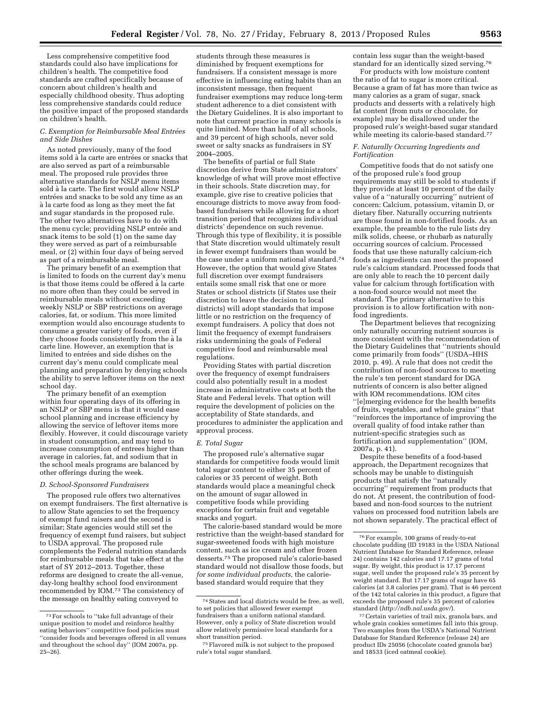Less comprehensive competitive food standards could also have implications for children's health. The competitive food standards are crafted specifically because of concern about children's health and especially childhood obesity. Thus adopting less comprehensive standards could reduce the positive impact of the proposed standards on children's health.

# *C. Exemption for Reimbursable Meal Entre´es and Side Dishes*

As noted previously, many of the food items sold à la carte are entrées or snacks that are also served as part of a reimbursable meal. The proposed rule provides three alternative standards for NSLP menu items sold à la carte. The first would allow NSLP entrées and snacks to be sold any time as an a` la carte food as long as they meet the fat and sugar standards in the proposed rule. The other two alternatives have to do with the menu cycle; providing NSLP entrée and snack items to be sold (1) on the same day they were served as part of a reimbursable meal, or (2) within four days of being served as part of a reimbursable meal.

The primary benefit of an exemption that is limited to foods on the current day's menu is that those items could be offered à la carte no more often than they could be served in reimbursable meals without exceeding weekly NSLP or SBP restrictions on average calories, fat, or sodium. This more limited exemption would also encourage students to consume a greater variety of foods, even if they choose foods consistently from the  $\grave{a}$  la carte line. However, an exemption that is limited to entrées and side dishes on the current day's menu could complicate meal planning and preparation by denying schools the ability to serve leftover items on the next school day.

The primary benefit of an exemption within four operating days of its offering in an NSLP or SBP menu is that it would ease school planning and increase efficiency by allowing the service of leftover items more flexibly. However, it could discourage variety in student consumption, and may tend to increase consumption of entrees higher than average in calories, fat, and sodium that in the school meals programs are balanced by other offerings during the week.

#### *D. School-Sponsored Fundraisers*

The proposed rule offers two alternatives on exempt fundraisers. The first alternative is to allow State agencies to set the frequency of exempt fund raisers and the second is similar; State agencies would still set the frequency of exempt fund raisers, but subject to USDA approval. The proposed rule complements the Federal nutrition standards for reimbursable meals that take effect at the start of SY 2012–2013. Together, these reforms are designed to create the all-venue, day-long healthy school food environment recommended by IOM.73 The consistency of the message on healthy eating conveyed to

students through these measures is diminished by frequent exemptions for fundraisers. If a consistent message is more effective in influencing eating habits than an inconsistent message, then frequent fundraiser exemptions may reduce long-term student adherence to a diet consistent with the Dietary Guidelines. It is also important to note that current practice in many schools is quite limited. More than half of all schools, and 39 percent of high schools, never sold sweet or salty snacks as fundraisers in SY 2004–2005.

The benefits of partial or full State discretion derive from State administrators' knowledge of what will prove most effective in their schools. State discretion may, for example, give rise to creative policies that encourage districts to move away from foodbased fundraisers while allowing for a short transition period that recognizes individual districts' dependence on such revenue. Through this type of flexibility, it is possible that State discretion would ultimately result in fewer exempt fundraisers than would be the case under a uniform national standard.74 However, the option that would give States full discretion over exempt fundraisers entails some small risk that one or more States or school districts (if States use their discretion to leave the decision to local districts) will adopt standards that impose little or no restriction on the frequency of exempt fundraisers. A policy that does not limit the frequency of exempt fundraisers risks undermining the goals of Federal competitive food and reimbursable meal regulations.

Providing States with partial discretion over the frequency of exempt fundraisers could also potentially result in a modest increase in administrative costs at both the State and Federal levels. That option will require the development of policies on the acceptability of State standards, and procedures to administer the application and approval process.

#### *E. Total Sugar*

The proposed rule's alternative sugar standards for competitive foods would limit total sugar content to either 35 percent of calories or 35 percent of weight. Both standards would place a meaningful check on the amount of sugar allowed in competitive foods while providing exceptions for certain fruit and vegetable snacks and yogurt.

The calorie-based standard would be more restrictive than the weight-based standard for sugar-sweetened foods with high moisture content, such as ice cream and other frozen desserts.75 The proposed rule's calorie-based standard would not disallow those foods, but *for some individual products,* the caloriebased standard would require that they

contain less sugar than the weight-based standard for an identically sized serving.76

For products with low moisture content the ratio of fat to sugar is more critical. Because a gram of fat has more than twice as many calories as a gram of sugar, snack products and desserts with a relatively high fat content (from nuts or chocolate, for example) may be disallowed under the proposed rule's weight-based sugar standard while meeting its calorie-based standard.<sup>77</sup>

## *F. Naturally Occurring Ingredients and Fortification*

Competitive foods that do not satisfy one of the proposed rule's food group requirements may still be sold to students if they provide at least 10 percent of the daily value of a ''naturally occurring'' nutrient of concern: Calcium, potassium, vitamin D, or dietary fiber. Naturally occurring nutrients are those found in non-fortified foods. As an example, the preamble to the rule lists dry milk solids, cheese, or rhubarb as naturally occurring sources of calcium. Processed foods that use these naturally calcium-rich foods as ingredients can meet the proposed rule's calcium standard. Processed foods that are only able to reach the 10 percent daily value for calcium through fortification with a non-food source would not meet the standard. The primary alternative to this provision is to allow fortification with nonfood ingredients.

The Department believes that recognizing only naturally occurring nutrient sources is more consistent with the recommendation of the Dietary Guidelines that ''nutrients should come primarily from foods'' (USDA–HHS 2010, p. 49). A rule that does not credit the contribution of non-food sources to meeting the rule's ten percent standard for DGA nutrients of concern is also better aligned with IOM recommendations. IOM cites ''[e]merging evidence for the health benefits of fruits, vegetables, and whole grains'' that ''reinforces the importance of improving the overall quality of food intake rather than nutrient-specific strategies such as fortification and supplementation'' (IOM, 2007a, p. 41).

Despite these benefits of a food-based approach, the Department recognizes that schools may be unable to distinguish products that satisfy the ''naturally occurring'' requirement from products that do not. At present, the contribution of foodbased and non-food sources to the nutrient values on processed food nutrition labels are not shown separately. The practical effect of

77Certain varieties of trail mix, granola bars, and whole grain cookies sometimes fall into this group. Two examples from the USDA's National Nutrient Database for Standard Reference (release 24) are product IDs 25056 (chocolate coated granola bar) and 18533 (iced oatmeal cookie).

<sup>73</sup>For schools to ''take full advantage of their unique position to model and reinforce healthy eating behaviors'' competitive food policies must ''consider foods and beverages offered in all venues and throughout the school day'' (IOM 2007a, pp. 25–26).

<sup>74</sup>States and local districts would be free, as well, to set policies that allowed fewer exempt fundraisers than a uniform national standard. However, only a policy of State discretion would allow relatively permissive local standards for a short transition period.

<sup>75</sup>Flavored milk is not subject to the proposed rule's total sugar standard.

<sup>76</sup>For example, 100 grams of ready-to-eat chocolate pudding (ID 19183 in the USDA National Nutrient Database for Standard Reference, release 24) contains 142 calories and 17.17 grams of total sugar. By weight, this product is 17.17 percent sugar, well under the proposed rule's 35 percent by weight standard. But 17.17 grams of sugar have 65 calories (at 3.8 calories per gram). That is 46 percent of the 142 total calories in this product, a figure that exceeds the proposed rule's 35 percent of calories standard (*<http://ndb.nal.usda.gov/>*).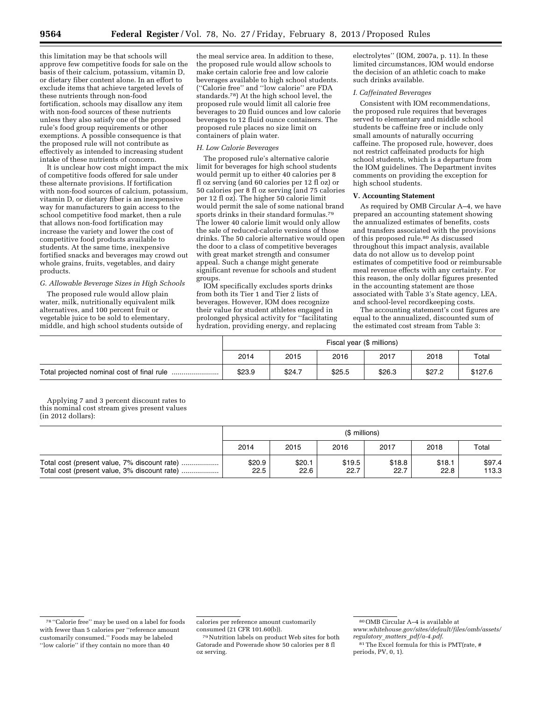this limitation may be that schools will approve few competitive foods for sale on the basis of their calcium, potassium, vitamin D, or dietary fiber content alone. In an effort to exclude items that achieve targeted levels of these nutrients through non-food fortification, schools may disallow any item with non-food sources of these nutrients unless they also satisfy one of the proposed rule's food group requirements or other exemptions. A possible consequence is that the proposed rule will not contribute as effectively as intended to increasing student intake of these nutrients of concern.

It is unclear how cost might impact the mix of competitive foods offered for sale under these alternate provisions. If fortification with non-food sources of calcium, potassium, vitamin D, or dietary fiber is an inexpensive way for manufacturers to gain access to the school competitive food market, then a rule that allows non-food fortification may increase the variety and lower the cost of competitive food products available to students. At the same time, inexpensive fortified snacks and beverages may crowd out whole grains, fruits, vegetables, and dairy products.

#### *G. Allowable Beverage Sizes in High Schools*

The proposed rule would allow plain water, milk, nutritionally equivalent milk alternatives, and 100 percent fruit or vegetable juice to be sold to elementary, middle, and high school students outside of

the meal service area. In addition to these, the proposed rule would allow schools to make certain calorie free and low calorie beverages available to high school students. (''Calorie free'' and ''low calorie'' are FDA standards.78) At the high school level, the proposed rule would limit all calorie free beverages to 20 fluid ounces and low calorie beverages to 12 fluid ounce containers. The proposed rule places no size limit on containers of plain water.

#### *H. Low Calorie Beverages*

The proposed rule's alternative calorie limit for beverages for high school students would permit up to either 40 calories per 8 fl oz serving (and 60 calories per 12 fl oz) or 50 calories per 8 fl oz serving (and 75 calories per 12 fl oz). The higher 50 calorie limit would permit the sale of some national brand sports drinks in their standard formulas.<sup>79</sup> The lower 40 calorie limit would only allow the sale of reduced-calorie versions of those drinks. The 50 calorie alternative would open the door to a class of competitive beverages with great market strength and consumer appeal. Such a change might generate significant revenue for schools and student groups.

IOM specifically excludes sports drinks from both its Tier 1 and Tier 2 lists of beverages. However, IOM does recognize their value for student athletes engaged in prolonged physical activity for ''facilitating hydration, providing energy, and replacing

electrolytes'' (IOM, 2007a, p. 11). In these limited circumstances, IOM would endorse the decision of an athletic coach to make such drinks available.

#### *I. Caffeinated Beverages*

Consistent with IOM recommendations, the proposed rule requires that beverages served to elementary and middle school students be caffeine free or include only small amounts of naturally occurring caffeine. The proposed rule, however, does not restrict caffeinated products for high school students, which is a departure from the IOM guidelines. The Department invites comments on providing the exception for high school students.

#### **V. Accounting Statement**

As required by OMB Circular A–4, we have prepared an accounting statement showing the annualized estimates of benefits, costs and transfers associated with the provisions of this proposed rule.80 As discussed throughout this impact analysis, available data do not allow us to develop point estimates of competitive food or reimbursable meal revenue effects with any certainty. For this reason, the only dollar figures presented in the accounting statement are those associated with Table 3's State agency, LEA, and school-level recordkeeping costs.

The accounting statement's cost figures are equal to the annualized, discounted sum of the estimated cost stream from Table 3:

| Fiscal year (\$ millions) |        |        |        |        |         |
|---------------------------|--------|--------|--------|--------|---------|
| 2014                      | 2015   | 2016   | 2017   | 2018   | Total   |
| \$23.9                    | \$24.7 | \$25.5 | \$26.3 | \$27.2 | \$127.6 |

Applying 7 and 3 percent discount rates to this nominal cost stream gives present values (in 2012 dollars):

| (\$ millions)  |                |                |                |                |                 |
|----------------|----------------|----------------|----------------|----------------|-----------------|
| 2014           | 2015           | 2016           | 2017           | 2018           | Total           |
| \$20.9<br>22.5 | \$20.1<br>22.6 | \$19.5<br>22.7 | \$18.8<br>22.7 | \$18.1<br>22.8 | \$97.4<br>113.3 |

calories per reference amount customarily consumed (21 CFR 101.60(b)).

<sup>78</sup> ''Calorie free'' may be used on a label for foods with fewer than 5 calories per ''reference amount customarily consumed.'' Foods may be labeled ''low calorie'' if they contain no more than 40

<sup>79</sup>Nutrition labels on product Web sites for both Gatorade and Powerade show 50 calories per 8 fl oz serving.

<sup>80</sup>OMB Circular A–4 is available at

*[www.whitehouse.gov/sites/default/files/omb/assets/](http://www.whitehouse.gov/sites/default/files/omb/assets/regulatory_matters_pdf/a-4.pdf) regulatory*\_*matters*\_*[pdf/a-4.pdf](http://www.whitehouse.gov/sites/default/files/omb/assets/regulatory_matters_pdf/a-4.pdf)*.

<sup>81</sup>The Excel formula for this is PMT(rate, # periods, PV, 0, 1).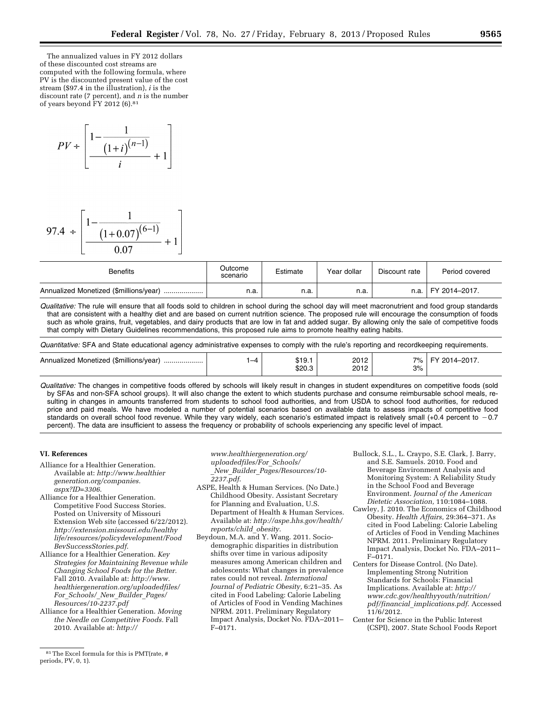The annualized values in FY 2012 dollars of these discounted cost streams are computed with the following formula, where PV is the discounted present value of the cost stream (\$97.4 in the illustration), *i* is the discount rate (7 percent), and *n* is the number of years beyond FY 2012 (6).81

$$
PV + \left[1 - \frac{1}{(1+i)^{(n-1)}} + 1\right]
$$

$$
97.4 \div \left[\frac{1 - \frac{1}{(1 + 0.07)^{(6 - 1)}}}{0.07} + 1\right]
$$

| Benefits                               | Outcome<br>scenario | Estimate | Year dollar | Discount rate | Period covered |
|----------------------------------------|---------------------|----------|-------------|---------------|----------------|
| Annualized Monetized (\$millions/year) | n.a.                | n.a.     | n.a.        | n.a.          | FY 2014-2017.  |

*Qualitative:* The rule will ensure that all foods sold to children in school during the school day will meet macronutrient and food group standards that are consistent with a healthy diet and are based on current nutrition science. The proposed rule will encourage the consumption of foods such as whole grains, fruit, vegetables, and dairy products that are low in fat and added sugar. By allowing only the sale of competitive foods that comply with Dietary Guidelines recommendations, this proposed rule aims to promote healthy eating habits.

*Quantitative:* SFA and State educational agency administrative expenses to comply with the rule's reporting and recordkeeping requirements.

| Annualized Monetized (\$millions/year) | -4 | ১। ৬. . | 2012 | 70/ | 14–2017 |
|----------------------------------------|----|---------|------|-----|---------|
|                                        |    | \$20.3  | 2012 | 3%  |         |

*Qualitative:* The changes in competitive foods offered by schools will likely result in changes in student expenditures on competitive foods (sold by SFAs and non-SFA school groups). It will also change the extent to which students purchase and consume reimbursable school meals, resulting in changes in amounts transferred from students to school food authorities, and from USDA to school food authorities, for reduced price and paid meals. We have modeled a number of potential scenarios based on available data to assess impacts of competitive food standards on overall school food revenue. While they vary widely, each scenario's estimated impact is relatively small  $(+0.4$  percent to  $-0.7$ percent). The data are insufficient to assess the frequency or probability of schools experiencing any specific level of impact.

# **VI. References**

- Alliance for a Healthier Generation. Available at: *[http://www.healthier](http://www.healthiergeneration.org/companies.aspx?ID=3306) [generation.org/companies.](http://www.healthiergeneration.org/companies.aspx?ID=3306) [aspx?ID=3306](http://www.healthiergeneration.org/companies.aspx?ID=3306)*.
- Alliance for a Healthier Generation. Competitive Food Success Stories. Posted on University of Missouri Extension Web site (accessed 6/22/2012). *[http://extension.missouri.edu/healthy](http://extension.missouri.edu/healthylife/resources/policydevelopment/FoodBevSuccessStories.pdf) [life/resources/policydevelopment/Food](http://extension.missouri.edu/healthylife/resources/policydevelopment/FoodBevSuccessStories.pdf) [BevSuccessStories.pdf](http://extension.missouri.edu/healthylife/resources/policydevelopment/FoodBevSuccessStories.pdf)*.
- Alliance for a Healthier Generation. *Key Strategies for Maintaining Revenue while Changing School Foods for the Better.*  Fall 2010. Available at: *[http://www.](http://www.healthiergeneration.org/uploadedfiles/For_Schools/_New_Builder_Pages/Resources/10-2237.pdf) [healthiergeneration.org/uploadedfiles/](http://www.healthiergeneration.org/uploadedfiles/For_Schools/_New_Builder_Pages/Resources/10-2237.pdf) For*\_*[Schools/](http://www.healthiergeneration.org/uploadedfiles/For_Schools/_New_Builder_Pages/Resources/10-2237.pdf)*\_*New*\_*Builder*\_*Pages/ [Resources/10-2237.pdf](http://www.healthiergeneration.org/uploadedfiles/For_Schools/_New_Builder_Pages/Resources/10-2237.pdf)*
- Alliance for a Healthier Generation. *Moving the Needle on Competitive Foods.* Fall 2010. Available at: *[http://](http://www.healthiergeneration.org/uploadedfiles/For_Schools/_New_Builder_Pages/Resources/10-2237.pdf)*

*[www.healthiergeneration.org/](http://www.healthiergeneration.org/uploadedfiles/For_Schools/_New_Builder_Pages/Resources/10-2237.pdf) [uploadedfiles/For](http://www.healthiergeneration.org/uploadedfiles/For_Schools/_New_Builder_Pages/Resources/10-2237.pdf)*\_*Schools/*  \_*New*\_*Builder*\_*[Pages/Resources/10-](http://www.healthiergeneration.org/uploadedfiles/For_Schools/_New_Builder_Pages/Resources/10-2237.pdf)  [2237.pdf](http://www.healthiergeneration.org/uploadedfiles/For_Schools/_New_Builder_Pages/Resources/10-2237.pdf)*.

- ASPE, Health & Human Services. (No Date.) Childhood Obesity. Assistant Secretary for Planning and Evaluation, U.S. Department of Health & Human Services. Available at: *[http://aspe.hhs.gov/health/](http://aspe.hhs.gov/health/reports/child_obesity)  [reports/child](http://aspe.hhs.gov/health/reports/child_obesity)*\_*obesity*.
- Beydoun, M.A. and Y. Wang. 2011. Sociodemographic disparities in distribution shifts over time in various adiposity measures among American children and adolescents: What changes in prevalence rates could not reveal. *International Journal of Pediatric Obesity,* 6:21–35. As cited in Food Labeling: Calorie Labeling of Articles of Food in Vending Machines NPRM. 2011. Preliminary Regulatory Impact Analysis, Docket No. FDA–2011– F–0171.
- Bullock, S.L., L. Craypo, S.E. Clark, J. Barry, and S.E. Samuels. 2010. Food and Beverage Environment Analysis and Monitoring System: A Reliability Study in the School Food and Beverage Environment. *Journal of the American Dietetic Association,* 110:1084–1088.
- Cawley, J. 2010. The Economics of Childhood Obesity. *Health Affairs,* 29:364–371. As cited in Food Labeling: Calorie Labeling of Articles of Food in Vending Machines NPRM. 2011. Preliminary Regulatory Impact Analysis, Docket No. FDA–2011– F–0171.
- Centers for Disease Control. (No Date). Implementing Strong Nutrition Standards for Schools: Financial Implications. Available at: *[http://](http://www.cdc.gov/healthyyouth/nutrition/pdf/financial_implications.pdf)  [www.cdc.gov/healthyyouth/nutrition/](http://www.cdc.gov/healthyyouth/nutrition/pdf/financial_implications.pdf)  pdf/financial*\_*[implications.pdf](http://www.cdc.gov/healthyyouth/nutrition/pdf/financial_implications.pdf)*. Accessed 11/6/2012.
- Center for Science in the Public Interest (CSPI), 2007. State School Foods Report

<sup>81</sup>The Excel formula for this is PMT(rate, # periods, PV, 0, 1).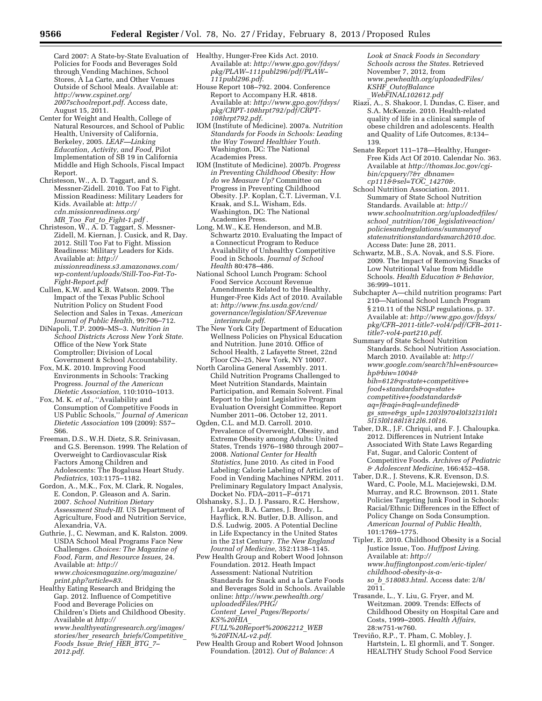Card 2007: A State-by-State Evaluation of Healthy, Hunger-Free Kids Act. 2010. Policies for Foods and Beverages Sold through Vending Machines, School Stores, A` La Carte, and Other Venues Outside of School Meals. Available at: *[http://www.cspinet.org/](http://www.cspinet.org/2007schoolreport.pdf) [2007schoolreport.pdf](http://www.cspinet.org/2007schoolreport.pdf)*. Access date, August 15, 2011.

Center for Weight and Health, College of Natural Resources, and School of Public Health, University of California, Berkeley, 2005. *LEAF—Linking Education, Activity, and Food,* Pilot Implementation of SB 19 in California Middle and High Schools, Fiscal Impact Report.

Christeson, W., A. D. Taggart, and S. Messner-Zidell. 2010. Too Fat to Fight. Mission Readiness: Military Leaders for Kids. Available at: *[http://](http://cdn.missionreadiness.org/MR_Too_Fat_to_Fight-1.pdf) [cdn.missionreadiness.org/](http://cdn.missionreadiness.org/MR_Too_Fat_to_Fight-1.pdf) MR*\_*Too*\_*Fat*\_*to*\_*[Fight-1.pdf](http://cdn.missionreadiness.org/MR_Too_Fat_to_Fight-1.pdf)* .

- Christeson, W., A. D. Taggart, S. Messner-Zidell, M. Kiernan, J. Cusick, and R, Day. 2012. Still Too Fat to Fight. Mission Readiness: Military Leaders for Kids. Available at: *[http://](http://missionreadiness.s3.amazonaws.com/wp-content/uploads/Still-Too-Fat-To-Fight-Report.pdf)  [missionreadiness.s3.amazonaws.com/](http://missionreadiness.s3.amazonaws.com/wp-content/uploads/Still-Too-Fat-To-Fight-Report.pdf) [wp-content/uploads/Still-Too-Fat-To-](http://missionreadiness.s3.amazonaws.com/wp-content/uploads/Still-Too-Fat-To-Fight-Report.pdf)[Fight-Report.pdf](http://missionreadiness.s3.amazonaws.com/wp-content/uploads/Still-Too-Fat-To-Fight-Report.pdf)*
- Cullen, K.W. and K.B. Watson. 2009. The Impact of the Texas Public School Nutrition Policy on Student Food Selection and Sales in Texas. *American Journal of Public Health,* 99:706–712.
- DiNapoli, T.P. 2009–MS–3. *Nutrition in School Districts Across New York State.*  Office of the New York State Comptroller; Division of Local Government & School Accountability.
- Fox, M.K. 2010. Improving Food Environments in Schools: Tracking Progress. *Journal of the American Dietetic Association,* 110:1010–1013.
- Fox, M. K. et al., "Availability and Consumption of Competitive Foods in US Public Schools,'' *Journal of American Dietetic Association* 109 (2009): S57– S66.
- Freeman, D.S., W.H. Dietz, S.R. Srinivasan, and G.S. Berenson. 1999. The Relation of Overweight to Cardiovascular Risk Factors Among Children and Adolescents: The Bogalusa Heart Study. *Pediatrics,* 103:1175–1182.
- Gordon, A., M.K., Fox, M. Clark, R. Nogales, E. Condon, P. Gleason and A. Sarin. 2007. *School Nutrition Dietary Assessment Study-III.* US Department of Agriculture, Food and Nutrition Service, Alexandria, VA.
- Guthrie, J., C. Newman, and K. Ralston. 2009. USDA School Meal Programs Face New Challenges. *Choices: The Magazine of Food, Farm, and Resource Issues,* 24. Available at: *[http://](http://www.choicesmagazine.org/magazine/print.php?article=83)  [www.choicesmagazine.org/magazine/](http://www.choicesmagazine.org/magazine/print.php?article=83)  [print.php?article=83](http://www.choicesmagazine.org/magazine/print.php?article=83)*.
- Healthy Eating Research and Bridging the Gap. 2012. Influence of Competitive Food and Beverage Policies on Children's Diets and Childhood Obesity. Available at *[http://](http://www.healthyeatingresearch.org/images/stories/her_research_briefs/Competitive_Foods_Issue_Brief_HER_BTG_7-2012.pdf)  [www.healthyeatingresearch.org/images/](http://www.healthyeatingresearch.org/images/stories/her_research_briefs/Competitive_Foods_Issue_Brief_HER_BTG_7-2012.pdf) stories/her*\_*research*\_*[briefs/Competitive](http://www.healthyeatingresearch.org/images/stories/her_research_briefs/Competitive_Foods_Issue_Brief_HER_BTG_7-2012.pdf)*\_ *[Foods](http://www.healthyeatingresearch.org/images/stories/her_research_briefs/Competitive_Foods_Issue_Brief_HER_BTG_7-2012.pdf)*\_*Issue*\_*Brief*\_*HER*\_*BTG*\_*7– [2012.pdf](http://www.healthyeatingresearch.org/images/stories/her_research_briefs/Competitive_Foods_Issue_Brief_HER_BTG_7-2012.pdf)*.
- Available at: *[http://www.gpo.gov/fdsys/](http://www.gpo.gov/fdsys/pkg/PLAW-111publ296/pdf/PLAW-111publ296.pdf)  [pkg/PLAW–111publ296/pdf/PLAW–](http://www.gpo.gov/fdsys/pkg/PLAW-111publ296/pdf/PLAW-111publ296.pdf)  [111publ296.pdf](http://www.gpo.gov/fdsys/pkg/PLAW-111publ296/pdf/PLAW-111publ296.pdf)*.
- House Report 108–792. 2004. Conference Report to Accompany H.R. 4818. Available at: *[http://www.gpo.gov/fdsys/](http://www.gpo.gov/fdsys/pkg/CRPT-108hrpt792/pdf/CRPT-108hrpt792.pdf)  [pkg/CRPT-108hrpt792/pdf/CRPT-](http://www.gpo.gov/fdsys/pkg/CRPT-108hrpt792/pdf/CRPT-108hrpt792.pdf)[108hrpt792.pdf](http://www.gpo.gov/fdsys/pkg/CRPT-108hrpt792/pdf/CRPT-108hrpt792.pdf)*.
- IOM (Institute of Medicine). 2007a. *Nutrition Standards for Foods in Schools: Leading the Way Toward Healthier Youth.*  Washington, DC: The National Academies Press.
- IOM (Institute of Medicine). 2007b. *Progress in Preventing Childhood Obesity: How do we Measure Up?* Committee on Progress in Preventing Childhood Obesity. J.P. Koplan, C.T. Liverman, V.I. Kraak, and S.L. Wisham, Eds. Washington, DC: The National Academies Press.
- Long, M.W., K.E. Henderson, and M.B. Schwartz 2010. Evaluating the Impact of a Connecticut Program to Reduce Availability of Unhealthy Competitive Food in Schools. *Journal of School Health* 80:478–486.
- National School Lunch Program: School Food Service Account Revenue Amendments Related to the Healthy, Hunger-Free Kids Act of 2010. Available at: *[http://www.fns.usda.gov/cnd/](http://www.fns.usda.gov/cnd/governance/legislation/SFArevenue_interimrule.pdf) [governance/legislation/SFArevenue](http://www.fns.usda.gov/cnd/governance/legislation/SFArevenue_interimrule.pdf)* \_*[interimrule.pdf](http://www.fns.usda.gov/cnd/governance/legislation/SFArevenue_interimrule.pdf)*.
- The New York City Department of Education Wellness Policies on Physical Education and Nutrition. June 2010. Office of School Health, 2 Lafayette Street, 22nd Floor CN–25, New York, NY 10007.
- North Carolina General Assembly. 2011. Child Nutrition Programs Challenged to Meet Nutrition Standards, Maintain Participation, and Remain Solvent. Final Report to the Joint Legislative Program Evaluation Oversight Committee. Report Number 2011–06. October 12, 2011.
- Ogden, C.L. and M.D. Carroll. 2010. Prevalence of Overweight, Obesity, and Extreme Obesity among Adults: United States, Trends 1976–1980 through 2007– 2008. *National Center for Health Statistics,* June 2010. As cited in Food Labeling: Calorie Labeling of Articles of Food in Vending Machines NPRM. 2011. Preliminary Regulatory Impact Analysis, Docket No. FDA–2011–F–0171
- Olshansky, S.J., D. J. Passaro, R.C. Hershow, J. Layden, B.A. Carnes, J. Brody, L. Hayflick, R.N. Butler, D.B. Allison, and D.S. Ludwig. 2005. A Potential Decline in Life Expectancy in the United States in the 21st Century. *The New England Journal of Medicine,* 352:1138–1145.
- Pew Health Group and Robert Wood Johnson Foundation. 2012. Heath Impact Assessment: National Nutrition Standards for Snack and a la Carte Foods and Beverages Sold in Schools. Available online: *[http://www.pewhealth.org/](http://www.pewhealth.org/uploadedFiles/PHG/Content_Level_Pages/Reports/KS%20HIA_FULL%20Report%20062212_WEB%20FINAL-v2.pdf) [uploadedFiles/PHG/](http://www.pewhealth.org/uploadedFiles/PHG/Content_Level_Pages/Reports/KS%20HIA_FULL%20Report%20062212_WEB%20FINAL-v2.pdf) Content*\_*Level*\_*[Pages/Reports/](http://www.pewhealth.org/uploadedFiles/PHG/Content_Level_Pages/Reports/KS%20HIA_FULL%20Report%20062212_WEB%20FINAL-v2.pdf) [KS%20HIA](http://www.pewhealth.org/uploadedFiles/PHG/Content_Level_Pages/Reports/KS%20HIA_FULL%20Report%20062212_WEB%20FINAL-v2.pdf)*\_ *[FULL%20Report%20062212](http://www.pewhealth.org/uploadedFiles/PHG/Content_Level_Pages/Reports/KS%20HIA_FULL%20Report%20062212_WEB%20FINAL-v2.pdf)*\_*WEB [%20FINAL-v2.pdf](http://www.pewhealth.org/uploadedFiles/PHG/Content_Level_Pages/Reports/KS%20HIA_FULL%20Report%20062212_WEB%20FINAL-v2.pdf)*.
- Pew Health Group and Robert Wood Johnson Foundation. (2012). *Out of Balance: A*

*Look at Snack Foods in Secondary Schools across the States.* Retrieved November 7, 2012, from *[www.pewhealth.org/uploadedFiles/](http://www.pewhealth.org/uploadedFiles/KSHF_OutofBalance_WebFINAL102612.pdf) KSHF*\_*[OutofBalance](http://www.pewhealth.org/uploadedFiles/KSHF_OutofBalance_WebFINAL102612.pdf)* \_*[WebFINAL102612.pdf](http://www.pewhealth.org/uploadedFiles/KSHF_OutofBalance_WebFINAL102612.pdf)* 

- Riazi, A., S. Shakoor, I. Dundas, C. Eiser, and S.A. McKenzie. 2010. Health-related quality of life in a clinical sample of obese children and adolescents. Health and Quality of Life Outcomes, 8:134– 139.
- Senate Report 111–178—Healthy, Hunger-Free Kids Act Of 2010. Calendar No. 363. Available at *[http://thomas.loc.gov/cgi](http://thomas.loc.gov/cgi-bin/cpquery/?&r_dbname=cp111&&sel=TOC_14270&)[bin/cpquery/?&r](http://thomas.loc.gov/cgi-bin/cpquery/?&r_dbname=cp111&&sel=TOC_14270&)*\_*dbname= [cp111&&sel=TOC](http://thomas.loc.gov/cgi-bin/cpquery/?&r_dbname=cp111&&sel=TOC_14270&)*\_*14270&*.
- School Nutrition Association. 2011. Summary of State School Nutrition Standards. Available at: *[http://](http://www.schoolnutrition.org/uploadedfiles/school_nutrition/106_legislativeaction/policiesandregulations/summaryofstatenutritionstandardsmarch2010.doc) [www.schoolnutrition.org/uploadedfiles/](http://www.schoolnutrition.org/uploadedfiles/school_nutrition/106_legislativeaction/policiesandregulations/summaryofstatenutritionstandardsmarch2010.doc) school*\_*nutrition/106*\_*[legislativeaction/](http://www.schoolnutrition.org/uploadedfiles/school_nutrition/106_legislativeaction/policiesandregulations/summaryofstatenutritionstandardsmarch2010.doc)  [policiesandregulations/summaryof](http://www.schoolnutrition.org/uploadedfiles/school_nutrition/106_legislativeaction/policiesandregulations/summaryofstatenutritionstandardsmarch2010.doc) [statenutritionstandardsmarch2010.doc](http://www.schoolnutrition.org/uploadedfiles/school_nutrition/106_legislativeaction/policiesandregulations/summaryofstatenutritionstandardsmarch2010.doc)*. Access Date: June 28, 2011.
- Schwartz, M.B., S.A. Novak, and S.S. Fiore. 2009. The Impact of Removing Snacks of Low Nutritional Value from Middle Schools. *Health Education & Behavior,*  36:999–1011.
- Subchapter A—child nutrition programs: Part 210—National School Lunch Program § 210.11 of the NSLP regulations, p. 37. Available at: *[http://www.gpo.gov/fdsys/](http://www.gpo.gov/fdsys/pkg/CFR-2011-title7-vol4/pdf/CFR-2011-title7-vol4-part210.pdf)  [pkg/CFR–2011-title7-vol4/pdf/CFR–2011](http://www.gpo.gov/fdsys/pkg/CFR-2011-title7-vol4/pdf/CFR-2011-title7-vol4-part210.pdf)  [title7-vol4-part210.pdf](http://www.gpo.gov/fdsys/pkg/CFR-2011-title7-vol4/pdf/CFR-2011-title7-vol4-part210.pdf)*.
- Summary of State School Nutrition Standards. School Nutrition Association. March 2010. Available at: *[http://](http://www.google.com/search?hl=en&source=hp&biw=1004&bih=612&q=state+competitive+food+standards&oq=state+competitive+foodstandards&aq=f&aqi=&aql=undefined&gs_sm=e&gs_upl=1203l9704l0l32l31l0l15l15l0l188l1812l6.10l16)  [www.google.com/search?hl=en&source=](http://www.google.com/search?hl=en&source=hp&biw=1004&bih=612&q=state+competitive+food+standards&oq=state+competitive+foodstandards&aq=f&aqi=&aql=undefined&gs_sm=e&gs_upl=1203l9704l0l32l31l0l15l15l0l188l1812l6.10l16) [hp&biw=1004&](http://www.google.com/search?hl=en&source=hp&biw=1004&bih=612&q=state+competitive+food+standards&oq=state+competitive+foodstandards&aq=f&aqi=&aql=undefined&gs_sm=e&gs_upl=1203l9704l0l32l31l0l15l15l0l188l1812l6.10l16) [bih=612&q=state+competitive+](http://www.google.com/search?hl=en&source=hp&biw=1004&bih=612&q=state+competitive+food+standards&oq=state+competitive+foodstandards&aq=f&aqi=&aql=undefined&gs_sm=e&gs_upl=1203l9704l0l32l31l0l15l15l0l188l1812l6.10l16) [food+standards&oq=state+](http://www.google.com/search?hl=en&source=hp&biw=1004&bih=612&q=state+competitive+food+standards&oq=state+competitive+foodstandards&aq=f&aqi=&aql=undefined&gs_sm=e&gs_upl=1203l9704l0l32l31l0l15l15l0l188l1812l6.10l16)*

*[competitive+foodstandards&](http://www.google.com/search?hl=en&source=hp&biw=1004&bih=612&q=state+competitive+food+standards&oq=state+competitive+foodstandards&aq=f&aqi=&aql=undefined&gs_sm=e&gs_upl=1203l9704l0l32l31l0l15l15l0l188l1812l6.10l16) [aq=f&aqi=&aql=undefined&](http://www.google.com/search?hl=en&source=hp&biw=1004&bih=612&q=state+competitive+food+standards&oq=state+competitive+foodstandards&aq=f&aqi=&aql=undefined&gs_sm=e&gs_upl=1203l9704l0l32l31l0l15l15l0l188l1812l6.10l16) gs*\_*sm=e&gs*\_*[upl=1203l9704l0l32l31l0l1](http://www.google.com/search?hl=en&source=hp&biw=1004&bih=612&q=state+competitive+food+standards&oq=state+competitive+foodstandards&aq=f&aqi=&aql=undefined&gs_sm=e&gs_upl=1203l9704l0l32l31l0l15l15l0l188l1812l6.10l16) [5l15l0l188l1812l6.10l16](http://www.google.com/search?hl=en&source=hp&biw=1004&bih=612&q=state+competitive+food+standards&oq=state+competitive+foodstandards&aq=f&aqi=&aql=undefined&gs_sm=e&gs_upl=1203l9704l0l32l31l0l15l15l0l188l1812l6.10l16)*.

- Taber, D.R., J.F. Chriqui, and F. J. Chaloupka. 2012. Differences in Nutrient Intake Associated With State Laws Regarding Fat, Sugar, and Caloric Content of Competitive Foods. *Archives of Pediatric & Adolescent Medicine,* 166:452–458.
- Taber, D.R., J. Stevens, K.R. Evenson, D.S. Ward, C. Poole, M.L. Maciejewski, D.M. Murray, and R.C. Brownson. 2011. State Policies Targeting Junk Food in Schools: Racial/Ethnic Differences in the Effect of Policy Change on Soda Consumption. *American Journal of Public Health,*  101:1769–1775.
- Tipler, E. 2010. Childhood Obesity is a Social Justice Issue, Too. *Huffpost Living.*  Available at: *[http://](http://www.huffingtonpost.com/eric-tipler/childhood-obesity-is-a-so_b_518083.html)  [www.huffingtonpost.com/eric-tipler/](http://www.huffingtonpost.com/eric-tipler/childhood-obesity-is-a-so_b_518083.html)  [childhood-obesity-is-a](http://www.huffingtonpost.com/eric-tipler/childhood-obesity-is-a-so_b_518083.html)so*\_*b*\_*[518083.html](http://www.huffingtonpost.com/eric-tipler/childhood-obesity-is-a-so_b_518083.html)*. Access date: 2/8/  $2011.$
- Trasande, L., Y. Liu, G. Fryer, and M. Weitzman. 2009. Trends: Effects of Childhood Obesity on Hospital Care and Costs, 1999–2005. *Health Affairs,*  28:w751-w760.
- Treviño, R.P., T. Pham, C. Mobley, J. Hartstein, L. El ghormli, and T. Songer. HEALTHY Study School Food Service